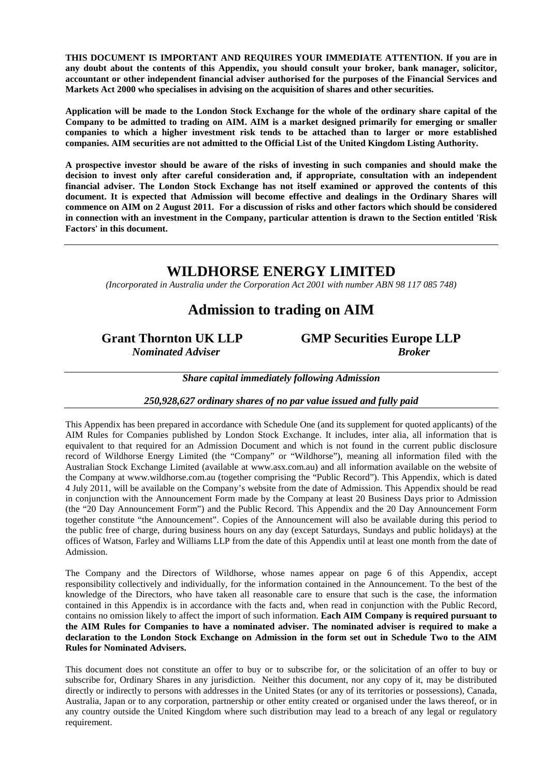**THIS DOCUMENT IS IMPORTANT AND REQUIRES YOUR IMMEDIATE ATTENTION. If you are in any doubt about the contents of this Appendix, you should consult your broker, bank manager, solicitor, accountant or other independent financial adviser authorised for the purposes of the Financial Services and Markets Act 2000 who specialises in advising on the acquisition of shares and other securities.** 

**Application will be made to the London Stock Exchange for the whole of the ordinary share capital of the Company to be admitted to trading on AIM. AIM is a market designed primarily for emerging or smaller companies to which a higher investment risk tends to be attached than to larger or more established companies. AIM securities are not admitted to the Official List of the United Kingdom Listing Authority.** 

**A prospective investor should be aware of the risks of investing in such companies and should make the decision to invest only after careful consideration and, if appropriate, consultation with an independent financial adviser. The London Stock Exchange has not itself examined or approved the contents of this document. It is expected that Admission will become effective and dealings in the Ordinary Shares will commence on AIM on 2 August 2011. For a discussion of risks and other factors which should be considered in connection with an investment in the Company, particular attention is drawn to the Section entitled 'Risk Factors' in this document.** 

# **WILDHORSE ENERGY LIMITED**

*(Incorporated in Australia under the Corporation Act 2001 with number ABN 98 117 085 748)* 

# **Admission to trading on AIM**

**Grant Thornton UK LLP GMP Securities Europe LLP**  *Nominated Adviser* Broker

*Share capital immediately following Admission* 

*250,928,627 ordinary shares of no par value issued and fully paid*

This Appendix has been prepared in accordance with Schedule One (and its supplement for quoted applicants) of the AIM Rules for Companies published by London Stock Exchange. It includes, inter alia, all information that is equivalent to that required for an Admission Document and which is not found in the current public disclosure record of Wildhorse Energy Limited (the "Company" or "Wildhorse"), meaning all information filed with the Australian Stock Exchange Limited (available at www.asx.com.au) and all information available on the website of the Company at www.wildhorse.com.au (together comprising the "Public Record"). This Appendix, which is dated 4 July 2011, will be available on the Company's website from the date of Admission. This Appendix should be read in conjunction with the Announcement Form made by the Company at least 20 Business Days prior to Admission (the "20 Day Announcement Form") and the Public Record. This Appendix and the 20 Day Announcement Form together constitute "the Announcement". Copies of the Announcement will also be available during this period to the public free of charge, during business hours on any day (except Saturdays, Sundays and public holidays) at the offices of Watson, Farley and Williams LLP from the date of this Appendix until at least one month from the date of Admission.

The Company and the Directors of Wildhorse, whose names appear on page 6 of this Appendix, accept responsibility collectively and individually, for the information contained in the Announcement. To the best of the knowledge of the Directors, who have taken all reasonable care to ensure that such is the case, the information contained in this Appendix is in accordance with the facts and, when read in conjunction with the Public Record, contains no omission likely to affect the import of such information. **Each AIM Company is required pursuant to the AIM Rules for Companies to have a nominated adviser. The nominated adviser is required to make a declaration to the London Stock Exchange on Admission in the form set out in Schedule Two to the AIM Rules for Nominated Advisers.** 

This document does not constitute an offer to buy or to subscribe for, or the solicitation of an offer to buy or subscribe for, Ordinary Shares in any jurisdiction. Neither this document, nor any copy of it, may be distributed directly or indirectly to persons with addresses in the United States (or any of its territories or possessions), Canada, Australia, Japan or to any corporation, partnership or other entity created or organised under the laws thereof, or in any country outside the United Kingdom where such distribution may lead to a breach of any legal or regulatory requirement.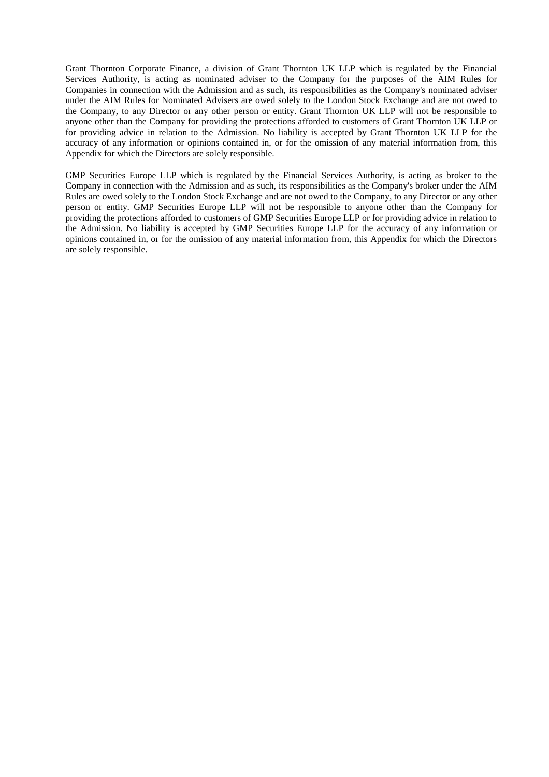Grant Thornton Corporate Finance, a division of Grant Thornton UK LLP which is regulated by the Financial Services Authority, is acting as nominated adviser to the Company for the purposes of the AIM Rules for Companies in connection with the Admission and as such, its responsibilities as the Company's nominated adviser under the AIM Rules for Nominated Advisers are owed solely to the London Stock Exchange and are not owed to the Company, to any Director or any other person or entity. Grant Thornton UK LLP will not be responsible to anyone other than the Company for providing the protections afforded to customers of Grant Thornton UK LLP or for providing advice in relation to the Admission. No liability is accepted by Grant Thornton UK LLP for the accuracy of any information or opinions contained in, or for the omission of any material information from, this Appendix for which the Directors are solely responsible.

GMP Securities Europe LLP which is regulated by the Financial Services Authority, is acting as broker to the Company in connection with the Admission and as such, its responsibilities as the Company's broker under the AIM Rules are owed solely to the London Stock Exchange and are not owed to the Company, to any Director or any other person or entity. GMP Securities Europe LLP will not be responsible to anyone other than the Company for providing the protections afforded to customers of GMP Securities Europe LLP or for providing advice in relation to the Admission. No liability is accepted by GMP Securities Europe LLP for the accuracy of any information or opinions contained in, or for the omission of any material information from, this Appendix for which the Directors are solely responsible.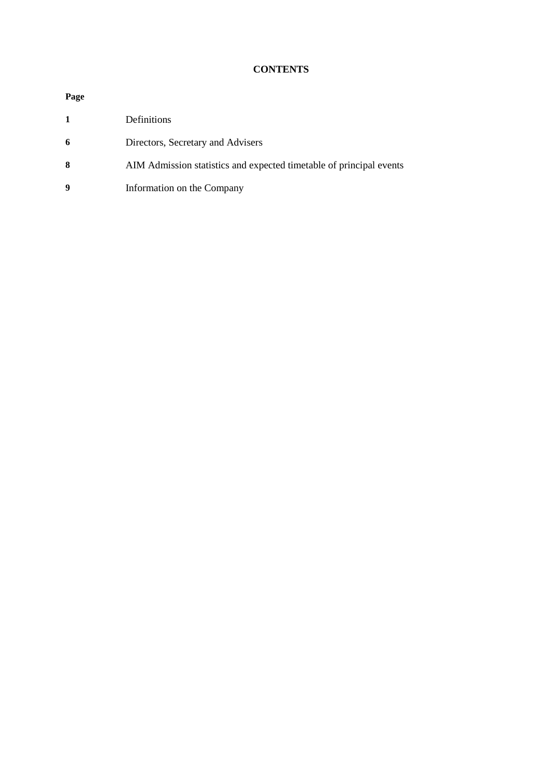## **CONTENTS**

# **Page**

|    | Definitions                                                         |
|----|---------------------------------------------------------------------|
| -6 | Directors, Secretary and Advisers                                   |
| -8 | AIM Admission statistics and expected timetable of principal events |

**9** Information on the Company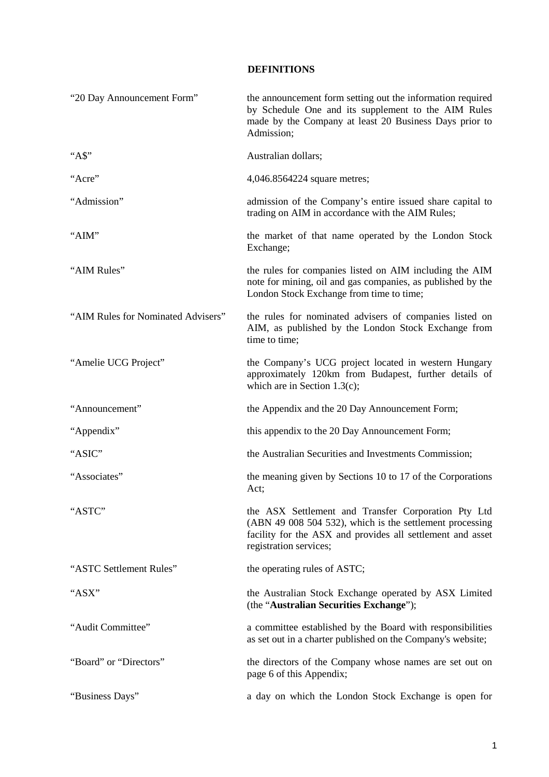#### **DEFINITIONS**

| "20 Day Announcement Form"         | the announcement form setting out the information required<br>by Schedule One and its supplement to the AIM Rules<br>made by the Company at least 20 Business Days prior to<br>Admission;               |
|------------------------------------|---------------------------------------------------------------------------------------------------------------------------------------------------------------------------------------------------------|
| " $AS$ "                           | Australian dollars;                                                                                                                                                                                     |
| "Acre"                             | 4,046.8564224 square metres;                                                                                                                                                                            |
| "Admission"                        | admission of the Company's entire issued share capital to<br>trading on AIM in accordance with the AIM Rules;                                                                                           |
| "AIM"                              | the market of that name operated by the London Stock<br>Exchange;                                                                                                                                       |
| "AIM Rules"                        | the rules for companies listed on AIM including the AIM<br>note for mining, oil and gas companies, as published by the<br>London Stock Exchange from time to time;                                      |
| "AIM Rules for Nominated Advisers" | the rules for nominated advisers of companies listed on<br>AIM, as published by the London Stock Exchange from<br>time to time;                                                                         |
| "Amelie UCG Project"               | the Company's UCG project located in western Hungary<br>approximately 120km from Budapest, further details of<br>which are in Section 1.3(c);                                                           |
| "Announcement"                     | the Appendix and the 20 Day Announcement Form;                                                                                                                                                          |
| "Appendix"                         | this appendix to the 20 Day Announcement Form;                                                                                                                                                          |
| "ASIC"                             | the Australian Securities and Investments Commission;                                                                                                                                                   |
| "Associates"                       | the meaning given by Sections 10 to 17 of the Corporations<br>Act;                                                                                                                                      |
| "ASTC"                             | the ASX Settlement and Transfer Corporation Pty Ltd<br>(ABN 49 008 504 532), which is the settlement processing<br>facility for the ASX and provides all settlement and asset<br>registration services; |
| "ASTC Settlement Rules"            | the operating rules of ASTC;                                                                                                                                                                            |
| "ASX"                              | the Australian Stock Exchange operated by ASX Limited<br>(the "Australian Securities Exchange");                                                                                                        |
| "Audit Committee"                  | a committee established by the Board with responsibilities<br>as set out in a charter published on the Company's website;                                                                               |
| "Board" or "Directors"             | the directors of the Company whose names are set out on<br>page 6 of this Appendix;                                                                                                                     |
| "Business Days"                    | a day on which the London Stock Exchange is open for                                                                                                                                                    |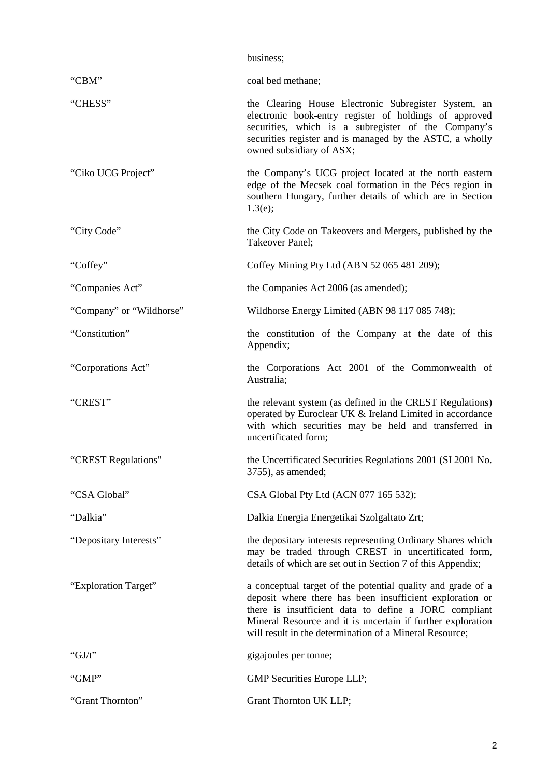|                          | business;                                                                                                                                                                                                                                                                                                  |  |  |
|--------------------------|------------------------------------------------------------------------------------------------------------------------------------------------------------------------------------------------------------------------------------------------------------------------------------------------------------|--|--|
| "CBM"                    | coal bed methane;                                                                                                                                                                                                                                                                                          |  |  |
| "CHESS"                  | the Clearing House Electronic Subregister System, an<br>electronic book-entry register of holdings of approved<br>securities, which is a subregister of the Company's<br>securities register and is managed by the ASTC, a wholly<br>owned subsidiary of ASX;                                              |  |  |
| "Ciko UCG Project"       | the Company's UCG project located at the north eastern<br>edge of the Mecsek coal formation in the Pécs region in<br>southern Hungary, further details of which are in Section<br>1.3(e);                                                                                                                  |  |  |
| "City Code"              | the City Code on Takeovers and Mergers, published by the<br><b>Takeover Panel:</b>                                                                                                                                                                                                                         |  |  |
| "Coffey"                 | Coffey Mining Pty Ltd (ABN 52 065 481 209);                                                                                                                                                                                                                                                                |  |  |
| "Companies Act"          | the Companies Act 2006 (as amended);                                                                                                                                                                                                                                                                       |  |  |
| "Company" or "Wildhorse" | Wildhorse Energy Limited (ABN 98 117 085 748);                                                                                                                                                                                                                                                             |  |  |
| "Constitution"           | the constitution of the Company at the date of this<br>Appendix;                                                                                                                                                                                                                                           |  |  |
| "Corporations Act"       | the Corporations Act 2001 of the Commonwealth of<br>Australia;                                                                                                                                                                                                                                             |  |  |
| "CREST"                  | the relevant system (as defined in the CREST Regulations)<br>operated by Euroclear UK & Ireland Limited in accordance<br>with which securities may be held and transferred in<br>uncertificated form;                                                                                                      |  |  |
| "CREST Regulations"      | the Uncertificated Securities Regulations 2001 (SI 2001 No.<br>3755), as amended;                                                                                                                                                                                                                          |  |  |
| "CSA Global"             | CSA Global Pty Ltd (ACN 077 165 532);                                                                                                                                                                                                                                                                      |  |  |
| "Dalkia"                 | Dalkia Energia Energetikai Szolgaltato Zrt;                                                                                                                                                                                                                                                                |  |  |
| "Depositary Interests"   | the depositary interests representing Ordinary Shares which<br>may be traded through CREST in uncertificated form,<br>details of which are set out in Section 7 of this Appendix;                                                                                                                          |  |  |
| "Exploration Target"     | a conceptual target of the potential quality and grade of a<br>deposit where there has been insufficient exploration or<br>there is insufficient data to define a JORC compliant<br>Mineral Resource and it is uncertain if further exploration<br>will result in the determination of a Mineral Resource; |  |  |
| " $GJ/t$ "               | gigajoules per tonne;                                                                                                                                                                                                                                                                                      |  |  |
| "GMP"                    | GMP Securities Europe LLP;                                                                                                                                                                                                                                                                                 |  |  |
| "Grant Thornton"         | Grant Thornton UK LLP;                                                                                                                                                                                                                                                                                     |  |  |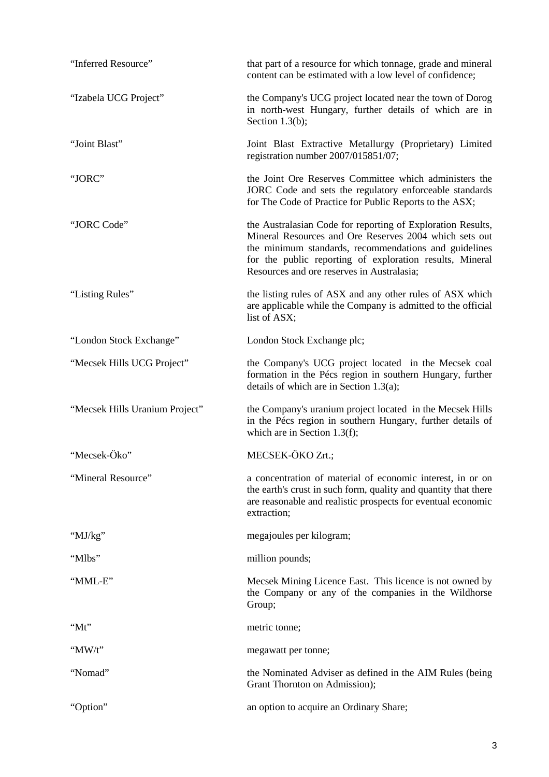| "Inferred Resource"            | that part of a resource for which tonnage, grade and mineral<br>content can be estimated with a low level of confidence;                                                                                                                                                                 |  |  |
|--------------------------------|------------------------------------------------------------------------------------------------------------------------------------------------------------------------------------------------------------------------------------------------------------------------------------------|--|--|
| "Izabela UCG Project"          | the Company's UCG project located near the town of Dorog<br>in north-west Hungary, further details of which are in<br>Section $1.3(b)$ ;                                                                                                                                                 |  |  |
| "Joint Blast"                  | Joint Blast Extractive Metallurgy (Proprietary) Limited<br>registration number 2007/015851/07;                                                                                                                                                                                           |  |  |
| "JORC"                         | the Joint Ore Reserves Committee which administers the<br>JORC Code and sets the regulatory enforceable standards<br>for The Code of Practice for Public Reports to the ASX;                                                                                                             |  |  |
| "JORC Code"                    | the Australasian Code for reporting of Exploration Results,<br>Mineral Resources and Ore Reserves 2004 which sets out<br>the minimum standards, recommendations and guidelines<br>for the public reporting of exploration results, Mineral<br>Resources and ore reserves in Australasia; |  |  |
| "Listing Rules"                | the listing rules of ASX and any other rules of ASX which<br>are applicable while the Company is admitted to the official<br>list of ASX;                                                                                                                                                |  |  |
| "London Stock Exchange"        | London Stock Exchange plc;                                                                                                                                                                                                                                                               |  |  |
| "Mecsek Hills UCG Project"     | the Company's UCG project located in the Mecsek coal<br>formation in the Pécs region in southern Hungary, further<br>details of which are in Section 1.3(a);                                                                                                                             |  |  |
| "Mecsek Hills Uranium Project" | the Company's uranium project located in the Mecsek Hills<br>in the Pécs region in southern Hungary, further details of<br>which are in Section 1.3(f);                                                                                                                                  |  |  |
| "Mecsek-Öko"                   | MECSEK-ÖKO Zrt.;                                                                                                                                                                                                                                                                         |  |  |
| "Mineral Resource"             | a concentration of material of economic interest, in or on<br>the earth's crust in such form, quality and quantity that there<br>are reasonable and realistic prospects for eventual economic<br>extraction;                                                                             |  |  |
| " $MJ/kg"$                     | megajoules per kilogram;                                                                                                                                                                                                                                                                 |  |  |
| "Mlbs"                         | million pounds;                                                                                                                                                                                                                                                                          |  |  |
| "MML-E"                        | Mecsek Mining Licence East. This licence is not owned by<br>the Company or any of the companies in the Wildhorse<br>Group;                                                                                                                                                               |  |  |
| "Mt"                           | metric tonne;                                                                                                                                                                                                                                                                            |  |  |
| " $MW/t"$                      | megawatt per tonne;                                                                                                                                                                                                                                                                      |  |  |
| "Nomad"                        | the Nominated Adviser as defined in the AIM Rules (being<br>Grant Thornton on Admission);                                                                                                                                                                                                |  |  |
| "Option"                       | an option to acquire an Ordinary Share;                                                                                                                                                                                                                                                  |  |  |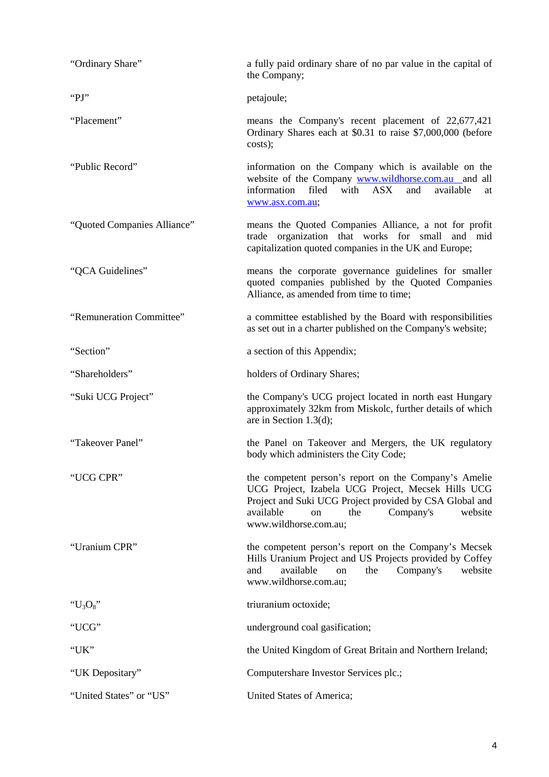| "Ordinary Share"            | a fully paid ordinary share of no par value in the capital of<br>the Company;                                                                                                                                                                     |  |  |  |
|-----------------------------|---------------------------------------------------------------------------------------------------------------------------------------------------------------------------------------------------------------------------------------------------|--|--|--|
| "PJ"                        | petajoule;                                                                                                                                                                                                                                        |  |  |  |
| "Placement"                 | means the Company's recent placement of 22,677,421<br>Ordinary Shares each at \$0.31 to raise \$7,000,000 (before<br>costs);                                                                                                                      |  |  |  |
| "Public Record"             | information on the Company which is available on the<br>website of the Company www.wildhorse.com.au and all<br>filed<br>with<br>information<br>$\overline{ASX}$<br>and<br>available<br>at<br>www.asx.com.au;                                      |  |  |  |
| "Quoted Companies Alliance" | means the Quoted Companies Alliance, a not for profit<br>trade organization that works for small and mid<br>capitalization quoted companies in the UK and Europe;                                                                                 |  |  |  |
| "QCA Guidelines"            | means the corporate governance guidelines for smaller<br>quoted companies published by the Quoted Companies<br>Alliance, as amended from time to time;                                                                                            |  |  |  |
| "Remuneration Committee"    | a committee established by the Board with responsibilities<br>as set out in a charter published on the Company's website;                                                                                                                         |  |  |  |
| "Section"                   | a section of this Appendix;                                                                                                                                                                                                                       |  |  |  |
| "Shareholders"              | holders of Ordinary Shares;                                                                                                                                                                                                                       |  |  |  |
| "Suki UCG Project"          | the Company's UCG project located in north east Hungary<br>approximately 32km from Miskolc, further details of which<br>are in Section 1.3(d);                                                                                                    |  |  |  |
| "Takeover Panel"            | the Panel on Takeover and Mergers, the UK regulatory<br>body which administers the City Code;                                                                                                                                                     |  |  |  |
| "UCG CPR"                   | the competent person's report on the Company's Amelie<br>UCG Project, Izabela UCG Project, Mecsek Hills UCG<br>Project and Suki UCG Project provided by CSA Global and<br>Company's<br>available<br>the<br>website<br>on<br>www.wildhorse.com.au; |  |  |  |
| "Uranium CPR"               | the competent person's report on the Company's Mecsek<br>Hills Uranium Project and US Projects provided by Coffey<br>available<br>Company's<br>and<br>the<br>website<br>on<br>www.wildhorse.com.au;                                               |  |  |  |
| " $U_3O_8$ "                | triuranium octoxide;                                                                                                                                                                                                                              |  |  |  |
| "UCG"                       | underground coal gasification;                                                                                                                                                                                                                    |  |  |  |
| "UK"                        | the United Kingdom of Great Britain and Northern Ireland;                                                                                                                                                                                         |  |  |  |
| "UK Depositary"             | Computershare Investor Services plc.;                                                                                                                                                                                                             |  |  |  |
| "United States" or "US"     | United States of America;                                                                                                                                                                                                                         |  |  |  |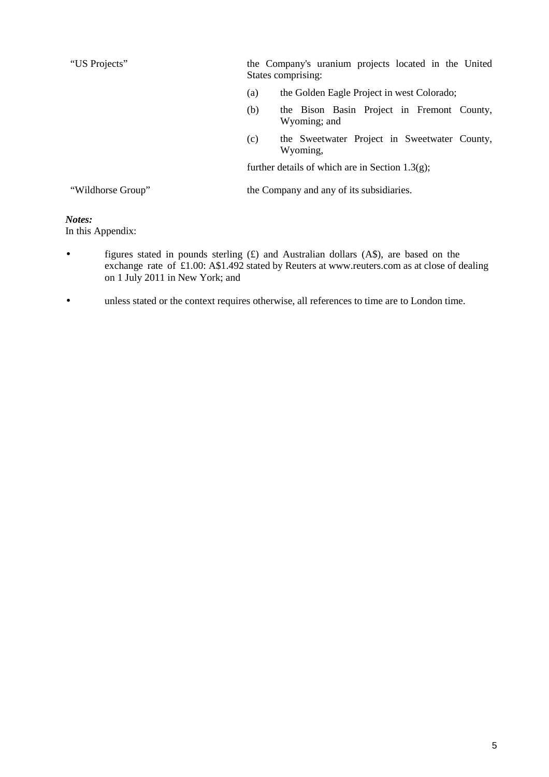"US Projects" the Company's uranium projects located in the United States comprising: (a) the Golden Eagle Project in west Colorado; (b) the Bison Basin Project in Fremont County, Wyoming; and

> (c) the Sweetwater Project in Sweetwater County, Wyoming,

further details of which are in Section 1.3(g);

"Wildhorse Group" the Company and any of its subsidiaries.

# *Notes:*

In this Appendix:

- figures stated in pounds sterling (£) and Australian dollars (A\$), are based on the exchange rate of £1.00: A\$1.492 stated by Reuters at www.reuters.com as at close of dealing on 1 July 2011 in New York; and
- unless stated or the context requires otherwise, all references to time are to London time.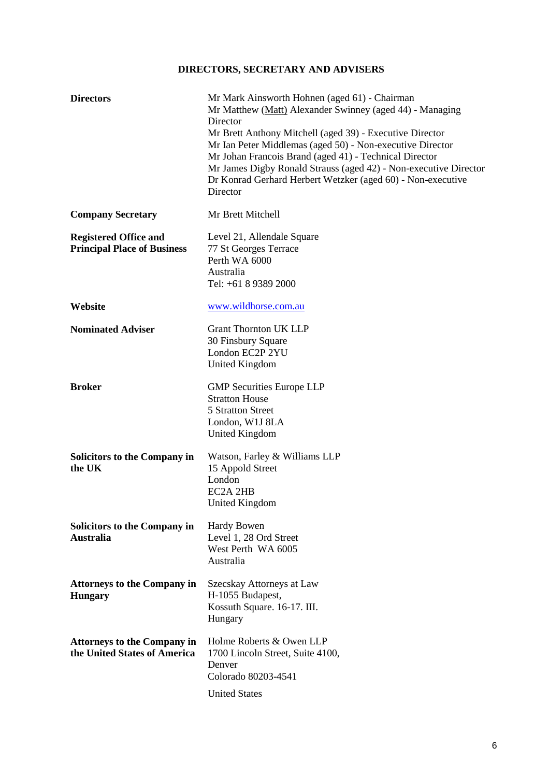# **DIRECTORS, SECRETARY AND ADVISERS**

| <b>Directors</b>                                                   | Mr Mark Ainsworth Hohnen (aged 61) - Chairman<br>Mr Matthew (Matt) Alexander Swinney (aged 44) - Managing<br>Director<br>Mr Brett Anthony Mitchell (aged 39) - Executive Director<br>Mr Ian Peter Middlemas (aged 50) - Non-executive Director<br>Mr Johan Francois Brand (aged 41) - Technical Director<br>Mr James Digby Ronald Strauss (aged 42) - Non-executive Director<br>Dr Konrad Gerhard Herbert Wetzker (aged 60) - Non-executive<br>Director |
|--------------------------------------------------------------------|---------------------------------------------------------------------------------------------------------------------------------------------------------------------------------------------------------------------------------------------------------------------------------------------------------------------------------------------------------------------------------------------------------------------------------------------------------|
| <b>Company Secretary</b>                                           | Mr Brett Mitchell                                                                                                                                                                                                                                                                                                                                                                                                                                       |
| <b>Registered Office and</b><br><b>Principal Place of Business</b> | Level 21, Allendale Square<br>77 St Georges Terrace<br>Perth WA 6000<br>Australia<br>Tel: +61 8 9389 2000                                                                                                                                                                                                                                                                                                                                               |
| Website                                                            | www.wildhorse.com.au                                                                                                                                                                                                                                                                                                                                                                                                                                    |
| <b>Nominated Adviser</b>                                           | <b>Grant Thornton UK LLP</b><br>30 Finsbury Square<br>London EC2P 2YU<br><b>United Kingdom</b>                                                                                                                                                                                                                                                                                                                                                          |
| <b>Broker</b>                                                      | <b>GMP</b> Securities Europe LLP<br><b>Stratton House</b><br>5 Stratton Street<br>London, W1J 8LA<br>United Kingdom                                                                                                                                                                                                                                                                                                                                     |
| <b>Solicitors to the Company in</b><br>the UK                      | Watson, Farley & Williams LLP<br>15 Appold Street<br>London<br>EC2A 2HB<br><b>United Kingdom</b>                                                                                                                                                                                                                                                                                                                                                        |
| Solicitors to the Company in<br><b>Australia</b>                   | Hardy Bowen<br>Level 1, 28 Ord Street<br>West Perth WA 6005<br>Australia                                                                                                                                                                                                                                                                                                                                                                                |
| <b>Attorneys to the Company in</b><br><b>Hungary</b>               | Szecskay Attorneys at Law<br>H-1055 Budapest,<br>Kossuth Square. 16-17. III.<br>Hungary                                                                                                                                                                                                                                                                                                                                                                 |
| <b>Attorneys to the Company in</b><br>the United States of America | Holme Roberts & Owen LLP<br>1700 Lincoln Street, Suite 4100,<br>Denver<br>Colorado 80203-4541                                                                                                                                                                                                                                                                                                                                                           |
|                                                                    | <b>United States</b>                                                                                                                                                                                                                                                                                                                                                                                                                                    |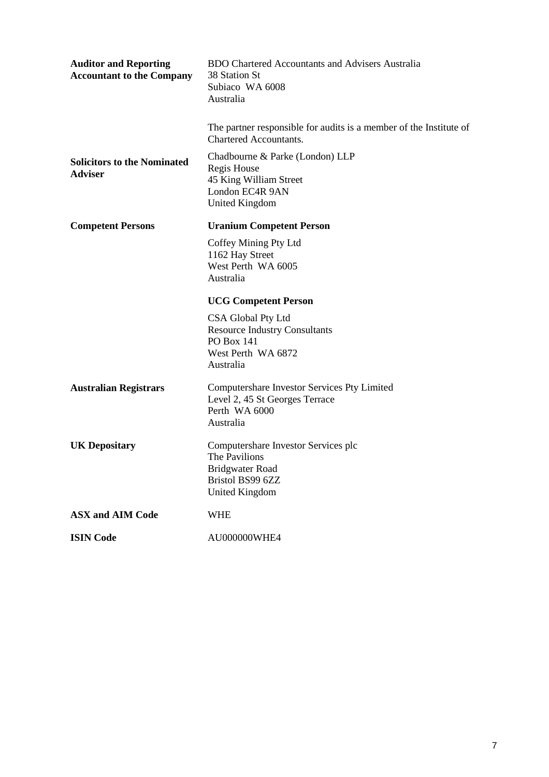| <b>Auditor and Reporting</b><br><b>Accountant to the Company</b> | <b>BDO Chartered Accountants and Advisers Australia</b><br>38 Station St<br>Subiaco WA 6008<br>Australia                    |
|------------------------------------------------------------------|-----------------------------------------------------------------------------------------------------------------------------|
|                                                                  | The partner responsible for audits is a member of the Institute of<br><b>Chartered Accountants.</b>                         |
| <b>Solicitors to the Nominated</b><br><b>Adviser</b>             | Chadbourne & Parke (London) LLP<br>Regis House<br>45 King William Street<br>London EC4R 9AN<br><b>United Kingdom</b>        |
| <b>Competent Persons</b>                                         | <b>Uranium Competent Person</b>                                                                                             |
|                                                                  | Coffey Mining Pty Ltd<br>1162 Hay Street<br>West Perth WA 6005<br>Australia                                                 |
|                                                                  | <b>UCG Competent Person</b>                                                                                                 |
|                                                                  | CSA Global Pty Ltd<br><b>Resource Industry Consultants</b><br><b>PO</b> Box 141<br>West Perth WA 6872<br>Australia          |
| <b>Australian Registrars</b>                                     | Computershare Investor Services Pty Limited<br>Level 2, 45 St Georges Terrace<br>Perth WA 6000<br>Australia                 |
| <b>UK Depositary</b>                                             | Computershare Investor Services plc<br>The Pavilions<br><b>Bridgwater Road</b><br>Bristol BS99 6ZZ<br><b>United Kingdom</b> |
| <b>ASX and AIM Code</b>                                          | <b>WHE</b>                                                                                                                  |
| <b>ISIN Code</b>                                                 | AU000000WHE4                                                                                                                |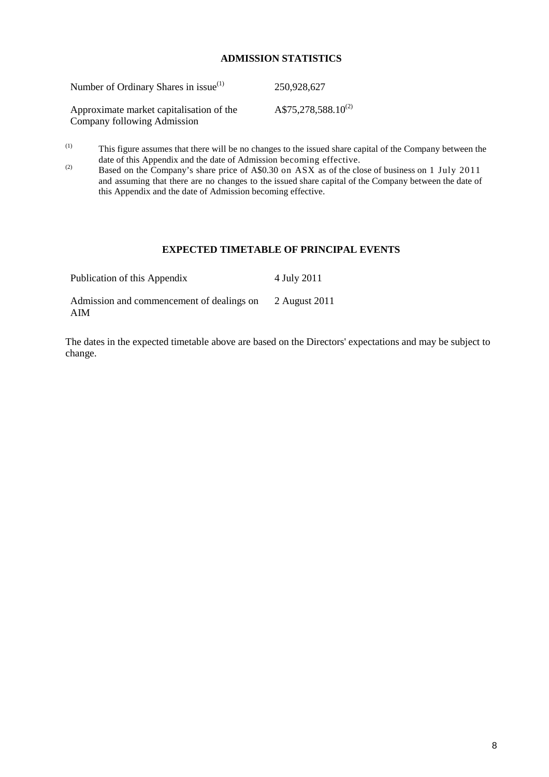#### **ADMISSION STATISTICS**

| Number of Ordinary Shares in issue <sup>(1)</sup>                       | 250,928,627                     |
|-------------------------------------------------------------------------|---------------------------------|
| Approximate market capitalisation of the<br>Company following Admission | A\$75,278,588.10 <sup>(2)</sup> |

(1) This figure assumes that there will be no changes to the issued share capital of the Company between the date of this Appendix and the date of Admission becoming effective.

(2) Based on the Company's share price of A\$0.30 on ASX as of the close of business on 1 July 2011 and assuming that there are no changes to the issued share capital of the Company between the date of this Appendix and the date of Admission becoming effective.

#### **EXPECTED TIMETABLE OF PRINCIPAL EVENTS**

| Publication of this Appendix                     | 4 July 2011   |
|--------------------------------------------------|---------------|
| Admission and commencement of dealings on<br>AIM | 2 August 2011 |

The dates in the expected timetable above are based on the Directors' expectations and may be subject to change.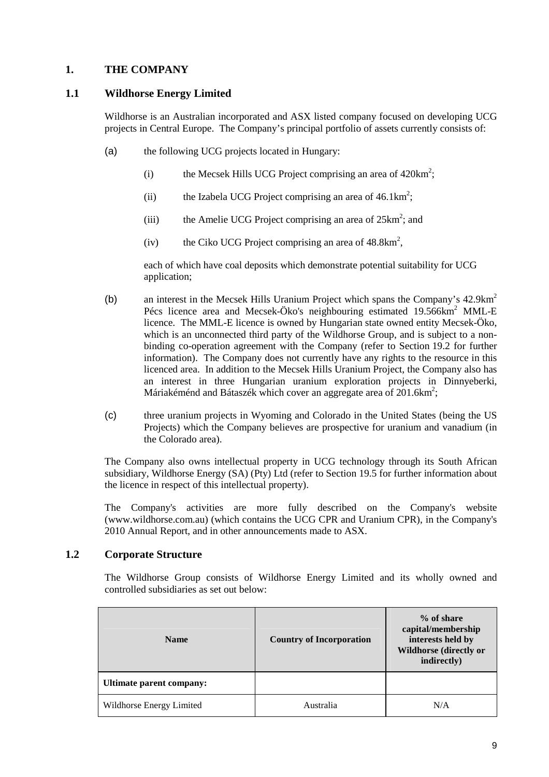# **1. THE COMPANY**

## **1.1 Wildhorse Energy Limited**

Wildhorse is an Australian incorporated and ASX listed company focused on developing UCG projects in Central Europe. The Company's principal portfolio of assets currently consists of:

- (a) the following UCG projects located in Hungary:
	- (i) the Mecsek Hills UCG Project comprising an area of  $420 \text{km}^2$ ;
	- (ii) the Izabela UCG Project comprising an area of  $46.1 \text{km}^2$ ;
	- (iii) the Amelie UCG Project comprising an area of  $25 \text{km}^2$ ; and
	- (iv) the Ciko UCG Project comprising an area of  $48.8 \text{km}^2$ ,

each of which have coal deposits which demonstrate potential suitability for UCG application;

- (b) an interest in the Mecsek Hills Uranium Project which spans the Company's 42.9km<sup>2</sup> Pécs licence area and Mecsek-Öko's neighbouring estimated 19.566km<sup>2</sup> MML-E licence. The MML-E licence is owned by Hungarian state owned entity Mecsek-Öko, which is an unconnected third party of the Wildhorse Group, and is subject to a nonbinding co-operation agreement with the Company (refer to Section 19.2 for further information). The Company does not currently have any rights to the resource in this licenced area. In addition to the Mecsek Hills Uranium Project, the Company also has an interest in three Hungarian uranium exploration projects in Dinnyeberki, Máriakéménd and Bátaszék which cover an aggregate area of 201.6km<sup>2</sup>;
- (c) three uranium projects in Wyoming and Colorado in the United States (being the US Projects) which the Company believes are prospective for uranium and vanadium (in the Colorado area).

The Company also owns intellectual property in UCG technology through its South African subsidiary, Wildhorse Energy (SA) (Pty) Ltd (refer to Section 19.5 for further information about the licence in respect of this intellectual property).

The Company's activities are more fully described on the Company's website (www.wildhorse.com.au) (which contains the UCG CPR and Uranium CPR), in the Company's 2010 Annual Report, and in other announcements made to ASX.

#### **1.2 Corporate Structure**

The Wildhorse Group consists of Wildhorse Energy Limited and its wholly owned and controlled subsidiaries as set out below:

| <b>Name</b>              | <b>Country of Incorporation</b> | $%$ of share<br>capital/membership<br>interests held by<br><b>Wildhorse (directly or</b><br>indirectly) |  |
|--------------------------|---------------------------------|---------------------------------------------------------------------------------------------------------|--|
| Ultimate parent company: |                                 |                                                                                                         |  |
| Wildhorse Energy Limited | Australia                       | N/A                                                                                                     |  |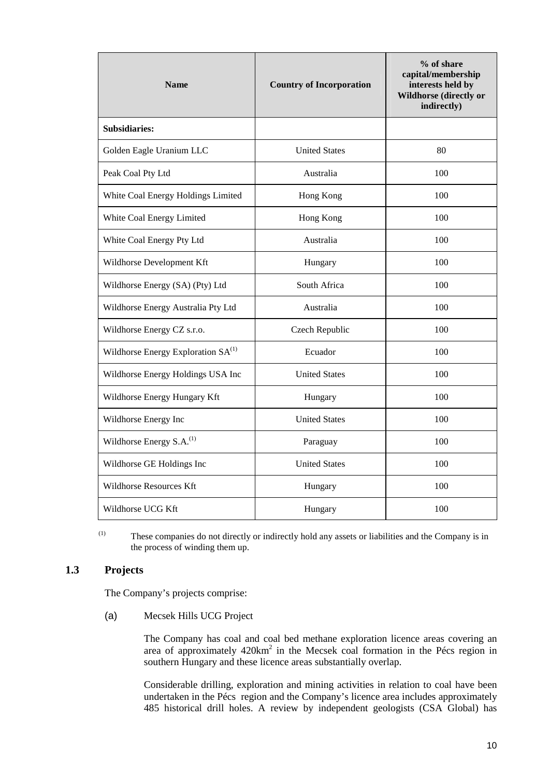| <b>Name</b>                                    | <b>Country of Incorporation</b> | % of share<br>capital/membership<br>interests held by<br><b>Wildhorse (directly or</b><br>indirectly) |  |
|------------------------------------------------|---------------------------------|-------------------------------------------------------------------------------------------------------|--|
| Subsidiaries:                                  |                                 |                                                                                                       |  |
| Golden Eagle Uranium LLC                       | <b>United States</b>            | 80                                                                                                    |  |
| Peak Coal Pty Ltd                              | Australia                       | 100                                                                                                   |  |
| White Coal Energy Holdings Limited             | Hong Kong                       | 100                                                                                                   |  |
| White Coal Energy Limited                      | Hong Kong                       | 100                                                                                                   |  |
| White Coal Energy Pty Ltd                      | Australia                       | 100                                                                                                   |  |
| Wildhorse Development Kft                      | Hungary                         | 100                                                                                                   |  |
| Wildhorse Energy (SA) (Pty) Ltd                | South Africa                    | 100                                                                                                   |  |
| Wildhorse Energy Australia Pty Ltd             | Australia                       | 100                                                                                                   |  |
| Wildhorse Energy CZ s.r.o.                     | Czech Republic                  | 100                                                                                                   |  |
| Wildhorse Energy Exploration SA <sup>(1)</sup> | Ecuador                         | 100                                                                                                   |  |
| Wildhorse Energy Holdings USA Inc              | <b>United States</b>            | 100                                                                                                   |  |
| Wildhorse Energy Hungary Kft                   | Hungary                         | 100                                                                                                   |  |
| Wildhorse Energy Inc                           | <b>United States</b>            |                                                                                                       |  |
| Wildhorse Energy S.A. <sup>(1)</sup>           | Paraguay                        | 100                                                                                                   |  |
| Wildhorse GE Holdings Inc                      | <b>United States</b>            | 100                                                                                                   |  |
| <b>Wildhorse Resources Kft</b>                 | Hungary                         | 100                                                                                                   |  |
| Wildhorse UCG Kft                              | Hungary                         | 100                                                                                                   |  |

(1) These companies do not directly or indirectly hold any assets or liabilities and the Company is in the process of winding them up.

#### **1.3 Projects**

The Company's projects comprise:

(a) Mecsek Hills UCG Project

The Company has coal and coal bed methane exploration licence areas covering an area of approximately  $420 \text{km}^2$  in the Mecsek coal formation in the Pécs region in southern Hungary and these licence areas substantially overlap.

Considerable drilling, exploration and mining activities in relation to coal have been undertaken in the Pécs region and the Company's licence area includes approximately 485 historical drill holes. A review by independent geologists (CSA Global) has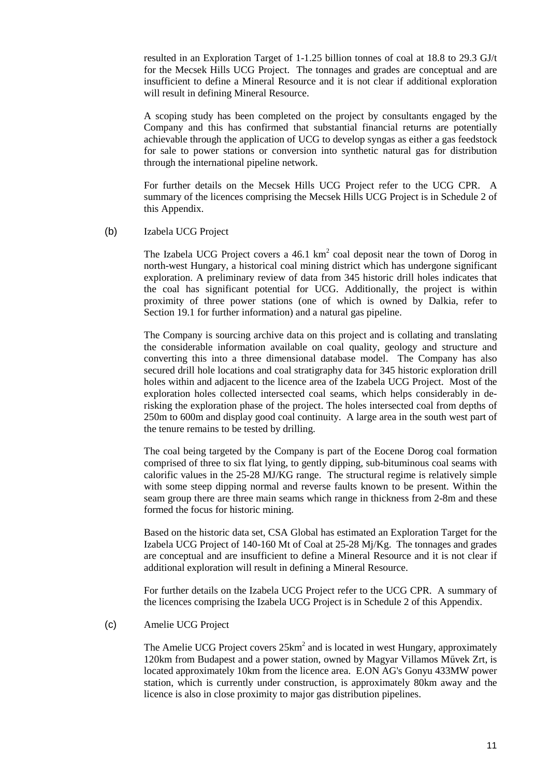resulted in an Exploration Target of 1-1.25 billion tonnes of coal at 18.8 to 29.3 GJ/t for the Mecsek Hills UCG Project. The tonnages and grades are conceptual and are insufficient to define a Mineral Resource and it is not clear if additional exploration will result in defining Mineral Resource.

A scoping study has been completed on the project by consultants engaged by the Company and this has confirmed that substantial financial returns are potentially achievable through the application of UCG to develop syngas as either a gas feedstock for sale to power stations or conversion into synthetic natural gas for distribution through the international pipeline network.

For further details on the Mecsek Hills UCG Project refer to the UCG CPR. A summary of the licences comprising the Mecsek Hills UCG Project is in Schedule 2 of this Appendix.

(b) Izabela UCG Project

The Izabela UCG Project covers a  $46.1 \text{ km}^2$  coal deposit near the town of Dorog in north-west Hungary, a historical coal mining district which has undergone significant exploration. A preliminary review of data from 345 historic drill holes indicates that the coal has significant potential for UCG. Additionally, the project is within proximity of three power stations (one of which is owned by Dalkia, refer to Section 19.1 for further information) and a natural gas pipeline.

The Company is sourcing archive data on this project and is collating and translating the considerable information available on coal quality, geology and structure and converting this into a three dimensional database model. The Company has also secured drill hole locations and coal stratigraphy data for 345 historic exploration drill holes within and adjacent to the licence area of the Izabela UCG Project. Most of the exploration holes collected intersected coal seams, which helps considerably in derisking the exploration phase of the project. The holes intersected coal from depths of 250m to 600m and display good coal continuity. A large area in the south west part of the tenure remains to be tested by drilling.

The coal being targeted by the Company is part of the Eocene Dorog coal formation comprised of three to six flat lying, to gently dipping, sub-bituminous coal seams with calorific values in the 25-28 MJ/KG range. The structural regime is relatively simple with some steep dipping normal and reverse faults known to be present. Within the seam group there are three main seams which range in thickness from 2-8m and these formed the focus for historic mining.

Based on the historic data set, CSA Global has estimated an Exploration Target for the Izabela UCG Project of 140-160 Mt of Coal at 25-28 Mj/Kg. The tonnages and grades are conceptual and are insufficient to define a Mineral Resource and it is not clear if additional exploration will result in defining a Mineral Resource.

For further details on the Izabela UCG Project refer to the UCG CPR. A summary of the licences comprising the Izabela UCG Project is in Schedule 2 of this Appendix.

(c) Amelie UCG Project

The Amelie UCG Project covers  $25 \text{km}^2$  and is located in west Hungary, approximately 120km from Budapest and a power station, owned by Magyar Villamos Mővek Zrt, is located approximately 10km from the licence area. E.ON AG's Gonyu 433MW power station, which is currently under construction, is approximately 80km away and the licence is also in close proximity to major gas distribution pipelines.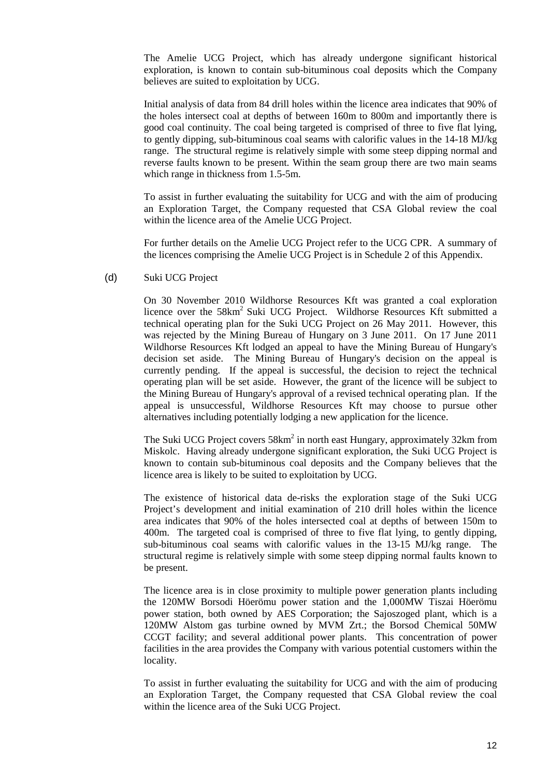The Amelie UCG Project, which has already undergone significant historical exploration, is known to contain sub-bituminous coal deposits which the Company believes are suited to exploitation by UCG.

Initial analysis of data from 84 drill holes within the licence area indicates that 90% of the holes intersect coal at depths of between 160m to 800m and importantly there is good coal continuity. The coal being targeted is comprised of three to five flat lying, to gently dipping, sub-bituminous coal seams with calorific values in the 14-18 MJ/kg range. The structural regime is relatively simple with some steep dipping normal and reverse faults known to be present. Within the seam group there are two main seams which range in thickness from 1.5-5m.

To assist in further evaluating the suitability for UCG and with the aim of producing an Exploration Target, the Company requested that CSA Global review the coal within the licence area of the Amelie UCG Project.

For further details on the Amelie UCG Project refer to the UCG CPR. A summary of the licences comprising the Amelie UCG Project is in Schedule 2 of this Appendix.

(d) Suki UCG Project

On 30 November 2010 Wildhorse Resources Kft was granted a coal exploration licence over the 58km<sup>2</sup> Suki UCG Project. Wildhorse Resources Kft submitted a technical operating plan for the Suki UCG Project on 26 May 2011. However, this was rejected by the Mining Bureau of Hungary on 3 June 2011. On 17 June 2011 Wildhorse Resources Kft lodged an appeal to have the Mining Bureau of Hungary's decision set aside. The Mining Bureau of Hungary's decision on the appeal is currently pending. If the appeal is successful, the decision to reject the technical operating plan will be set aside. However, the grant of the licence will be subject to the Mining Bureau of Hungary's approval of a revised technical operating plan. If the appeal is unsuccessful, Wildhorse Resources Kft may choose to pursue other alternatives including potentially lodging a new application for the licence.

The Suki UCG Project covers  $58 \text{km}^2$  in north east Hungary, approximately 32km from Miskolc. Having already undergone significant exploration, the Suki UCG Project is known to contain sub-bituminous coal deposits and the Company believes that the licence area is likely to be suited to exploitation by UCG.

The existence of historical data de-risks the exploration stage of the Suki UCG Project's development and initial examination of 210 drill holes within the licence area indicates that 90% of the holes intersected coal at depths of between 150m to 400m. The targeted coal is comprised of three to five flat lying, to gently dipping, sub-bituminous coal seams with calorific values in the 13-15 MJ/kg range. The structural regime is relatively simple with some steep dipping normal faults known to be present.

The licence area is in close proximity to multiple power generation plants including the 120MW Borsodi Höerömu power station and the 1,000MW Tiszai Höerömu power station, both owned by AES Corporation; the Sajoszoged plant, which is a 120MW Alstom gas turbine owned by MVM Zrt.; the Borsod Chemical 50MW CCGT facility; and several additional power plants. This concentration of power facilities in the area provides the Company with various potential customers within the locality.

To assist in further evaluating the suitability for UCG and with the aim of producing an Exploration Target, the Company requested that CSA Global review the coal within the licence area of the Suki UCG Project.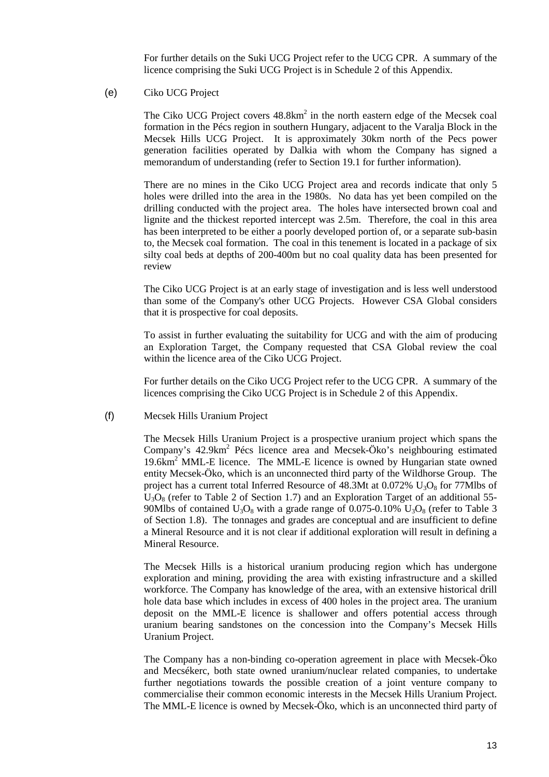For further details on the Suki UCG Project refer to the UCG CPR. A summary of the licence comprising the Suki UCG Project is in Schedule 2 of this Appendix.

#### (e) Ciko UCG Project

The Ciko UCG Project covers  $48.8 \text{km}^2$  in the north eastern edge of the Mecsek coal formation in the Pécs region in southern Hungary, adjacent to the Varalja Block in the Mecsek Hills UCG Project. It is approximately 30km north of the Pecs power generation facilities operated by Dalkia with whom the Company has signed a memorandum of understanding (refer to Section 19.1 for further information).

There are no mines in the Ciko UCG Project area and records indicate that only 5 holes were drilled into the area in the 1980s. No data has yet been compiled on the drilling conducted with the project area. The holes have intersected brown coal and lignite and the thickest reported intercept was 2.5m. Therefore, the coal in this area has been interpreted to be either a poorly developed portion of, or a separate sub-basin to, the Mecsek coal formation. The coal in this tenement is located in a package of six silty coal beds at depths of 200-400m but no coal quality data has been presented for review

The Ciko UCG Project is at an early stage of investigation and is less well understood than some of the Company's other UCG Projects. However CSA Global considers that it is prospective for coal deposits.

To assist in further evaluating the suitability for UCG and with the aim of producing an Exploration Target, the Company requested that CSA Global review the coal within the licence area of the Ciko UCG Project.

For further details on the Ciko UCG Project refer to the UCG CPR. A summary of the licences comprising the Ciko UCG Project is in Schedule 2 of this Appendix.

#### (f) Mecsek Hills Uranium Project

The Mecsek Hills Uranium Project is a prospective uranium project which spans the Company's 42.9km<sup>2</sup> Pécs licence area and Mecsek-Öko's neighbouring estimated 19.6km<sup>2</sup> MML-E licence. The MML-E licence is owned by Hungarian state owned entity Mecsek-Öko, which is an unconnected third party of the Wildhorse Group. The project has a current total Inferred Resource of 48.3Mt at  $0.072\%$  U<sub>3</sub>O<sub>8</sub> for 77Mlbs of  $U_3O_8$  (refer to Table 2 of Section 1.7) and an Exploration Target of an additional 55-90Mlbs of contained  $U_3O_8$  with a grade range of 0.075-0.10%  $U_3O_8$  (refer to Table 3 of Section 1.8). The tonnages and grades are conceptual and are insufficient to define a Mineral Resource and it is not clear if additional exploration will result in defining a Mineral Resource.

The Mecsek Hills is a historical uranium producing region which has undergone exploration and mining, providing the area with existing infrastructure and a skilled workforce. The Company has knowledge of the area, with an extensive historical drill hole data base which includes in excess of 400 holes in the project area. The uranium deposit on the MML-E licence is shallower and offers potential access through uranium bearing sandstones on the concession into the Company's Mecsek Hills Uranium Project.

The Company has a non-binding co-operation agreement in place with Mecsek-Öko and Mecsékerc, both state owned uranium/nuclear related companies, to undertake further negotiations towards the possible creation of a joint venture company to commercialise their common economic interests in the Mecsek Hills Uranium Project. The MML-E licence is owned by Mecsek-Öko, which is an unconnected third party of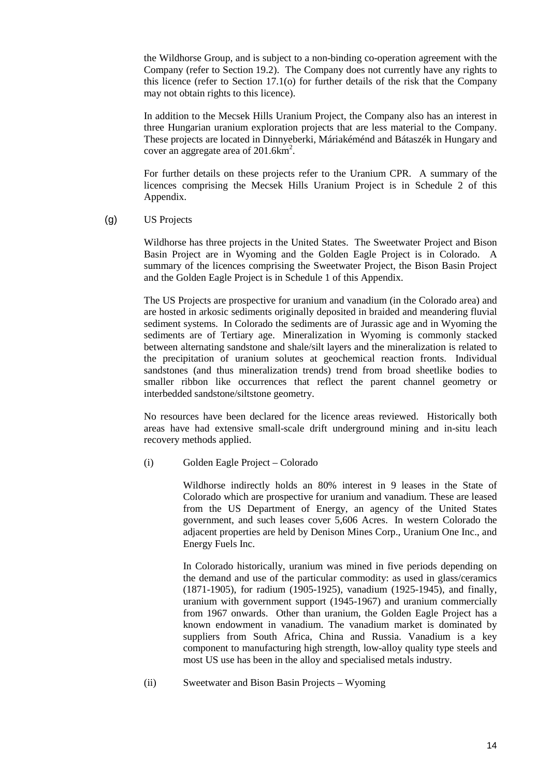the Wildhorse Group, and is subject to a non-binding co-operation agreement with the Company (refer to Section 19.2). The Company does not currently have any rights to this licence (refer to Section 17.1(o) for further details of the risk that the Company may not obtain rights to this licence).

In addition to the Mecsek Hills Uranium Project, the Company also has an interest in three Hungarian uranium exploration projects that are less material to the Company. These projects are located in Dinnyeberki, Máriakéménd and Bátaszék in Hungary and cover an aggregate area of  $201.6 \text{km}^2$ .

For further details on these projects refer to the Uranium CPR. A summary of the licences comprising the Mecsek Hills Uranium Project is in Schedule 2 of this Appendix.

(g) US Projects

Wildhorse has three projects in the United States. The Sweetwater Project and Bison Basin Project are in Wyoming and the Golden Eagle Project is in Colorado. A summary of the licences comprising the Sweetwater Project, the Bison Basin Project and the Golden Eagle Project is in Schedule 1 of this Appendix.

The US Projects are prospective for uranium and vanadium (in the Colorado area) and are hosted in arkosic sediments originally deposited in braided and meandering fluvial sediment systems. In Colorado the sediments are of Jurassic age and in Wyoming the sediments are of Tertiary age. Mineralization in Wyoming is commonly stacked between alternating sandstone and shale/silt layers and the mineralization is related to the precipitation of uranium solutes at geochemical reaction fronts. Individual sandstones (and thus mineralization trends) trend from broad sheetlike bodies to smaller ribbon like occurrences that reflect the parent channel geometry or interbedded sandstone/siltstone geometry.

No resources have been declared for the licence areas reviewed. Historically both areas have had extensive small-scale drift underground mining and in-situ leach recovery methods applied.

(i) Golden Eagle Project – Colorado

Wildhorse indirectly holds an 80% interest in 9 leases in the State of Colorado which are prospective for uranium and vanadium. These are leased from the US Department of Energy, an agency of the United States government, and such leases cover 5,606 Acres. In western Colorado the adjacent properties are held by Denison Mines Corp., Uranium One Inc., and Energy Fuels Inc.

In Colorado historically, uranium was mined in five periods depending on the demand and use of the particular commodity: as used in glass/ceramics (1871-1905), for radium (1905-1925), vanadium (1925-1945), and finally, uranium with government support (1945-1967) and uranium commercially from 1967 onwards. Other than uranium, the Golden Eagle Project has a known endowment in vanadium. The vanadium market is dominated by suppliers from South Africa, China and Russia. Vanadium is a key component to manufacturing high strength, low-alloy quality type steels and most US use has been in the alloy and specialised metals industry.

(ii) Sweetwater and Bison Basin Projects – Wyoming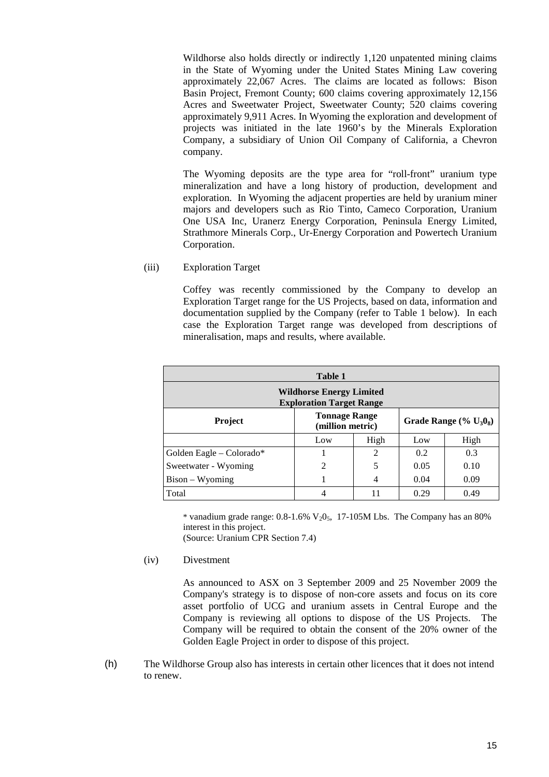Wildhorse also holds directly or indirectly 1,120 unpatented mining claims in the State of Wyoming under the United States Mining Law covering approximately 22,067 Acres. The claims are located as follows: Bison Basin Project, Fremont County; 600 claims covering approximately 12,156 Acres and Sweetwater Project, Sweetwater County; 520 claims covering approximately 9,911 Acres. In Wyoming the exploration and development of projects was initiated in the late 1960's by the Minerals Exploration Company, a subsidiary of Union Oil Company of California, a Chevron company.

The Wyoming deposits are the type area for "roll-front" uranium type mineralization and have a long history of production, development and exploration. In Wyoming the adjacent properties are held by uranium miner majors and developers such as Rio Tinto, Cameco Corporation, Uranium One USA Inc, Uranerz Energy Corporation, Peninsula Energy Limited, Strathmore Minerals Corp., Ur-Energy Corporation and Powertech Uranium Corporation.

#### (iii) Exploration Target

Coffey was recently commissioned by the Company to develop an Exploration Target range for the US Projects, based on data, information and documentation supplied by the Company (refer to Table 1 below). In each case the Exploration Target range was developed from descriptions of mineralisation, maps and results, where available.

| Table 1                                                            |                                          |                             |                           |      |
|--------------------------------------------------------------------|------------------------------------------|-----------------------------|---------------------------|------|
| <b>Wildhorse Energy Limited</b><br><b>Exploration Target Range</b> |                                          |                             |                           |      |
| <b>Project</b>                                                     | <b>Tonnage Range</b><br>(million metric) |                             | Grade Range $(\% U_30_8)$ |      |
|                                                                    | Low                                      | High                        | Low                       | High |
| Golden Eagle $-$ Colorado*                                         |                                          | $\mathcal{D}_{\mathcal{L}}$ | 0.2                       | 0.3  |
| Sweetwater - Wyoming                                               | $\mathfrak{D}$                           | 5                           | 0.05                      | 0.10 |
| $Bison - Wyoming$                                                  |                                          |                             | 0.04                      | 0.09 |
| Total                                                              |                                          | 11                          | 0.29                      | 0.49 |

\* vanadium grade range:  $0.8-1.6\%$  V<sub>2</sub>0<sub>5</sub>, 17-105M Lbs. The Company has an 80% interest in this project. (Source: Uranium CPR Section 7.4)

(iv) Divestment

As announced to ASX on 3 September 2009 and 25 November 2009 the Company's strategy is to dispose of non-core assets and focus on its core asset portfolio of UCG and uranium assets in Central Europe and the Company is reviewing all options to dispose of the US Projects. The Company will be required to obtain the consent of the 20% owner of the Golden Eagle Project in order to dispose of this project.

(h) The Wildhorse Group also has interests in certain other licences that it does not intend to renew.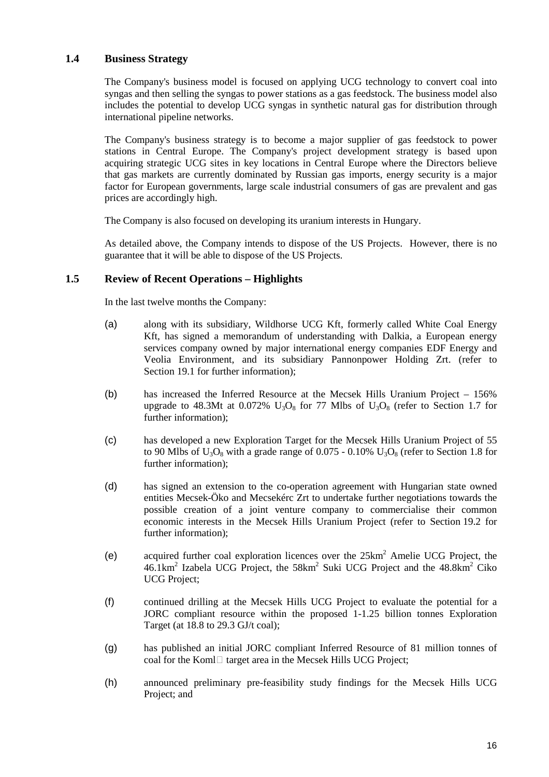#### **1.4 Business Strategy**

The Company's business model is focused on applying UCG technology to convert coal into syngas and then selling the syngas to power stations as a gas feedstock. The business model also includes the potential to develop UCG syngas in synthetic natural gas for distribution through international pipeline networks.

The Company's business strategy is to become a major supplier of gas feedstock to power stations in Central Europe. The Company's project development strategy is based upon acquiring strategic UCG sites in key locations in Central Europe where the Directors believe that gas markets are currently dominated by Russian gas imports, energy security is a major factor for European governments, large scale industrial consumers of gas are prevalent and gas prices are accordingly high.

The Company is also focused on developing its uranium interests in Hungary.

As detailed above, the Company intends to dispose of the US Projects. However, there is no guarantee that it will be able to dispose of the US Projects.

## **1.5 Review of Recent Operations – Highlights**

In the last twelve months the Company:

- (a) along with its subsidiary, Wildhorse UCG Kft, formerly called White Coal Energy Kft, has signed a memorandum of understanding with Dalkia, a European energy services company owned by major international energy companies EDF Energy and Veolia Environment, and its subsidiary Pannonpower Holding Zrt. (refer to Section 19.1 for further information):
- (b) has increased the Inferred Resource at the Mecsek Hills Uranium Project 156% upgrade to 48.3Mt at 0.072%  $U_3O_8$  for 77 Mlbs of  $U_3O_8$  (refer to Section 1.7 for further information);
- (c) has developed a new Exploration Target for the Mecsek Hills Uranium Project of 55 to 90 Mlbs of  $U_3O_8$  with a grade range of 0.075 - 0.10%  $U_3O_8$  (refer to Section 1.8 for further information);
- (d) has signed an extension to the co-operation agreement with Hungarian state owned entities Mecsek-Öko and Mecsekérc Zrt to undertake further negotiations towards the possible creation of a joint venture company to commercialise their common economic interests in the Mecsek Hills Uranium Project (refer to Section 19.2 for further information);
- (e) acquired further coal exploration licences over the 25km<sup>2</sup> Amelie UCG Project, the  $46.1 \text{km}^2$  Izabela UCG Project, the  $58 \text{km}^2$  Suki UCG Project and the  $48.8 \text{km}^2$  Ciko UCG Project;
- (f) continued drilling at the Mecsek Hills UCG Project to evaluate the potential for a JORC compliant resource within the proposed 1-1.25 billion tonnes Exploration Target (at 18.8 to 29.3 GJ/t coal);
- (g) has published an initial JORC compliant Inferred Resource of 81 million tonnes of coal for the Koml $\Box$  target area in the Mecsek Hills UCG Project;
- (h) announced preliminary pre-feasibility study findings for the Mecsek Hills UCG Project; and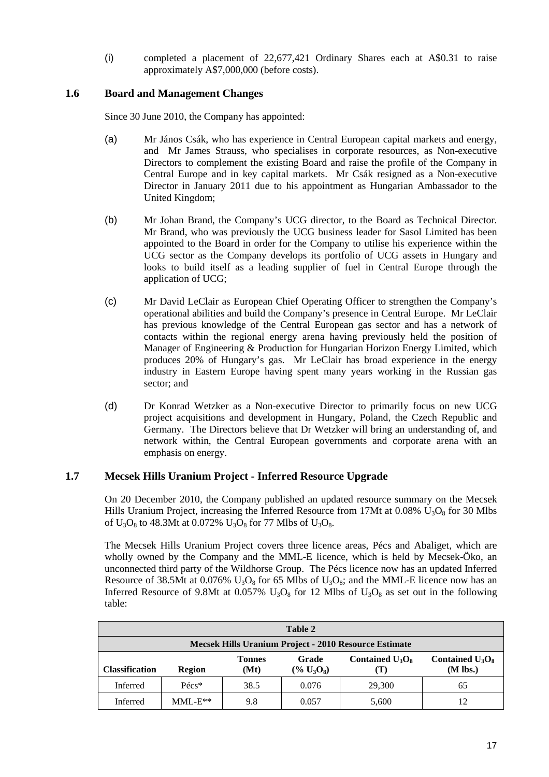(i) completed a placement of 22,677,421 Ordinary Shares each at A\$0.31 to raise approximately A\$7,000,000 (before costs).

#### **1.6 Board and Management Changes**

Since 30 June 2010, the Company has appointed:

- (a) Mr János Csák, who has experience in Central European capital markets and energy, and Mr James Strauss, who specialises in corporate resources, as Non-executive Directors to complement the existing Board and raise the profile of the Company in Central Europe and in key capital markets. Mr Csák resigned as a Non-executive Director in January 2011 due to his appointment as Hungarian Ambassador to the United Kingdom;
- (b) Mr Johan Brand, the Company's UCG director, to the Board as Technical Director. Mr Brand, who was previously the UCG business leader for Sasol Limited has been appointed to the Board in order for the Company to utilise his experience within the UCG sector as the Company develops its portfolio of UCG assets in Hungary and looks to build itself as a leading supplier of fuel in Central Europe through the application of UCG;
- (c) Mr David LeClair as European Chief Operating Officer to strengthen the Company's operational abilities and build the Company's presence in Central Europe. Mr LeClair has previous knowledge of the Central European gas sector and has a network of contacts within the regional energy arena having previously held the position of Manager of Engineering & Production for Hungarian Horizon Energy Limited, which produces 20% of Hungary's gas. Mr LeClair has broad experience in the energy industry in Eastern Europe having spent many years working in the Russian gas sector; and
- (d) Dr Konrad Wetzker as a Non-executive Director to primarily focus on new UCG project acquisitions and development in Hungary, Poland, the Czech Republic and Germany. The Directors believe that Dr Wetzker will bring an understanding of, and network within, the Central European governments and corporate arena with an emphasis on energy.

#### **1.7 Mecsek Hills Uranium Project - Inferred Resource Upgrade**

On 20 December 2010, the Company published an updated resource summary on the Mecsek Hills Uranium Project, increasing the Inferred Resource from 17Mt at  $0.08\%$  U<sub>3</sub>O<sub>8</sub> for 30 Mlbs of  $U_3O_8$  to 48.3Mt at 0.072%  $U_3O_8$  for 77 Mlbs of  $U_3O_8$ .

The Mecsek Hills Uranium Project covers three licence areas, Pécs and Abaliget, which are wholly owned by the Company and the MML-E licence, which is held by Mecsek-Öko, an unconnected third party of the Wildhorse Group. The Pécs licence now has an updated Inferred Resource of 38.5Mt at 0.076%  $U_3O_8$  for 65 Mlbs of  $U_3O_8$ ; and the MML-E licence now has an Inferred Resource of 9.8Mt at 0.057%  $U_3O_8$  for 12 Mlbs of  $U_3O_8$  as set out in the following table:

| Table 2                                                                                                                                                  |                 |      |       |        |    |  |
|----------------------------------------------------------------------------------------------------------------------------------------------------------|-----------------|------|-------|--------|----|--|
| Mecsek Hills Uranium Project - 2010 Resource Estimate                                                                                                    |                 |      |       |        |    |  |
| Contained $U_3O_8$<br>Contained $U_3O_8$<br>Grade<br><b>Tonnes</b><br>$(M$ lbs.)<br>$(\% U_3O_8)$<br><b>Classification</b><br>(Mt)<br><b>Region</b><br>U |                 |      |       |        |    |  |
| Inferred                                                                                                                                                 | $P\acute{e}cs*$ | 38.5 | 0.076 | 29,300 | 65 |  |
| Inferred                                                                                                                                                 | $MMLE**$        | 9.8  | 0.057 | 5,600  |    |  |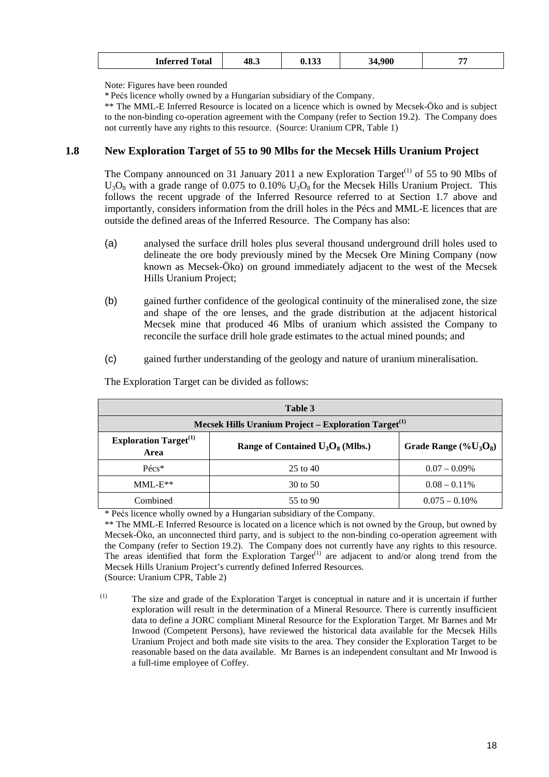|  | $\overline{\phantom{a}}$<br>Inferred<br>Total | 48.3 | $\sim$<br>,,,,, | .900<br>. . | -- |
|--|-----------------------------------------------|------|-----------------|-------------|----|
|--|-----------------------------------------------|------|-----------------|-------------|----|

Note: Figures have been rounded

\* Pećs licence wholly owned by a Hungarian subsidiary of the Company.

\*\* The MML-E Inferred Resource is located on a licence which is owned by Mecsek-Öko and is subject to the non-binding co-operation agreement with the Company (refer to Section 19.2). The Company does not currently have any rights to this resource. (Source: Uranium CPR, Table 1)

#### **1.8 New Exploration Target of 55 to 90 Mlbs for the Mecsek Hills Uranium Project**

The Company announced on 31 January 2011 a new Exploration Target<sup>(1)</sup> of 55 to 90 Mlbs of  $U_3O_8$  with a grade range of 0.075 to 0.10%  $U_3O_8$  for the Mecsek Hills Uranium Project. This follows the recent upgrade of the Inferred Resource referred to at Section 1.7 above and importantly, considers information from the drill holes in the Pécs and MML-E licences that are outside the defined areas of the Inferred Resource. The Company has also:

- (a) analysed the surface drill holes plus several thousand underground drill holes used to delineate the ore body previously mined by the Mecsek Ore Mining Company (now known as Mecsek-Öko) on ground immediately adjacent to the west of the Mecsek Hills Uranium Project;
- (b) gained further confidence of the geological continuity of the mineralised zone, the size and shape of the ore lenses, and the grade distribution at the adjacent historical Mecsek mine that produced 46 Mlbs of uranium which assisted the Company to reconcile the surface drill hole grade estimates to the actual mined pounds; and
- (c) gained further understanding of the geology and nature of uranium mineralisation.

| Table 3                                                                                                             |              |                  |  |  |  |
|---------------------------------------------------------------------------------------------------------------------|--------------|------------------|--|--|--|
| Mecsek Hills Uranium Project – Exploration Target <sup>(1)</sup>                                                    |              |                  |  |  |  |
| <b>Exploration Target</b> <sup>(1)</sup><br>Range of Contained $U_3O_8$ (Mlbs.)<br>Grade Range $(\%U_3O_8)$<br>Area |              |                  |  |  |  |
| $P\acute{e}cs*$                                                                                                     | $25$ to $40$ | $0.07 - 0.09\%$  |  |  |  |
| $MML-E**$                                                                                                           | 30 to 50     | $0.08 - 0.11\%$  |  |  |  |
| Combined                                                                                                            | 55 to 90     | $0.075 - 0.10\%$ |  |  |  |

The Exploration Target can be divided as follows:

\* Pećs licence wholly owned by a Hungarian subsidiary of the Company.

\*\* The MML-E Inferred Resource is located on a licence which is not owned by the Group, but owned by Mecsek-Öko, an unconnected third party, and is subject to the non-binding co-operation agreement with the Company (refer to Section 19.2). The Company does not currently have any rights to this resource. The areas identified that form the Exploration Target<sup>(1)</sup> are adjacent to and/or along trend from the Mecsek Hills Uranium Project's currently defined Inferred Resources. (Source: Uranium CPR, Table 2)

 (1) The size and grade of the Exploration Target is conceptual in nature and it is uncertain if further exploration will result in the determination of a Mineral Resource. There is currently insufficient data to define a JORC compliant Mineral Resource for the Exploration Target. Mr Barnes and Mr Inwood (Competent Persons), have reviewed the historical data available for the Mecsek Hills Uranium Project and both made site visits to the area. They consider the Exploration Target to be reasonable based on the data available. Mr Barnes is an independent consultant and Mr Inwood is a full-time employee of Coffey.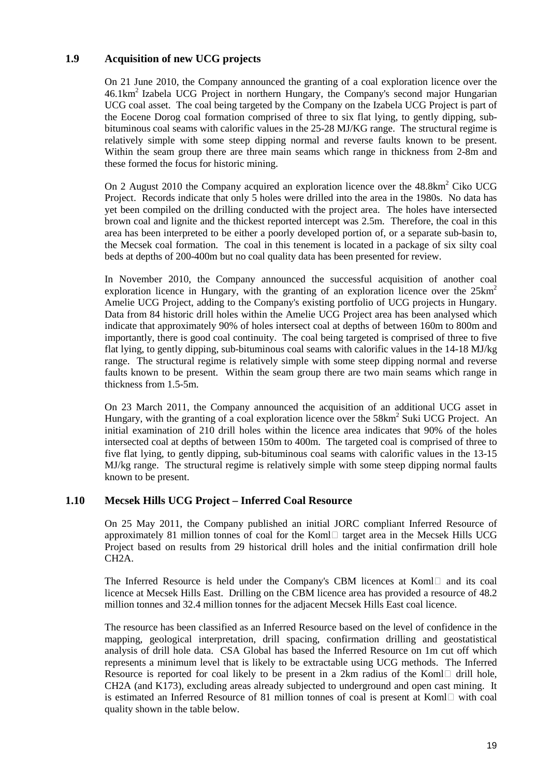# **1.9 Acquisition of new UCG projects**

On 21 June 2010, the Company announced the granting of a coal exploration licence over the  $46.1 \text{km}^2$  Izabela UCG Project in northern Hungary, the Company's second major Hungarian UCG coal asset. The coal being targeted by the Company on the Izabela UCG Project is part of the Eocene Dorog coal formation comprised of three to six flat lying, to gently dipping, subbituminous coal seams with calorific values in the 25-28 MJ/KG range. The structural regime is relatively simple with some steep dipping normal and reverse faults known to be present. Within the seam group there are three main seams which range in thickness from 2-8m and these formed the focus for historic mining.

On 2 August 2010 the Company acquired an exploration licence over the  $48.8 \text{km}^2$  Ciko UCG Project. Records indicate that only 5 holes were drilled into the area in the 1980s. No data has yet been compiled on the drilling conducted with the project area. The holes have intersected brown coal and lignite and the thickest reported intercept was 2.5m. Therefore, the coal in this area has been interpreted to be either a poorly developed portion of, or a separate sub-basin to, the Mecsek coal formation. The coal in this tenement is located in a package of six silty coal beds at depths of 200-400m but no coal quality data has been presented for review.

In November 2010, the Company announced the successful acquisition of another coal exploration licence in Hungary, with the granting of an exploration licence over the  $25 \text{km}^2$ Amelie UCG Project, adding to the Company's existing portfolio of UCG projects in Hungary. Data from 84 historic drill holes within the Amelie UCG Project area has been analysed which indicate that approximately 90% of holes intersect coal at depths of between 160m to 800m and importantly, there is good coal continuity. The coal being targeted is comprised of three to five flat lying, to gently dipping, sub-bituminous coal seams with calorific values in the 14-18 MJ/kg range. The structural regime is relatively simple with some steep dipping normal and reverse faults known to be present. Within the seam group there are two main seams which range in thickness from 1.5-5m.

On 23 March 2011, the Company announced the acquisition of an additional UCG asset in Hungary, with the granting of a coal exploration licence over the  $58 \text{km}^2$  Suki UCG Project. An initial examination of 210 drill holes within the licence area indicates that 90% of the holes intersected coal at depths of between 150m to 400m. The targeted coal is comprised of three to five flat lying, to gently dipping, sub-bituminous coal seams with calorific values in the 13-15 MJ/kg range. The structural regime is relatively simple with some steep dipping normal faults known to be present.

#### **1.10 Mecsek Hills UCG Project – Inferred Coal Resource**

On 25 May 2011, the Company published an initial JORC compliant Inferred Resource of approximately 81 million tonnes of coal for the Koml $\Box$  target area in the Mecsek Hills UCG Project based on results from 29 historical drill holes and the initial confirmation drill hole CH2A.

The Inferred Resource is held under the Company's CBM licences at Kom $\Box$  and its coal licence at Mecsek Hills East. Drilling on the CBM licence area has provided a resource of 48.2 million tonnes and 32.4 million tonnes for the adjacent Mecsek Hills East coal licence.

The resource has been classified as an Inferred Resource based on the level of confidence in the mapping, geological interpretation, drill spacing, confirmation drilling and geostatistical analysis of drill hole data. CSA Global has based the Inferred Resource on 1m cut off which represents a minimum level that is likely to be extractable using UCG methods. The Inferred Resource is reported for coal likely to be present in a 2km radius of the Koml $\Box$  drill hole, CH2A (and K173), excluding areas already subjected to underground and open cast mining. It is estimated an Inferred Resource of 81 million tonnes of coal is present at Koml $\Box$  with coal quality shown in the table below.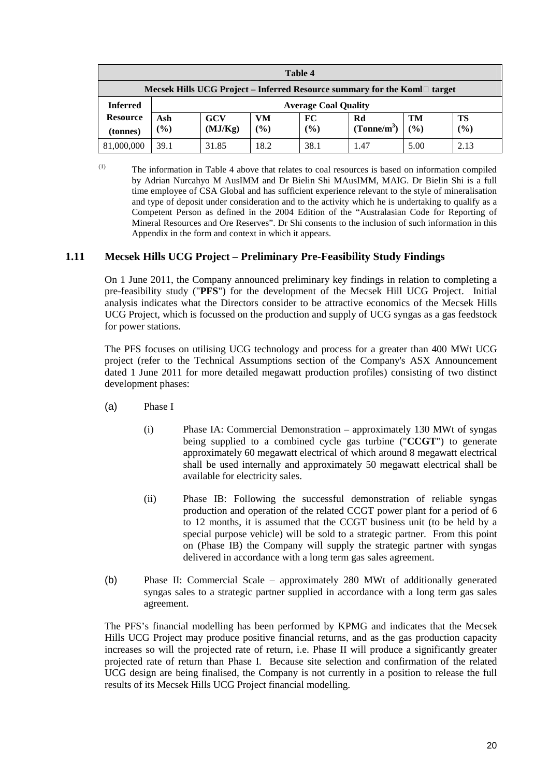| Table 4                                                                     |        |                             |      |        |                         |      |      |
|-----------------------------------------------------------------------------|--------|-----------------------------|------|--------|-------------------------|------|------|
| Mecsek Hills UCG Project – Inferred Resource summary for the Koml<br>target |        |                             |      |        |                         |      |      |
| <b>Inferred</b>                                                             |        | <b>Average Coal Quality</b> |      |        |                         |      |      |
| <b>Resource</b>                                                             | Ash    | <b>GCV</b>                  | VM   | FC     | Rd                      | TM   | TS   |
| (tonnes)                                                                    | $(\%)$ | (MJ/Kg)                     | (%)  | $(\%)$ | (Tonne/m <sup>3</sup> ) | (%)  | (%)  |
| 81,000,000                                                                  | 39.1   | 31.85                       | 18.2 | 38.1   | 1.47                    | 5.00 | 2.13 |

(1) The information in Table 4 above that relates to coal resources is based on information compiled by Adrian Nurcahyo M AusIMM and Dr Bielin Shi MAusIMM, MAIG. Dr Bielin Shi is a full time employee of CSA Global and has sufficient experience relevant to the style of mineralisation and type of deposit under consideration and to the activity which he is undertaking to qualify as a Competent Person as defined in the 2004 Edition of the "Australasian Code for Reporting of Mineral Resources and Ore Reserves". Dr Shi consents to the inclusion of such information in this Appendix in the form and context in which it appears.

#### **1.11 Mecsek Hills UCG Project – Preliminary Pre-Feasibility Study Findings**

On 1 June 2011, the Company announced preliminary key findings in relation to completing a pre-feasibility study ("**PFS**") for the development of the Mecsek Hill UCG Project. Initial analysis indicates what the Directors consider to be attractive economics of the Mecsek Hills UCG Project, which is focussed on the production and supply of UCG syngas as a gas feedstock for power stations.

The PFS focuses on utilising UCG technology and process for a greater than 400 MWt UCG project (refer to the Technical Assumptions section of the Company's ASX Announcement dated 1 June 2011 for more detailed megawatt production profiles) consisting of two distinct development phases:

- (a) Phase I
	- (i) Phase IA: Commercial Demonstration approximately 130 MWt of syngas being supplied to a combined cycle gas turbine ("**CCGT**") to generate approximately 60 megawatt electrical of which around 8 megawatt electrical shall be used internally and approximately 50 megawatt electrical shall be available for electricity sales.
	- (ii) Phase IB: Following the successful demonstration of reliable syngas production and operation of the related CCGT power plant for a period of 6 to 12 months, it is assumed that the CCGT business unit (to be held by a special purpose vehicle) will be sold to a strategic partner. From this point on (Phase IB) the Company will supply the strategic partner with syngas delivered in accordance with a long term gas sales agreement.
- (b) Phase II: Commercial Scale approximately 280 MWt of additionally generated syngas sales to a strategic partner supplied in accordance with a long term gas sales agreement.

The PFS's financial modelling has been performed by KPMG and indicates that the Mecsek Hills UCG Project may produce positive financial returns, and as the gas production capacity increases so will the projected rate of return, i.e. Phase II will produce a significantly greater projected rate of return than Phase I. Because site selection and confirmation of the related UCG design are being finalised, the Company is not currently in a position to release the full results of its Mecsek Hills UCG Project financial modelling.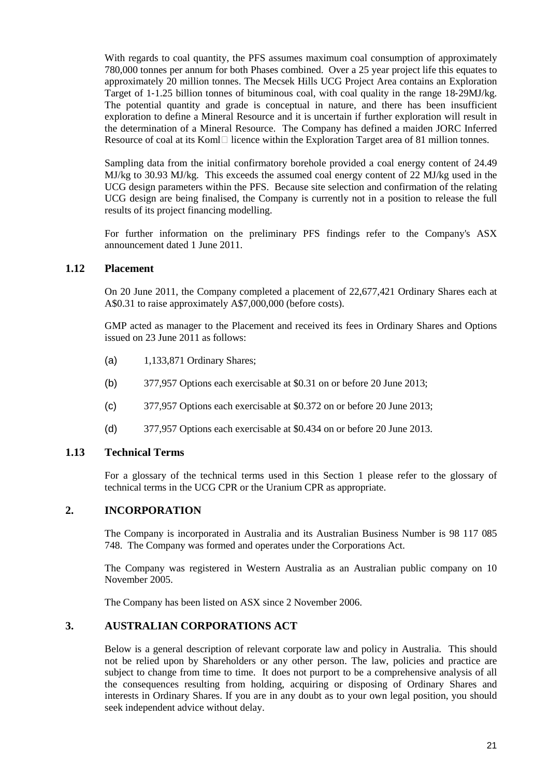With regards to coal quantity, the PFS assumes maximum coal consumption of approximately 780,000 tonnes per annum for both Phases combined. Over a 25 year project life this equates to approximately 20 million tonnes. The Mecsek Hills UCG Project Area contains an Exploration Target of 1-1.25 billion tonnes of bituminous coal, with coal quality in the range 18-29MJ/kg. The potential quantity and grade is conceptual in nature, and there has been insufficient exploration to define a Mineral Resource and it is uncertain if further exploration will result in the determination of a Mineral Resource. The Company has defined a maiden JORC Inferred Resource of coal at its Koml $\Box$  licence within the Exploration Target area of 81 million tonnes.

Sampling data from the initial confirmatory borehole provided a coal energy content of 24.49 MJ/kg to 30.93 MJ/kg. This exceeds the assumed coal energy content of 22 MJ/kg used in the UCG design parameters within the PFS. Because site selection and confirmation of the relating UCG design are being finalised, the Company is currently not in a position to release the full results of its project financing modelling.

For further information on the preliminary PFS findings refer to the Company's ASX announcement dated 1 June 2011.

#### **1.12 Placement**

On 20 June 2011, the Company completed a placement of 22,677,421 Ordinary Shares each at A\$0.31 to raise approximately A\$7,000,000 (before costs).

GMP acted as manager to the Placement and received its fees in Ordinary Shares and Options issued on 23 June 2011 as follows:

- (a) 1,133,871 Ordinary Shares;
- (b) 377,957 Options each exercisable at \$0.31 on or before 20 June 2013;
- (c) 377,957 Options each exercisable at \$0.372 on or before 20 June 2013;
- (d) 377,957 Options each exercisable at \$0.434 on or before 20 June 2013.

## **1.13 Technical Terms**

For a glossary of the technical terms used in this Section 1 please refer to the glossary of technical terms in the UCG CPR or the Uranium CPR as appropriate.

#### **2. INCORPORATION**

The Company is incorporated in Australia and its Australian Business Number is 98 117 085 748. The Company was formed and operates under the Corporations Act.

The Company was registered in Western Australia as an Australian public company on 10 November 2005.

The Company has been listed on ASX since 2 November 2006.

## **3. AUSTRALIAN CORPORATIONS ACT**

Below is a general description of relevant corporate law and policy in Australia. This should not be relied upon by Shareholders or any other person. The law, policies and practice are subject to change from time to time. It does not purport to be a comprehensive analysis of all the consequences resulting from holding, acquiring or disposing of Ordinary Shares and interests in Ordinary Shares. If you are in any doubt as to your own legal position, you should seek independent advice without delay.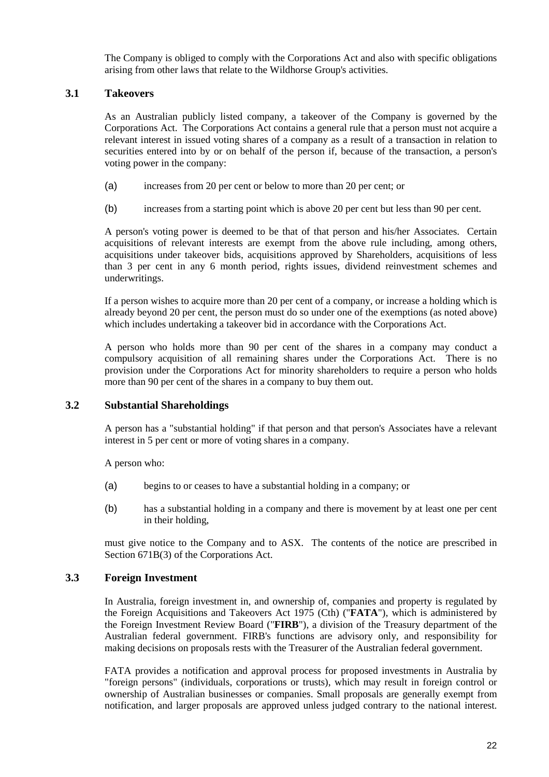The Company is obliged to comply with the Corporations Act and also with specific obligations arising from other laws that relate to the Wildhorse Group's activities.

#### **3.1 Takeovers**

As an Australian publicly listed company, a takeover of the Company is governed by the Corporations Act. The Corporations Act contains a general rule that a person must not acquire a relevant interest in issued voting shares of a company as a result of a transaction in relation to securities entered into by or on behalf of the person if, because of the transaction, a person's voting power in the company:

- (a) increases from 20 per cent or below to more than 20 per cent; or
- (b) increases from a starting point which is above 20 per cent but less than 90 per cent.

A person's voting power is deemed to be that of that person and his/her Associates. Certain acquisitions of relevant interests are exempt from the above rule including, among others, acquisitions under takeover bids, acquisitions approved by Shareholders, acquisitions of less than 3 per cent in any 6 month period, rights issues, dividend reinvestment schemes and underwritings.

If a person wishes to acquire more than 20 per cent of a company, or increase a holding which is already beyond 20 per cent, the person must do so under one of the exemptions (as noted above) which includes undertaking a takeover bid in accordance with the Corporations Act.

A person who holds more than 90 per cent of the shares in a company may conduct a compulsory acquisition of all remaining shares under the Corporations Act. There is no provision under the Corporations Act for minority shareholders to require a person who holds more than 90 per cent of the shares in a company to buy them out.

#### **3.2 Substantial Shareholdings**

A person has a "substantial holding" if that person and that person's Associates have a relevant interest in 5 per cent or more of voting shares in a company.

A person who:

- (a) begins to or ceases to have a substantial holding in a company; or
- (b) has a substantial holding in a company and there is movement by at least one per cent in their holding,

must give notice to the Company and to ASX. The contents of the notice are prescribed in Section 671B(3) of the Corporations Act.

#### **3.3 Foreign Investment**

In Australia, foreign investment in, and ownership of, companies and property is regulated by the Foreign Acquisitions and Takeovers Act 1975 (Cth) ("**FATA**"), which is administered by the Foreign Investment Review Board ("**FIRB**"), a division of the Treasury department of the Australian federal government. FIRB's functions are advisory only, and responsibility for making decisions on proposals rests with the Treasurer of the Australian federal government.

FATA provides a notification and approval process for proposed investments in Australia by "foreign persons" (individuals, corporations or trusts), which may result in foreign control or ownership of Australian businesses or companies. Small proposals are generally exempt from notification, and larger proposals are approved unless judged contrary to the national interest.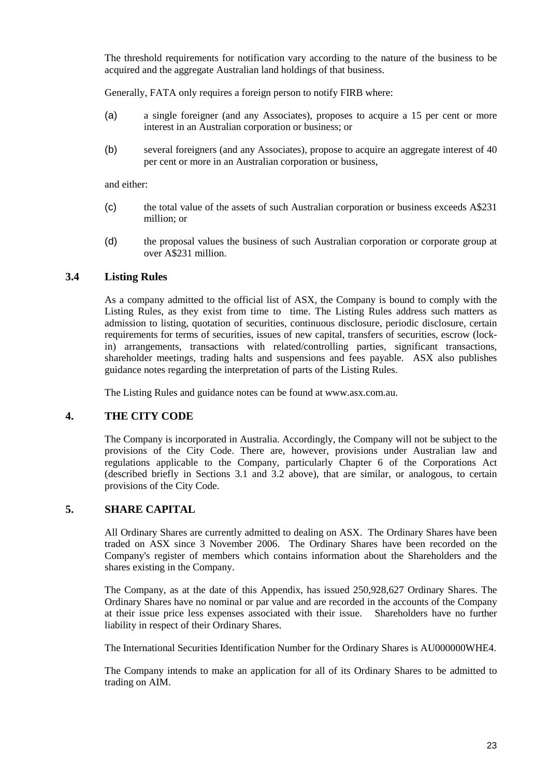The threshold requirements for notification vary according to the nature of the business to be acquired and the aggregate Australian land holdings of that business.

Generally, FATA only requires a foreign person to notify FIRB where:

- (a) a single foreigner (and any Associates), proposes to acquire a 15 per cent or more interest in an Australian corporation or business; or
- (b) several foreigners (and any Associates), propose to acquire an aggregate interest of 40 per cent or more in an Australian corporation or business,

and either:

- (c) the total value of the assets of such Australian corporation or business exceeds A\$231 million; or
- (d) the proposal values the business of such Australian corporation or corporate group at over A\$231 million.

#### **3.4 Listing Rules**

As a company admitted to the official list of ASX, the Company is bound to comply with the Listing Rules, as they exist from time to time. The Listing Rules address such matters as admission to listing, quotation of securities, continuous disclosure, periodic disclosure, certain requirements for terms of securities, issues of new capital, transfers of securities, escrow (lockin) arrangements, transactions with related/controlling parties, significant transactions, shareholder meetings, trading halts and suspensions and fees payable. ASX also publishes guidance notes regarding the interpretation of parts of the Listing Rules.

The Listing Rules and guidance notes can be found at www.asx.com.au.

#### **4. THE CITY CODE**

The Company is incorporated in Australia. Accordingly, the Company will not be subject to the provisions of the City Code. There are, however, provisions under Australian law and regulations applicable to the Company, particularly Chapter 6 of the Corporations Act (described briefly in Sections 3.1 and 3.2 above), that are similar, or analogous, to certain provisions of the City Code.

#### **5. SHARE CAPITAL**

All Ordinary Shares are currently admitted to dealing on ASX. The Ordinary Shares have been traded on ASX since 3 November 2006. The Ordinary Shares have been recorded on the Company's register of members which contains information about the Shareholders and the shares existing in the Company.

The Company, as at the date of this Appendix, has issued 250,928,627 Ordinary Shares. The Ordinary Shares have no nominal or par value and are recorded in the accounts of the Company at their issue price less expenses associated with their issue. Shareholders have no further liability in respect of their Ordinary Shares.

The International Securities Identification Number for the Ordinary Shares is AU000000WHE4.

The Company intends to make an application for all of its Ordinary Shares to be admitted to trading on AIM.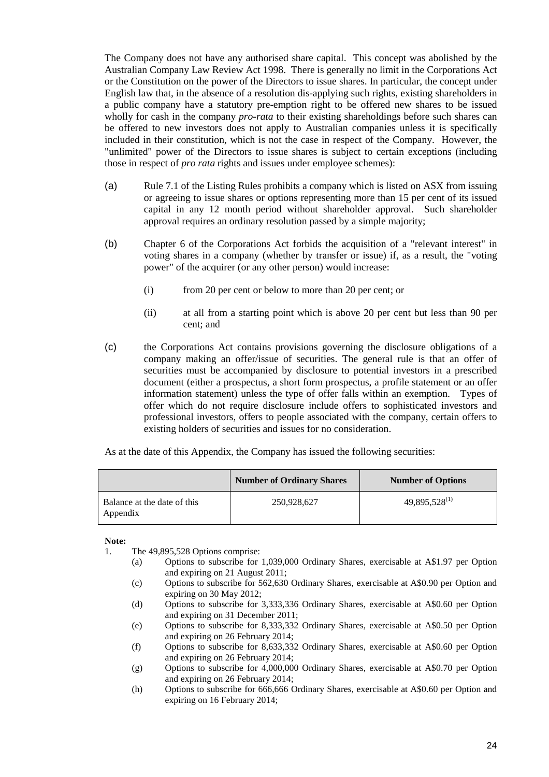The Company does not have any authorised share capital. This concept was abolished by the Australian Company Law Review Act 1998. There is generally no limit in the Corporations Act or the Constitution on the power of the Directors to issue shares. In particular, the concept under English law that, in the absence of a resolution dis-applying such rights, existing shareholders in a public company have a statutory pre-emption right to be offered new shares to be issued wholly for cash in the company *pro-rata* to their existing shareholdings before such shares can be offered to new investors does not apply to Australian companies unless it is specifically included in their constitution, which is not the case in respect of the Company. However, the "unlimited" power of the Directors to issue shares is subject to certain exceptions (including those in respect of *pro rata* rights and issues under employee schemes):

- (a) Rule 7.1 of the Listing Rules prohibits a company which is listed on ASX from issuing or agreeing to issue shares or options representing more than 15 per cent of its issued capital in any 12 month period without shareholder approval. Such shareholder approval requires an ordinary resolution passed by a simple majority;
- (b) Chapter 6 of the Corporations Act forbids the acquisition of a "relevant interest" in voting shares in a company (whether by transfer or issue) if, as a result, the "voting power" of the acquirer (or any other person) would increase:
	- (i) from 20 per cent or below to more than 20 per cent; or
	- (ii) at all from a starting point which is above 20 per cent but less than 90 per cent; and
- (c) the Corporations Act contains provisions governing the disclosure obligations of a company making an offer/issue of securities. The general rule is that an offer of securities must be accompanied by disclosure to potential investors in a prescribed document (either a prospectus, a short form prospectus, a profile statement or an offer information statement) unless the type of offer falls within an exemption. Types of offer which do not require disclosure include offers to sophisticated investors and professional investors, offers to people associated with the company, certain offers to existing holders of securities and issues for no consideration.

As at the date of this Appendix, the Company has issued the following securities:

|                                         | <b>Number of Ordinary Shares</b> | <b>Number of Options</b> |
|-----------------------------------------|----------------------------------|--------------------------|
| Balance at the date of this<br>Appendix | 250,928,627                      | $49,895,528^{(1)}$       |

**Note:** 

- 1. The 49,895,528 Options comprise:
	- (a) Options to subscribe for 1,039,000 Ordinary Shares, exercisable at A\$1.97 per Option and expiring on 21 August 2011;
	- (c) Options to subscribe for 562,630 Ordinary Shares, exercisable at A\$0.90 per Option and expiring on 30 May 2012;
	- (d) Options to subscribe for 3,333,336 Ordinary Shares, exercisable at A\$0.60 per Option and expiring on 31 December 2011;
	- (e) Options to subscribe for 8,333,332 Ordinary Shares, exercisable at A\$0.50 per Option and expiring on 26 February 2014;
	- (f) Options to subscribe for 8,633,332 Ordinary Shares, exercisable at A\$0.60 per Option and expiring on 26 February 2014;
	- (g) Options to subscribe for 4,000,000 Ordinary Shares, exercisable at A\$0.70 per Option and expiring on 26 February 2014;
	- (h) Options to subscribe for 666,666 Ordinary Shares, exercisable at A\$0.60 per Option and expiring on 16 February 2014;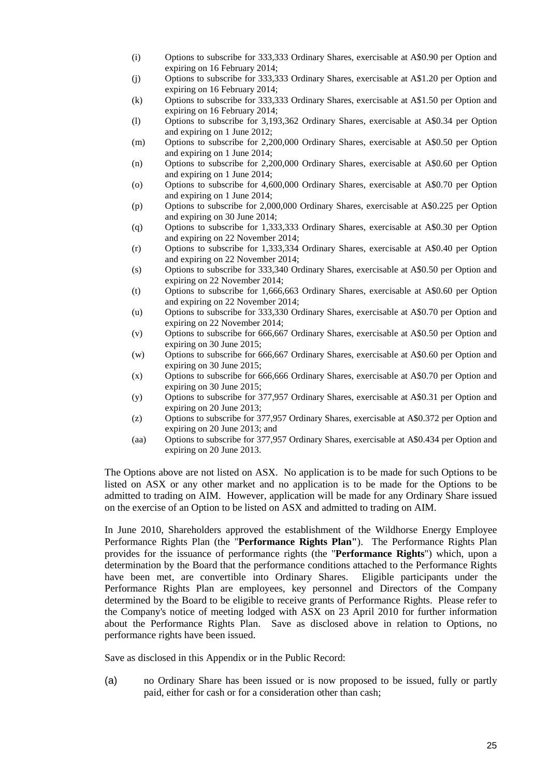- (i) Options to subscribe for 333,333 Ordinary Shares, exercisable at A\$0.90 per Option and expiring on 16 February 2014;
- (j) Options to subscribe for 333,333 Ordinary Shares, exercisable at A\$1.20 per Option and expiring on 16 February 2014;
- (k) Options to subscribe for 333,333 Ordinary Shares, exercisable at A\$1.50 per Option and expiring on 16 February 2014;
- (l) Options to subscribe for 3,193,362 Ordinary Shares, exercisable at A\$0.34 per Option and expiring on 1 June 2012;
- (m) Options to subscribe for 2,200,000 Ordinary Shares, exercisable at A\$0.50 per Option and expiring on 1 June 2014;
- (n) Options to subscribe for 2,200,000 Ordinary Shares, exercisable at A\$0.60 per Option and expiring on 1 June 2014;
- (o) Options to subscribe for 4,600,000 Ordinary Shares, exercisable at A\$0.70 per Option and expiring on 1 June 2014;
- (p) Options to subscribe for 2,000,000 Ordinary Shares, exercisable at A\$0.225 per Option and expiring on 30 June 2014;
- (q) Options to subscribe for 1,333,333 Ordinary Shares, exercisable at A\$0.30 per Option and expiring on 22 November 2014;
- (r) Options to subscribe for 1,333,334 Ordinary Shares, exercisable at A\$0.40 per Option and expiring on 22 November 2014;
- (s) Options to subscribe for 333,340 Ordinary Shares, exercisable at A\$0.50 per Option and expiring on 22 November 2014;
- (t) Options to subscribe for 1,666,663 Ordinary Shares, exercisable at A\$0.60 per Option and expiring on 22 November 2014;
- (u) Options to subscribe for 333,330 Ordinary Shares, exercisable at A\$0.70 per Option and expiring on 22 November 2014;
- (v) Options to subscribe for 666,667 Ordinary Shares, exercisable at A\$0.50 per Option and expiring on 30 June 2015;
- (w) Options to subscribe for 666,667 Ordinary Shares, exercisable at A\$0.60 per Option and expiring on 30 June 2015;
- (x) Options to subscribe for 666,666 Ordinary Shares, exercisable at A\$0.70 per Option and expiring on 30 June 2015;
- (y) Options to subscribe for 377,957 Ordinary Shares, exercisable at A\$0.31 per Option and expiring on 20 June 2013;
- (z) Options to subscribe for 377,957 Ordinary Shares, exercisable at A\$0.372 per Option and expiring on 20 June 2013; and
- (aa) Options to subscribe for 377,957 Ordinary Shares, exercisable at A\$0.434 per Option and expiring on 20 June 2013.

The Options above are not listed on ASX. No application is to be made for such Options to be listed on ASX or any other market and no application is to be made for the Options to be admitted to trading on AIM. However, application will be made for any Ordinary Share issued on the exercise of an Option to be listed on ASX and admitted to trading on AIM.

In June 2010, Shareholders approved the establishment of the Wildhorse Energy Employee Performance Rights Plan (the "**Performance Rights Plan"**). The Performance Rights Plan provides for the issuance of performance rights (the "**Performance Rights**") which, upon a determination by the Board that the performance conditions attached to the Performance Rights have been met, are convertible into Ordinary Shares. Eligible participants under the Performance Rights Plan are employees, key personnel and Directors of the Company determined by the Board to be eligible to receive grants of Performance Rights. Please refer to the Company's notice of meeting lodged with ASX on 23 April 2010 for further information about the Performance Rights Plan. Save as disclosed above in relation to Options, no performance rights have been issued.

Save as disclosed in this Appendix or in the Public Record:

(a) no Ordinary Share has been issued or is now proposed to be issued, fully or partly paid, either for cash or for a consideration other than cash;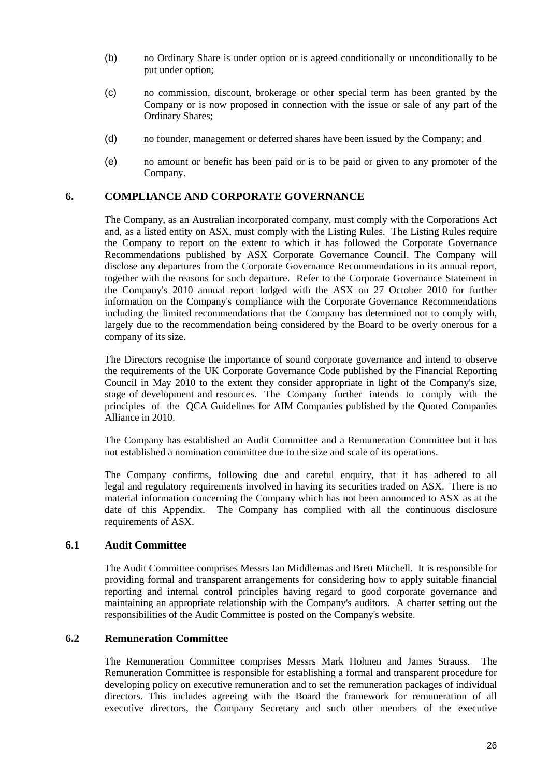- (b) no Ordinary Share is under option or is agreed conditionally or unconditionally to be put under option;
- (c) no commission, discount, brokerage or other special term has been granted by the Company or is now proposed in connection with the issue or sale of any part of the Ordinary Shares;
- (d) no founder, management or deferred shares have been issued by the Company; and
- (e) no amount or benefit has been paid or is to be paid or given to any promoter of the Company.

#### **6. COMPLIANCE AND CORPORATE GOVERNANCE**

The Company, as an Australian incorporated company, must comply with the Corporations Act and, as a listed entity on ASX, must comply with the Listing Rules. The Listing Rules require the Company to report on the extent to which it has followed the Corporate Governance Recommendations published by ASX Corporate Governance Council. The Company will disclose any departures from the Corporate Governance Recommendations in its annual report, together with the reasons for such departure. Refer to the Corporate Governance Statement in the Company's 2010 annual report lodged with the ASX on 27 October 2010 for further information on the Company's compliance with the Corporate Governance Recommendations including the limited recommendations that the Company has determined not to comply with, largely due to the recommendation being considered by the Board to be overly onerous for a company of its size.

The Directors recognise the importance of sound corporate governance and intend to observe the requirements of the UK Corporate Governance Code published by the Financial Reporting Council in May 2010 to the extent they consider appropriate in light of the Company's size, stage of development and resources. The Company further intends to comply with the principles of the QCA Guidelines for AIM Companies published by the Quoted Companies Alliance in 2010.

The Company has established an Audit Committee and a Remuneration Committee but it has not established a nomination committee due to the size and scale of its operations.

The Company confirms, following due and careful enquiry, that it has adhered to all legal and regulatory requirements involved in having its securities traded on ASX. There is no material information concerning the Company which has not been announced to ASX as at the date of this Appendix. The Company has complied with all the continuous disclosure requirements of ASX.

#### **6.1 Audit Committee**

The Audit Committee comprises Messrs Ian Middlemas and Brett Mitchell. It is responsible for providing formal and transparent arrangements for considering how to apply suitable financial reporting and internal control principles having regard to good corporate governance and maintaining an appropriate relationship with the Company's auditors. A charter setting out the responsibilities of the Audit Committee is posted on the Company's website.

#### **6.2 Remuneration Committee**

The Remuneration Committee comprises Messrs Mark Hohnen and James Strauss. The Remuneration Committee is responsible for establishing a formal and transparent procedure for developing policy on executive remuneration and to set the remuneration packages of individual directors. This includes agreeing with the Board the framework for remuneration of all executive directors, the Company Secretary and such other members of the executive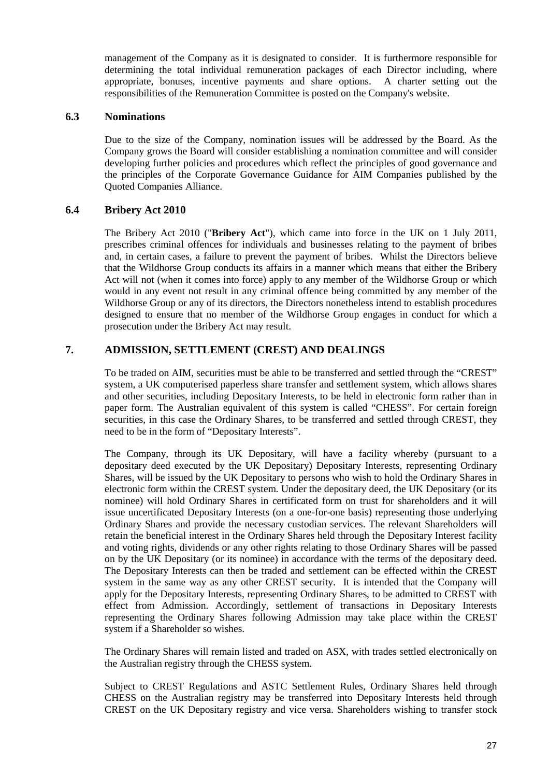management of the Company as it is designated to consider. It is furthermore responsible for determining the total individual remuneration packages of each Director including, where appropriate, bonuses, incentive payments and share options. A charter setting out the responsibilities of the Remuneration Committee is posted on the Company's website.

#### **6.3 Nominations**

Due to the size of the Company, nomination issues will be addressed by the Board. As the Company grows the Board will consider establishing a nomination committee and will consider developing further policies and procedures which reflect the principles of good governance and the principles of the Corporate Governance Guidance for AIM Companies published by the Quoted Companies Alliance.

#### **6.4 Bribery Act 2010**

The Bribery Act 2010 ("**Bribery Act**"), which came into force in the UK on 1 July 2011, prescribes criminal offences for individuals and businesses relating to the payment of bribes and, in certain cases, a failure to prevent the payment of bribes. Whilst the Directors believe that the Wildhorse Group conducts its affairs in a manner which means that either the Bribery Act will not (when it comes into force) apply to any member of the Wildhorse Group or which would in any event not result in any criminal offence being committed by any member of the Wildhorse Group or any of its directors, the Directors nonetheless intend to establish procedures designed to ensure that no member of the Wildhorse Group engages in conduct for which a prosecution under the Bribery Act may result.

## **7. ADMISSION, SETTLEMENT (CREST) AND DEALINGS**

To be traded on AIM, securities must be able to be transferred and settled through the "CREST" system, a UK computerised paperless share transfer and settlement system, which allows shares and other securities, including Depositary Interests, to be held in electronic form rather than in paper form. The Australian equivalent of this system is called "CHESS". For certain foreign securities, in this case the Ordinary Shares, to be transferred and settled through CREST, they need to be in the form of "Depositary Interests".

The Company, through its UK Depositary, will have a facility whereby (pursuant to a depositary deed executed by the UK Depositary) Depositary Interests, representing Ordinary Shares, will be issued by the UK Depositary to persons who wish to hold the Ordinary Shares in electronic form within the CREST system. Under the depositary deed, the UK Depositary (or its nominee) will hold Ordinary Shares in certificated form on trust for shareholders and it will issue uncertificated Depositary Interests (on a one-for-one basis) representing those underlying Ordinary Shares and provide the necessary custodian services. The relevant Shareholders will retain the beneficial interest in the Ordinary Shares held through the Depositary Interest facility and voting rights, dividends or any other rights relating to those Ordinary Shares will be passed on by the UK Depositary (or its nominee) in accordance with the terms of the depositary deed. The Depositary Interests can then be traded and settlement can be effected within the CREST system in the same way as any other CREST security. It is intended that the Company will apply for the Depositary Interests, representing Ordinary Shares, to be admitted to CREST with effect from Admission. Accordingly, settlement of transactions in Depositary Interests representing the Ordinary Shares following Admission may take place within the CREST system if a Shareholder so wishes.

The Ordinary Shares will remain listed and traded on ASX, with trades settled electronically on the Australian registry through the CHESS system.

Subject to CREST Regulations and ASTC Settlement Rules, Ordinary Shares held through CHESS on the Australian registry may be transferred into Depositary Interests held through CREST on the UK Depositary registry and vice versa. Shareholders wishing to transfer stock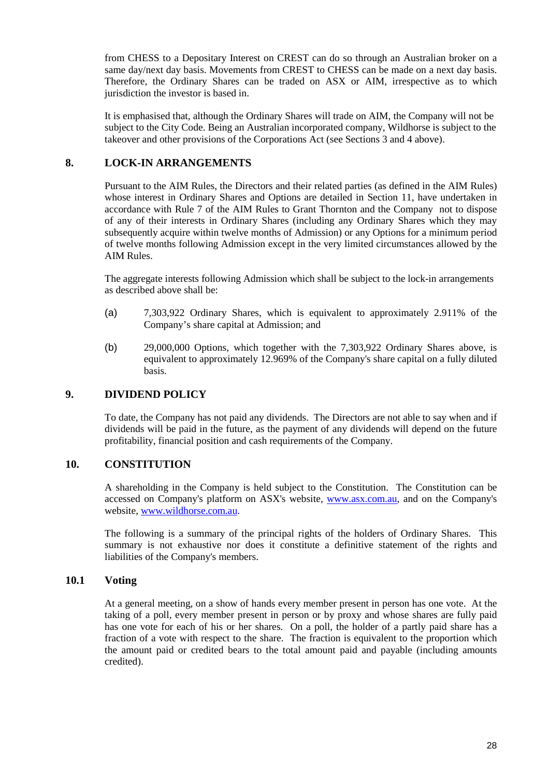from CHESS to a Depositary Interest on CREST can do so through an Australian broker on a same day/next day basis. Movements from CREST to CHESS can be made on a next day basis. Therefore, the Ordinary Shares can be traded on ASX or AIM, irrespective as to which jurisdiction the investor is based in.

It is emphasised that, although the Ordinary Shares will trade on AIM, the Company will not be subject to the City Code. Being an Australian incorporated company, Wildhorse is subject to the takeover and other provisions of the Corporations Act (see Sections 3 and 4 above).

#### **8. LOCK-IN ARRANGEMENTS**

Pursuant to the AIM Rules, the Directors and their related parties (as defined in the AIM Rules) whose interest in Ordinary Shares and Options are detailed in Section 11, have undertaken in accordance with Rule 7 of the AIM Rules to Grant Thornton and the Company not to dispose of any of their interests in Ordinary Shares (including any Ordinary Shares which they may subsequently acquire within twelve months of Admission) or any Options for a minimum period of twelve months following Admission except in the very limited circumstances allowed by the AIM Rules.

The aggregate interests following Admission which shall be subject to the lock-in arrangements as described above shall be:

- (a) 7,303,922 Ordinary Shares, which is equivalent to approximately 2.911% of the Company's share capital at Admission; and
- (b) 29,000,000 Options, which together with the 7,303,922 Ordinary Shares above, is equivalent to approximately 12.969% of the Company's share capital on a fully diluted basis.

#### **9. DIVIDEND POLICY**

To date, the Company has not paid any dividends. The Directors are not able to say when and if dividends will be paid in the future, as the payment of any dividends will depend on the future profitability, financial position and cash requirements of the Company.

#### **10. CONSTITUTION**

A shareholding in the Company is held subject to the Constitution. The Constitution can be accessed on Company's platform on ASX's website, www.asx.com.au, and on the Company's website, www.wildhorse.com.au.

The following is a summary of the principal rights of the holders of Ordinary Shares. This summary is not exhaustive nor does it constitute a definitive statement of the rights and liabilities of the Company's members.

#### **10.1 Voting**

At a general meeting, on a show of hands every member present in person has one vote. At the taking of a poll, every member present in person or by proxy and whose shares are fully paid has one vote for each of his or her shares. On a poll, the holder of a partly paid share has a fraction of a vote with respect to the share. The fraction is equivalent to the proportion which the amount paid or credited bears to the total amount paid and payable (including amounts credited).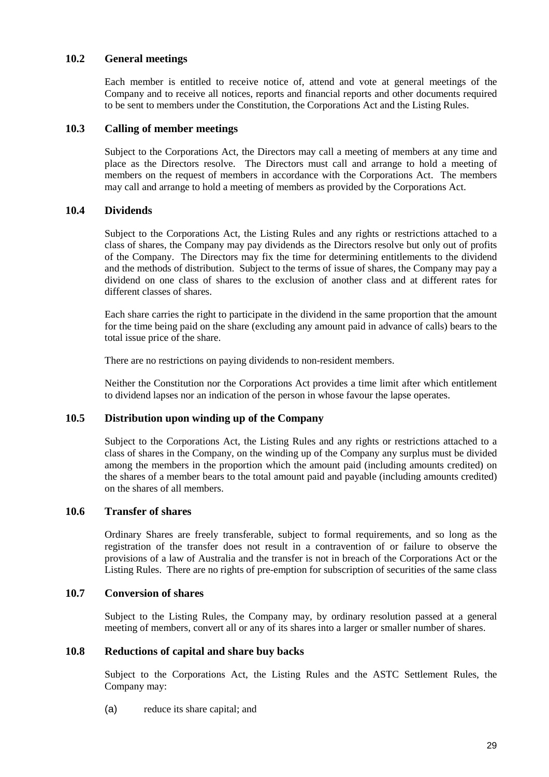#### **10.2 General meetings**

Each member is entitled to receive notice of, attend and vote at general meetings of the Company and to receive all notices, reports and financial reports and other documents required to be sent to members under the Constitution, the Corporations Act and the Listing Rules.

#### **10.3 Calling of member meetings**

Subject to the Corporations Act, the Directors may call a meeting of members at any time and place as the Directors resolve. The Directors must call and arrange to hold a meeting of members on the request of members in accordance with the Corporations Act. The members may call and arrange to hold a meeting of members as provided by the Corporations Act.

#### **10.4 Dividends**

Subject to the Corporations Act, the Listing Rules and any rights or restrictions attached to a class of shares, the Company may pay dividends as the Directors resolve but only out of profits of the Company. The Directors may fix the time for determining entitlements to the dividend and the methods of distribution. Subject to the terms of issue of shares, the Company may pay a dividend on one class of shares to the exclusion of another class and at different rates for different classes of shares.

Each share carries the right to participate in the dividend in the same proportion that the amount for the time being paid on the share (excluding any amount paid in advance of calls) bears to the total issue price of the share.

There are no restrictions on paying dividends to non-resident members.

Neither the Constitution nor the Corporations Act provides a time limit after which entitlement to dividend lapses nor an indication of the person in whose favour the lapse operates.

#### **10.5 Distribution upon winding up of the Company**

Subject to the Corporations Act, the Listing Rules and any rights or restrictions attached to a class of shares in the Company, on the winding up of the Company any surplus must be divided among the members in the proportion which the amount paid (including amounts credited) on the shares of a member bears to the total amount paid and payable (including amounts credited) on the shares of all members.

#### **10.6 Transfer of shares**

Ordinary Shares are freely transferable, subject to formal requirements, and so long as the registration of the transfer does not result in a contravention of or failure to observe the provisions of a law of Australia and the transfer is not in breach of the Corporations Act or the Listing Rules. There are no rights of pre-emption for subscription of securities of the same class

#### **10.7 Conversion of shares**

Subject to the Listing Rules, the Company may, by ordinary resolution passed at a general meeting of members, convert all or any of its shares into a larger or smaller number of shares.

#### **10.8 Reductions of capital and share buy backs**

Subject to the Corporations Act, the Listing Rules and the ASTC Settlement Rules, the Company may:

(a) reduce its share capital; and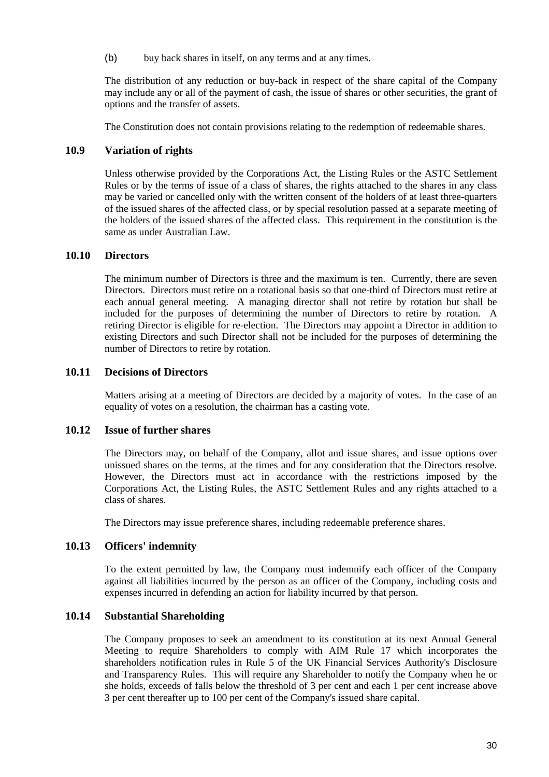(b) buy back shares in itself, on any terms and at any times.

The distribution of any reduction or buy-back in respect of the share capital of the Company may include any or all of the payment of cash, the issue of shares or other securities, the grant of options and the transfer of assets.

The Constitution does not contain provisions relating to the redemption of redeemable shares.

## **10.9 Variation of rights**

Unless otherwise provided by the Corporations Act, the Listing Rules or the ASTC Settlement Rules or by the terms of issue of a class of shares, the rights attached to the shares in any class may be varied or cancelled only with the written consent of the holders of at least three-quarters of the issued shares of the affected class, or by special resolution passed at a separate meeting of the holders of the issued shares of the affected class. This requirement in the constitution is the same as under Australian Law.

#### **10.10 Directors**

The minimum number of Directors is three and the maximum is ten. Currently, there are seven Directors. Directors must retire on a rotational basis so that one-third of Directors must retire at each annual general meeting. A managing director shall not retire by rotation but shall be included for the purposes of determining the number of Directors to retire by rotation. A retiring Director is eligible for re-election. The Directors may appoint a Director in addition to existing Directors and such Director shall not be included for the purposes of determining the number of Directors to retire by rotation.

#### **10.11 Decisions of Directors**

Matters arising at a meeting of Directors are decided by a majority of votes. In the case of an equality of votes on a resolution, the chairman has a casting vote.

#### **10.12 Issue of further shares**

The Directors may, on behalf of the Company, allot and issue shares, and issue options over unissued shares on the terms, at the times and for any consideration that the Directors resolve. However, the Directors must act in accordance with the restrictions imposed by the Corporations Act, the Listing Rules, the ASTC Settlement Rules and any rights attached to a class of shares.

The Directors may issue preference shares, including redeemable preference shares.

#### **10.13 Officers' indemnity**

To the extent permitted by law, the Company must indemnify each officer of the Company against all liabilities incurred by the person as an officer of the Company, including costs and expenses incurred in defending an action for liability incurred by that person.

#### **10.14 Substantial Shareholding**

The Company proposes to seek an amendment to its constitution at its next Annual General Meeting to require Shareholders to comply with AIM Rule 17 which incorporates the shareholders notification rules in Rule 5 of the UK Financial Services Authority's Disclosure and Transparency Rules. This will require any Shareholder to notify the Company when he or she holds, exceeds of falls below the threshold of 3 per cent and each 1 per cent increase above 3 per cent thereafter up to 100 per cent of the Company's issued share capital.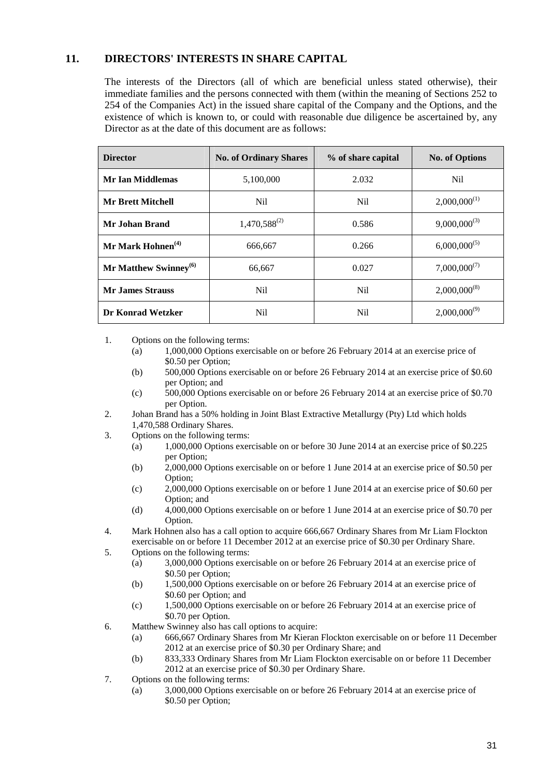# **11. DIRECTORS' INTERESTS IN SHARE CAPITAL**

The interests of the Directors (all of which are beneficial unless stated otherwise), their immediate families and the persons connected with them (within the meaning of Sections 252 to 254 of the Companies Act) in the issued share capital of the Company and the Options, and the existence of which is known to, or could with reasonable due diligence be ascertained by, any Director as at the date of this document are as follows:

| <b>Director</b>                   | <b>No. of Ordinary Shares</b> | % of share capital | <b>No. of Options</b> |
|-----------------------------------|-------------------------------|--------------------|-----------------------|
| <b>Mr Ian Middlemas</b>           | 5,100,000                     | 2.032              | Nil.                  |
| <b>Mr Brett Mitchell</b><br>Nil   |                               | Nil.               | $2,000,000^{(1)}$     |
| Mr Johan Brand                    | $1,470,588^{(2)}$             | 0.586              | $9,000,000^{(3)}$     |
| Mr Mark Hohnen $^{(4)}$           | 666,667                       | 0.266              | $6,000,000^{(5)}$     |
| Mr Matthew Swinney <sup>(6)</sup> | 66,667                        | 0.027              | $7,000,000^{(7)}$     |
| <b>Mr. James Strauss</b>          | N <sub>i</sub>                | N <sub>il</sub>    | $2,000,000^{(8)}$     |
| Dr Konrad Wetzker                 | N <sub>i</sub>                | N <sub>i</sub>     | $2,000,000^{(9)}$     |

1. Options on the following terms:

- (a) 1,000,000 Options exercisable on or before 26 February 2014 at an exercise price of \$0.50 per Option;
- (b) 500,000 Options exercisable on or before 26 February 2014 at an exercise price of \$0.60 per Option; and
- (c) 500,000 Options exercisable on or before 26 February 2014 at an exercise price of \$0.70 per Option.
- 2. Johan Brand has a 50% holding in Joint Blast Extractive Metallurgy (Pty) Ltd which holds 1,470,588 Ordinary Shares.
- 3. Options on the following terms:
	- (a) 1,000,000 Options exercisable on or before 30 June 2014 at an exercise price of \$0.225 per Option;
	- (b) 2,000,000 Options exercisable on or before 1 June 2014 at an exercise price of \$0.50 per Option;
	- (c) 2,000,000 Options exercisable on or before 1 June 2014 at an exercise price of \$0.60 per Option; and
	- (d) 4,000,000 Options exercisable on or before 1 June 2014 at an exercise price of \$0.70 per Option.
- 4. Mark Hohnen also has a call option to acquire 666,667 Ordinary Shares from Mr Liam Flockton exercisable on or before 11 December 2012 at an exercise price of \$0.30 per Ordinary Share.
- 5. Options on the following terms:
	- (a) 3,000,000 Options exercisable on or before 26 February 2014 at an exercise price of \$0.50 per Option;
	- (b) 1,500,000 Options exercisable on or before 26 February 2014 at an exercise price of \$0.60 per Option; and
	- (c) 1,500,000 Options exercisable on or before 26 February 2014 at an exercise price of \$0.70 per Option.
- 6. Matthew Swinney also has call options to acquire:
	- (a) 666,667 Ordinary Shares from Mr Kieran Flockton exercisable on or before 11 December 2012 at an exercise price of \$0.30 per Ordinary Share; and
	- (b) 833,333 Ordinary Shares from Mr Liam Flockton exercisable on or before 11 December 2012 at an exercise price of \$0.30 per Ordinary Share.
- 7. Options on the following terms:
	- (a) 3,000,000 Options exercisable on or before 26 February 2014 at an exercise price of \$0.50 per Option;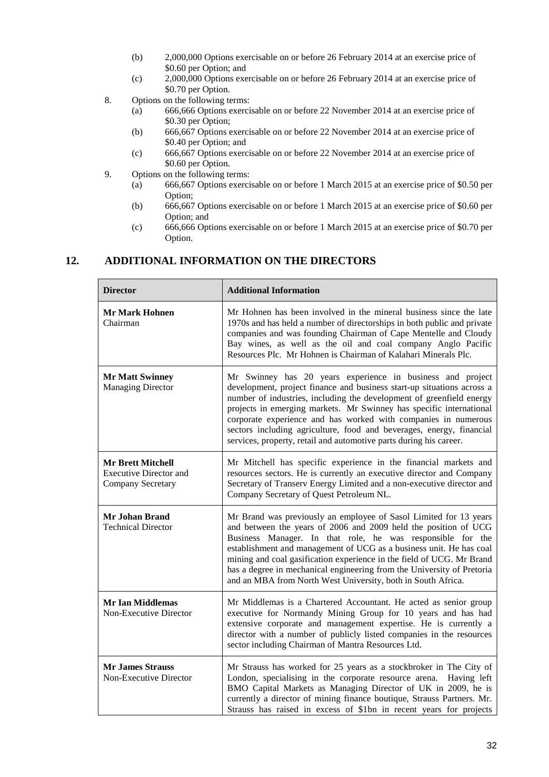- (b) 2,000,000 Options exercisable on or before 26 February 2014 at an exercise price of \$0.60 per Option; and
- (c) 2,000,000 Options exercisable on or before 26 February 2014 at an exercise price of \$0.70 per Option.
- 8. Options on the following terms:
	- (a) 666,666 Options exercisable on or before 22 November 2014 at an exercise price of \$0.30 per Option;
	- (b) 666,667 Options exercisable on or before 22 November 2014 at an exercise price of \$0.40 per Option; and
	- (c) 666,667 Options exercisable on or before 22 November 2014 at an exercise price of \$0.60 per Option.
- 9. Options on the following terms:
	- (a) 666,667 Options exercisable on or before 1 March 2015 at an exercise price of \$0.50 per Option;
	- (b) 666,667 Options exercisable on or before 1 March 2015 at an exercise price of \$0.60 per Option; and
	- (c) 666,666 Options exercisable on or before 1 March 2015 at an exercise price of \$0.70 per Option.

#### **12. ADDITIONAL INFORMATION ON THE DIRECTORS**

| <b>Director</b>                                                                | <b>Additional Information</b>                                                                                                                                                                                                                                                                                                                                                                                                                                                                       |  |
|--------------------------------------------------------------------------------|-----------------------------------------------------------------------------------------------------------------------------------------------------------------------------------------------------------------------------------------------------------------------------------------------------------------------------------------------------------------------------------------------------------------------------------------------------------------------------------------------------|--|
| <b>Mr Mark Hohnen</b><br>Chairman                                              | Mr Hohnen has been involved in the mineral business since the late<br>1970s and has held a number of directorships in both public and private<br>companies and was founding Chairman of Cape Mentelle and Cloudy<br>Bay wines, as well as the oil and coal company Anglo Pacific<br>Resources Plc. Mr Hohnen is Chairman of Kalahari Minerals Plc.                                                                                                                                                  |  |
| <b>Mr Matt Swinney</b><br><b>Managing Director</b>                             | Mr Swinney has 20 years experience in business and project<br>development, project finance and business start-up situations across a<br>number of industries, including the development of greenfield energy<br>projects in emerging markets. Mr Swinney has specific international<br>corporate experience and has worked with companies in numerous<br>sectors including agriculture, food and beverages, energy, financial<br>services, property, retail and automotive parts during his career. |  |
| <b>Mr Brett Mitchell</b><br><b>Executive Director and</b><br>Company Secretary | Mr Mitchell has specific experience in the financial markets and<br>resources sectors. He is currently an executive director and Company<br>Secretary of Transerv Energy Limited and a non-executive director and<br>Company Secretary of Quest Petroleum NL.                                                                                                                                                                                                                                       |  |
| <b>Mr Johan Brand</b><br><b>Technical Director</b>                             | Mr Brand was previously an employee of Sasol Limited for 13 years<br>and between the years of 2006 and 2009 held the position of UCG<br>Business Manager. In that role, he was responsible for the<br>establishment and management of UCG as a business unit. He has coal<br>mining and coal gasification experience in the field of UCG. Mr Brand<br>has a degree in mechanical engineering from the University of Pretoria<br>and an MBA from North West University, both in South Africa.        |  |
| <b>Mr Ian Middlemas</b><br>Non-Executive Director                              | Mr Middlemas is a Chartered Accountant. He acted as senior group<br>executive for Normandy Mining Group for 10 years and has had<br>extensive corporate and management expertise. He is currently a<br>director with a number of publicly listed companies in the resources<br>sector including Chairman of Mantra Resources Ltd.                                                                                                                                                                   |  |
| <b>Mr James Strauss</b><br>Non-Executive Director                              | Mr Strauss has worked for 25 years as a stockbroker in The City of<br>London, specialising in the corporate resource arena.<br>Having left<br>BMO Capital Markets as Managing Director of UK in 2009, he is<br>currently a director of mining finance boutique, Strauss Partners. Mr.<br>Strauss has raised in excess of \$1bn in recent years for projects                                                                                                                                         |  |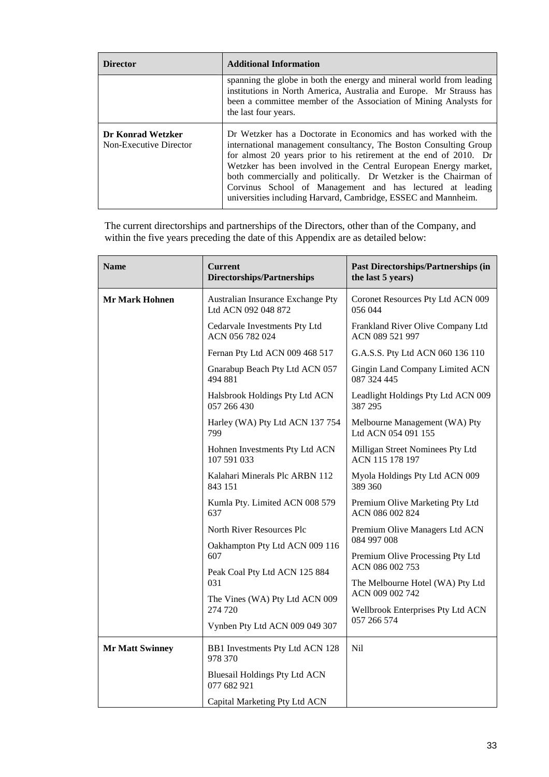| <b>Director</b>                             | <b>Additional Information</b>                                                                                                                                                                                                                                                                                                                                                                                                                                                     |  |
|---------------------------------------------|-----------------------------------------------------------------------------------------------------------------------------------------------------------------------------------------------------------------------------------------------------------------------------------------------------------------------------------------------------------------------------------------------------------------------------------------------------------------------------------|--|
|                                             | spanning the globe in both the energy and mineral world from leading<br>institutions in North America, Australia and Europe. Mr Strauss has<br>been a committee member of the Association of Mining Analysts for<br>the last four years.                                                                                                                                                                                                                                          |  |
| Dr Konrad Wetzker<br>Non-Executive Director | Dr Wetzker has a Doctorate in Economics and has worked with the<br>international management consultancy, The Boston Consulting Group<br>for almost 20 years prior to his retirement at the end of 2010. Dr<br>Wetzker has been involved in the Central European Energy market,<br>both commercially and politically. Dr Wetzker is the Chairman of<br>Corvinus School of Management and has lectured at leading<br>universities including Harvard, Cambridge, ESSEC and Mannheim. |  |

The current directorships and partnerships of the Directors, other than of the Company, and within the five years preceding the date of this Appendix are as detailed below:

| <b>Name</b>                    | <b>Current</b><br><b>Directorships/Partnerships</b>      | <b>Past Directorships/Partnerships (in</b><br>the last 5 years)    |  |
|--------------------------------|----------------------------------------------------------|--------------------------------------------------------------------|--|
| <b>Mr Mark Hohnen</b>          | Australian Insurance Exchange Pty<br>Ltd ACN 092 048 872 | Coronet Resources Pty Ltd ACN 009<br>056 044                       |  |
|                                | Cedarvale Investments Pty Ltd<br>ACN 056 782 024         | Frankland River Olive Company Ltd<br>ACN 089 521 997               |  |
|                                | Fernan Pty Ltd ACN 009 468 517                           | G.A.S.S. Pty Ltd ACN 060 136 110                                   |  |
|                                | Gnarabup Beach Pty Ltd ACN 057<br>494 881                | Gingin Land Company Limited ACN<br>087 324 445                     |  |
|                                | Halsbrook Holdings Pty Ltd ACN<br>057 266 430            | Leadlight Holdings Pty Ltd ACN 009<br>387 295                      |  |
|                                | Harley (WA) Pty Ltd ACN 137 754<br>799                   | Melbourne Management (WA) Pty<br>Ltd ACN 054 091 155               |  |
|                                | Hohnen Investments Pty Ltd ACN<br>107 591 033            | Milligan Street Nominees Pty Ltd<br>ACN 115 178 197                |  |
|                                | Kalahari Minerals Plc ARBN 112<br>843 151                | Myola Holdings Pty Ltd ACN 009<br>389 360                          |  |
|                                | Kumla Pty. Limited ACN 008 579<br>637                    | Premium Olive Marketing Pty Ltd<br>ACN 086 002 824                 |  |
|                                | North River Resources Plc                                | Premium Olive Managers Ltd ACN                                     |  |
|                                | Oakhampton Pty Ltd ACN 009 116<br>607                    | 084 997 008<br>Premium Olive Processing Pty Ltd<br>ACN 086 002 753 |  |
|                                |                                                          |                                                                    |  |
|                                | Peak Coal Pty Ltd ACN 125 884<br>031                     | The Melbourne Hotel (WA) Pty Ltd<br>ACN 009 002 742                |  |
|                                | The Vines (WA) Pty Ltd ACN 009<br>274 720                | Wellbrook Enterprises Pty Ltd ACN                                  |  |
| Vynben Pty Ltd ACN 009 049 307 |                                                          | 057 266 574                                                        |  |
| <b>Mr Matt Swinney</b>         | BB1 Investments Pty Ltd ACN 128<br>978 370               | Nil                                                                |  |
|                                | <b>Bluesail Holdings Pty Ltd ACN</b><br>077 682 921      |                                                                    |  |
|                                | Capital Marketing Pty Ltd ACN                            |                                                                    |  |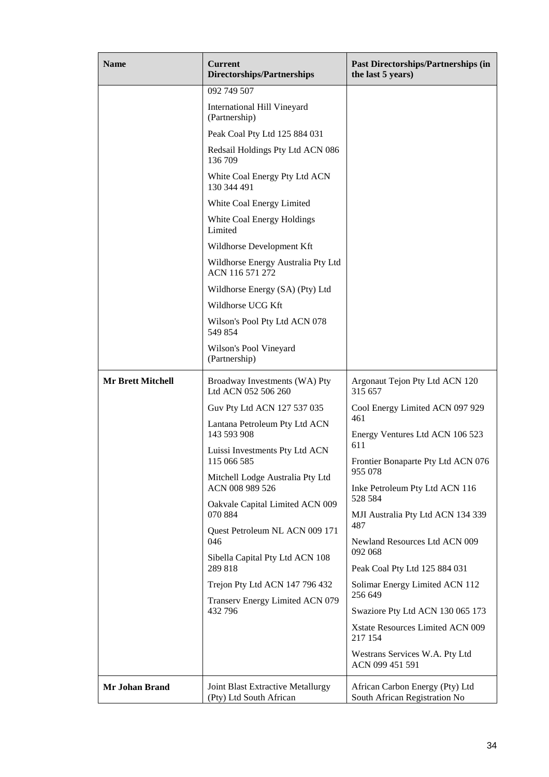| <b>Name</b>              | <b>Current</b><br><b>Directorships/Partnerships</b>                 | <b>Past Directorships/Partnerships (in</b><br>the last 5 years)  |  |  |
|--------------------------|---------------------------------------------------------------------|------------------------------------------------------------------|--|--|
|                          | 092 749 507                                                         |                                                                  |  |  |
|                          | <b>International Hill Vineyard</b><br>(Partnership)                 |                                                                  |  |  |
|                          | Peak Coal Pty Ltd 125 884 031                                       |                                                                  |  |  |
|                          | Redsail Holdings Pty Ltd ACN 086<br>136 709                         |                                                                  |  |  |
|                          | White Coal Energy Pty Ltd ACN<br>130 344 491                        |                                                                  |  |  |
|                          | White Coal Energy Limited                                           |                                                                  |  |  |
|                          | White Coal Energy Holdings<br>Limited                               |                                                                  |  |  |
|                          | Wildhorse Development Kft                                           |                                                                  |  |  |
|                          | Wildhorse Energy Australia Pty Ltd<br>ACN 116 571 272               |                                                                  |  |  |
|                          | Wildhorse Energy (SA) (Pty) Ltd                                     |                                                                  |  |  |
|                          | Wildhorse UCG Kft                                                   |                                                                  |  |  |
|                          | Wilson's Pool Pty Ltd ACN 078<br>549 854                            |                                                                  |  |  |
|                          | Wilson's Pool Vineyard<br>(Partnership)                             |                                                                  |  |  |
| <b>Mr Brett Mitchell</b> | Broadway Investments (WA) Pty<br>Ltd ACN 052 506 260                | Argonaut Tejon Pty Ltd ACN 120<br>315 657                        |  |  |
|                          | Guv Pty Ltd ACN 127 537 035                                         | Cool Energy Limited ACN 097 929                                  |  |  |
|                          | Lantana Petroleum Pty Ltd ACN<br>143 593 908                        | 461<br>Energy Ventures Ltd ACN 106 523                           |  |  |
|                          | Luissi Investments Pty Ltd ACN<br>115 066 585                       | 611<br>Frontier Bonaparte Pty Ltd ACN 076                        |  |  |
|                          | Mitchell Lodge Australia Pty Ltd<br>ACN 008 989 526                 | 955 078<br>Inke Petroleum Pty Ltd ACN 116                        |  |  |
|                          | Oakvale Capital Limited ACN 009<br>070 884                          | 528 584<br>MJI Australia Pty Ltd ACN 134 339<br>487              |  |  |
|                          | Quest Petroleum NL ACN 009 171<br>046                               | Newland Resources Ltd ACN 009<br>092 068                         |  |  |
|                          | Sibella Capital Pty Ltd ACN 108<br>289 818                          | Peak Coal Pty Ltd 125 884 031                                    |  |  |
|                          | Trejon Pty Ltd ACN 147 796 432                                      | Solimar Energy Limited ACN 112<br>256 649                        |  |  |
|                          | Transerv Energy Limited ACN 079<br>432 796                          | Swaziore Pty Ltd ACN 130 065 173                                 |  |  |
|                          |                                                                     | Xstate Resources Limited ACN 009                                 |  |  |
|                          |                                                                     | 217 154                                                          |  |  |
|                          |                                                                     | Westrans Services W.A. Pty Ltd<br>ACN 099 451 591                |  |  |
| Mr Johan Brand           | <b>Joint Blast Extractive Metallurgy</b><br>(Pty) Ltd South African | African Carbon Energy (Pty) Ltd<br>South African Registration No |  |  |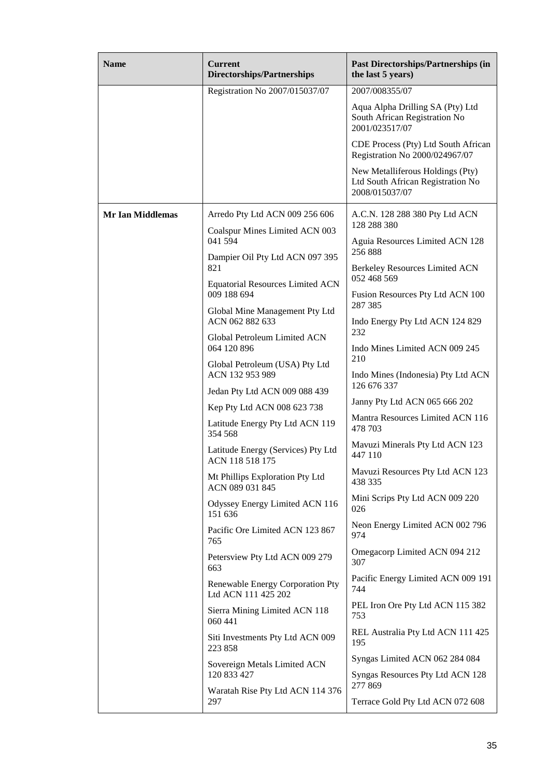| <b>Name</b>             | <b>Current</b><br>Directorships/Partnerships            | <b>Past Directorships/Partnerships (in</b><br>the last 5 years)                         |
|-------------------------|---------------------------------------------------------|-----------------------------------------------------------------------------------------|
|                         | Registration No 2007/015037/07                          | 2007/008355/07                                                                          |
|                         |                                                         | Aqua Alpha Drilling SA (Pty) Ltd<br>South African Registration No<br>2001/023517/07     |
|                         |                                                         | CDE Process (Pty) Ltd South African<br>Registration No 2000/024967/07                   |
|                         |                                                         | New Metalliferous Holdings (Pty)<br>Ltd South African Registration No<br>2008/015037/07 |
| <b>Mr Ian Middlemas</b> | Arredo Pty Ltd ACN 009 256 606                          | A.C.N. 128 288 380 Pty Ltd ACN<br>128 288 380                                           |
|                         | Coalspur Mines Limited ACN 003<br>041 594               | Aguia Resources Limited ACN 128                                                         |
|                         | Dampier Oil Pty Ltd ACN 097 395<br>821                  | 256888<br><b>Berkeley Resources Limited ACN</b>                                         |
|                         | <b>Equatorial Resources Limited ACN</b><br>009 188 694  | 052 468 569<br>Fusion Resources Pty Ltd ACN 100                                         |
|                         | Global Mine Management Pty Ltd                          | 287 385                                                                                 |
|                         | ACN 062 882 633<br>Global Petroleum Limited ACN         | Indo Energy Pty Ltd ACN 124 829<br>232                                                  |
|                         | 064 120 896                                             | Indo Mines Limited ACN 009 245<br>210                                                   |
|                         | Global Petroleum (USA) Pty Ltd<br>ACN 132 953 989       | Indo Mines (Indonesia) Pty Ltd ACN<br>126 676 337                                       |
|                         | Jedan Pty Ltd ACN 009 088 439                           | Janny Pty Ltd ACN 065 666 202                                                           |
|                         | Kep Pty Ltd ACN 008 623 738                             | Mantra Resources Limited ACN 116                                                        |
|                         | Latitude Energy Pty Ltd ACN 119<br>354 568              | 478 703                                                                                 |
|                         | Latitude Energy (Services) Pty Ltd<br>ACN 118 518 175   | Mavuzi Minerals Pty Ltd ACN 123<br>447 110                                              |
|                         | Mt Phillips Exploration Pty Ltd<br>ACN 089 031 845      | Mavuzi Resources Pty Ltd ACN 123<br>438 335                                             |
|                         | Odyssey Energy Limited ACN 116<br>151 636               | Mini Scrips Pty Ltd ACN 009 220<br>026                                                  |
|                         | Pacific Ore Limited ACN 123 867<br>765                  | Neon Energy Limited ACN 002 796<br>974                                                  |
|                         | Petersview Pty Ltd ACN 009 279<br>663                   | Omegacorp Limited ACN 094 212<br>307                                                    |
|                         | Renewable Energy Corporation Pty<br>Ltd ACN 111 425 202 | Pacific Energy Limited ACN 009 191<br>744                                               |
|                         | Sierra Mining Limited ACN 118<br>060 441                | PEL Iron Ore Pty Ltd ACN 115 382<br>753                                                 |
|                         | Siti Investments Pty Ltd ACN 009<br>223 858             | REL Australia Pty Ltd ACN 111 425<br>195                                                |
|                         | Sovereign Metals Limited ACN                            | Syngas Limited ACN 062 284 084                                                          |
|                         | 120 833 427                                             | Syngas Resources Pty Ltd ACN 128<br>277 869                                             |
|                         | Waratah Rise Pty Ltd ACN 114 376<br>297                 | Terrace Gold Pty Ltd ACN 072 608                                                        |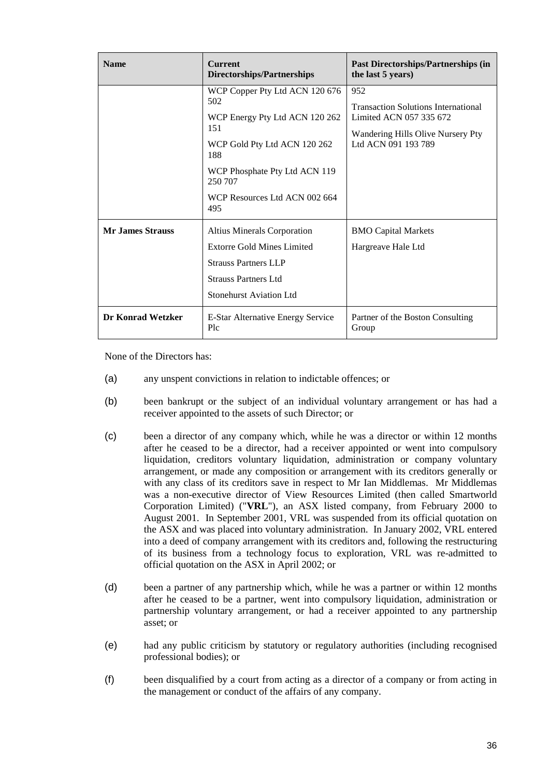| <b>Name</b>              | <b>Current</b><br><b>Directorships/Partnerships</b>                                                                                                                                                       | <b>Past Directorships/Partnerships (in</b><br>the last 5 years)                                                                          |  |  |
|--------------------------|-----------------------------------------------------------------------------------------------------------------------------------------------------------------------------------------------------------|------------------------------------------------------------------------------------------------------------------------------------------|--|--|
|                          | WCP Copper Pty Ltd ACN 120 676<br>502<br>WCP Energy Pty Ltd ACN 120 262<br>151<br>WCP Gold Pty Ltd ACN 120 262<br>188<br>WCP Phosphate Pty Ltd ACN 119<br>250 707<br>WCP Resources Ltd ACN 002 664<br>495 | 952<br><b>Transaction Solutions International</b><br>Limited ACN 057 335 672<br>Wandering Hills Olive Nursery Pty<br>Ltd ACN 091 193 789 |  |  |
| <b>Mr. James Strauss</b> | <b>Altius Minerals Corporation</b><br><b>Extorre Gold Mines Limited</b><br><b>Strauss Partners LLP</b><br><b>Strauss Partners Ltd</b><br><b>Stonehurst Aviation Ltd</b>                                   | <b>BMO Capital Markets</b><br>Hargreave Hale Ltd                                                                                         |  |  |
| Dr Konrad Wetzker        | E-Star Alternative Energy Service<br>Plc                                                                                                                                                                  | Partner of the Boston Consulting<br>Group                                                                                                |  |  |

None of the Directors has:

- (a) any unspent convictions in relation to indictable offences; or
- (b) been bankrupt or the subject of an individual voluntary arrangement or has had a receiver appointed to the assets of such Director; or
- (c) been a director of any company which, while he was a director or within 12 months after he ceased to be a director, had a receiver appointed or went into compulsory liquidation, creditors voluntary liquidation, administration or company voluntary arrangement, or made any composition or arrangement with its creditors generally or with any class of its creditors save in respect to Mr Ian Middlemas. Mr Middlemas was a non-executive director of View Resources Limited (then called Smartworld Corporation Limited) ("**VRL**"), an ASX listed company, from February 2000 to August 2001. In September 2001, VRL was suspended from its official quotation on the ASX and was placed into voluntary administration. In January 2002, VRL entered into a deed of company arrangement with its creditors and, following the restructuring of its business from a technology focus to exploration, VRL was re-admitted to official quotation on the ASX in April 2002; or
- (d) been a partner of any partnership which, while he was a partner or within 12 months after he ceased to be a partner, went into compulsory liquidation, administration or partnership voluntary arrangement, or had a receiver appointed to any partnership asset; or
- (e) had any public criticism by statutory or regulatory authorities (including recognised professional bodies); or
- (f) been disqualified by a court from acting as a director of a company or from acting in the management or conduct of the affairs of any company.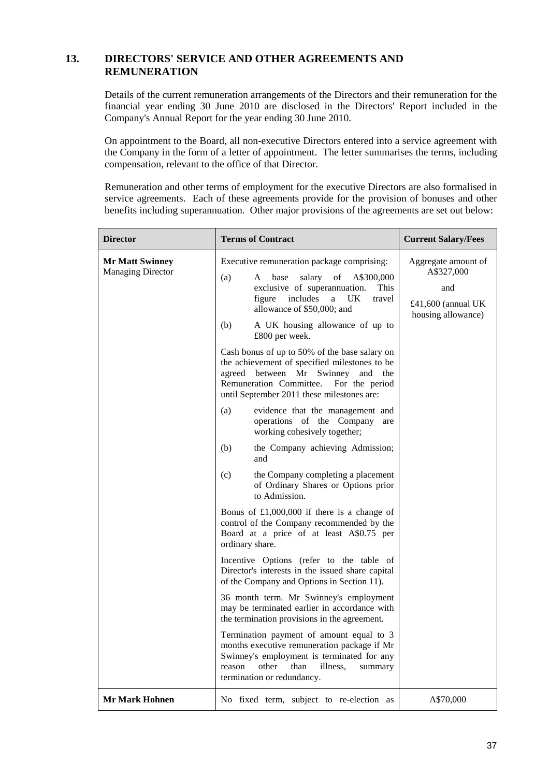# **13. DIRECTORS' SERVICE AND OTHER AGREEMENTS AND REMUNERATION**

Details of the current remuneration arrangements of the Directors and their remuneration for the financial year ending 30 June 2010 are disclosed in the Directors' Report included in the Company's Annual Report for the year ending 30 June 2010.

On appointment to the Board, all non-executive Directors entered into a service agreement with the Company in the form of a letter of appointment. The letter summarises the terms, including compensation, relevant to the office of that Director.

Remuneration and other terms of employment for the executive Directors are also formalised in service agreements. Each of these agreements provide for the provision of bonuses and other benefits including superannuation. Other major provisions of the agreements are set out below:

| <b>Director</b>                                    | <b>Terms of Contract</b>                                                                                                                                                                                                                                  | <b>Current Salary/Fees</b>                                                           |
|----------------------------------------------------|-----------------------------------------------------------------------------------------------------------------------------------------------------------------------------------------------------------------------------------------------------------|--------------------------------------------------------------------------------------|
| <b>Mr Matt Swinney</b><br><b>Managing Director</b> | Executive remuneration package comprising:<br>of<br>(a)<br>A<br>base<br>salary<br>A\$300,000<br>exclusive of superannuation.<br>This<br>includes<br>UK<br>figure<br>a<br>travel<br>allowance of \$50,000; and<br>(b)<br>A UK housing allowance of up to   | Aggregate amount of<br>A\$327,000<br>and<br>£41,600 (annual UK<br>housing allowance) |
|                                                    | £800 per week.<br>Cash bonus of up to 50% of the base salary on<br>the achievement of specified milestones to be<br>agreed between Mr<br>Swinney<br>and<br>the<br>For the period<br>Remuneration Committee.<br>until September 2011 these milestones are: |                                                                                      |
|                                                    | (a)<br>evidence that the management and<br>operations of the Company<br>are<br>working cohesively together;                                                                                                                                               |                                                                                      |
|                                                    | (b)<br>the Company achieving Admission;<br>and                                                                                                                                                                                                            |                                                                                      |
|                                                    | (c)<br>the Company completing a placement<br>of Ordinary Shares or Options prior<br>to Admission.                                                                                                                                                         |                                                                                      |
|                                                    | Bonus of $£1,000,000$ if there is a change of<br>control of the Company recommended by the<br>Board at a price of at least A\$0.75 per<br>ordinary share.                                                                                                 |                                                                                      |
|                                                    | Incentive Options (refer to the table of<br>Director's interests in the issued share capital<br>of the Company and Options in Section 11).                                                                                                                |                                                                                      |
|                                                    | 36 month term. Mr Swinney's employment<br>may be terminated earlier in accordance with<br>the termination provisions in the agreement.                                                                                                                    |                                                                                      |
|                                                    | Termination payment of amount equal to 3<br>months executive remuneration package if Mr<br>Swinney's employment is terminated for any<br>other<br>than<br>illness,<br>reason<br>summary<br>termination or redundancy.                                     |                                                                                      |
| <b>Mr Mark Hohnen</b>                              | No fixed term, subject to re-election as                                                                                                                                                                                                                  | A\$70,000                                                                            |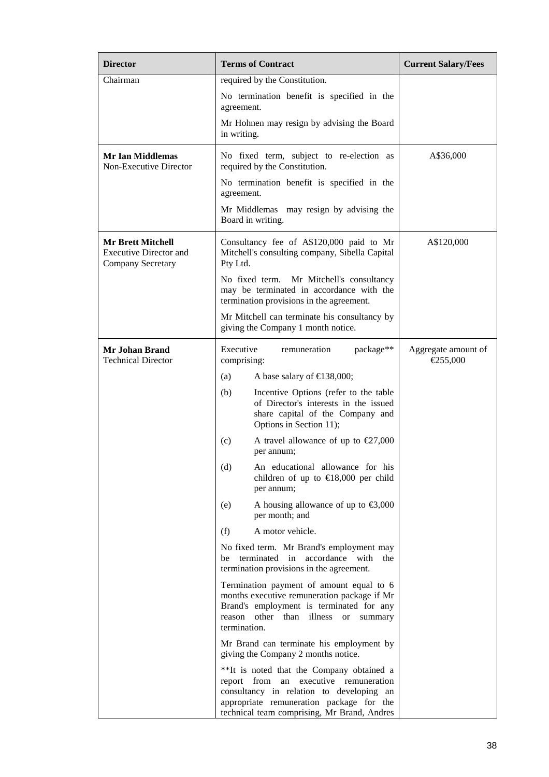| <b>Director</b>                                                                | <b>Terms of Contract</b>                                                                                                                                                                                                  | <b>Current Salary/Fees</b>      |
|--------------------------------------------------------------------------------|---------------------------------------------------------------------------------------------------------------------------------------------------------------------------------------------------------------------------|---------------------------------|
| Chairman                                                                       | required by the Constitution.                                                                                                                                                                                             |                                 |
|                                                                                | No termination benefit is specified in the<br>agreement.                                                                                                                                                                  |                                 |
|                                                                                | Mr Hohnen may resign by advising the Board<br>in writing.                                                                                                                                                                 |                                 |
| <b>Mr Ian Middlemas</b><br>Non-Executive Director                              | No fixed term, subject to re-election as<br>required by the Constitution.                                                                                                                                                 | A\$36,000                       |
|                                                                                | No termination benefit is specified in the<br>agreement.                                                                                                                                                                  |                                 |
|                                                                                | Mr Middlemas may resign by advising the<br>Board in writing.                                                                                                                                                              |                                 |
| <b>Mr Brett Mitchell</b><br><b>Executive Director and</b><br>Company Secretary | Consultancy fee of A\$120,000 paid to Mr<br>Mitchell's consulting company, Sibella Capital<br>Pty Ltd.                                                                                                                    | A\$120,000                      |
|                                                                                | No fixed term. Mr Mitchell's consultancy<br>may be terminated in accordance with the<br>termination provisions in the agreement.                                                                                          |                                 |
|                                                                                | Mr Mitchell can terminate his consultancy by<br>giving the Company 1 month notice.                                                                                                                                        |                                 |
| Mr Johan Brand<br><b>Technical Director</b>                                    | package**<br>Executive<br>remuneration<br>comprising:                                                                                                                                                                     | Aggregate amount of<br>€255,000 |
|                                                                                | A base salary of $\text{£}138,000$ ;<br>(a)                                                                                                                                                                               |                                 |
|                                                                                | Incentive Options (refer to the table<br>(b)<br>of Director's interests in the issued<br>share capital of the Company and<br>Options in Section 11);                                                                      |                                 |
|                                                                                | (c)<br>A travel allowance of up to $\epsilon$ 27,000<br>per annum;                                                                                                                                                        |                                 |
|                                                                                | An educational allowance for his<br>(d)<br>children of up to $\in$ 18,000 per child<br>per annum;                                                                                                                         |                                 |
|                                                                                | A housing allowance of up to $\text{£}3,000$<br>(e)<br>per month; and                                                                                                                                                     |                                 |
|                                                                                | A motor vehicle.<br>(f)                                                                                                                                                                                                   |                                 |
|                                                                                | No fixed term. Mr Brand's employment may<br>terminated in<br>accordance with<br>be<br>the<br>termination provisions in the agreement.                                                                                     |                                 |
|                                                                                | Termination payment of amount equal to 6<br>months executive remuneration package if Mr<br>Brand's employment is terminated for any<br>reason other<br>than illness<br>or<br>summary<br>termination.                      |                                 |
|                                                                                | Mr Brand can terminate his employment by<br>giving the Company 2 months notice.                                                                                                                                           |                                 |
|                                                                                | **It is noted that the Company obtained a<br>report from an executive remuneration<br>consultancy in relation to developing an<br>appropriate remuneration package for the<br>technical team comprising, Mr Brand, Andres |                                 |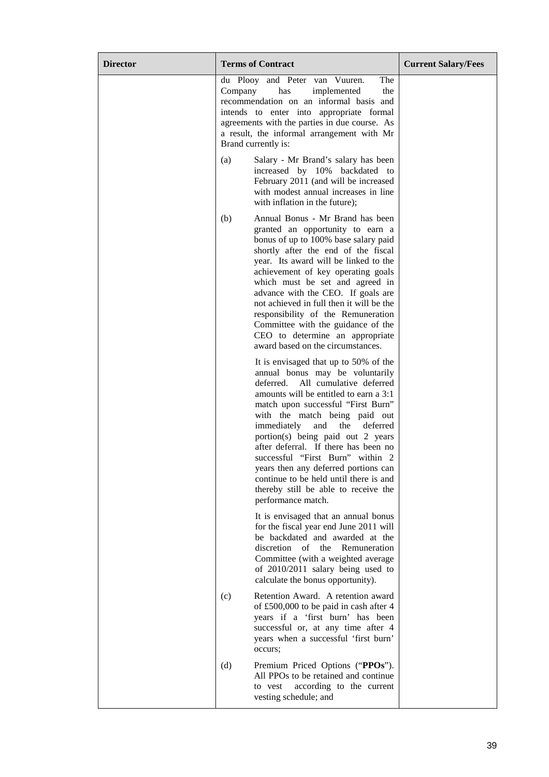| <b>Director</b> | <b>Terms of Contract</b>                                                                                                                                                                                                                                                                                                                                                                                                                                                                                                                    | <b>Current Salary/Fees</b> |
|-----------------|---------------------------------------------------------------------------------------------------------------------------------------------------------------------------------------------------------------------------------------------------------------------------------------------------------------------------------------------------------------------------------------------------------------------------------------------------------------------------------------------------------------------------------------------|----------------------------|
|                 | The<br>du Plooy and Peter van Vuuren.<br>Company<br>has<br>implemented<br>the<br>recommendation on an informal basis and<br>intends to enter into appropriate formal<br>agreements with the parties in due course. As<br>a result, the informal arrangement with Mr<br>Brand currently is:                                                                                                                                                                                                                                                  |                            |
|                 | Salary - Mr Brand's salary has been<br>(a)<br>increased by 10% backdated to<br>February 2011 (and will be increased<br>with modest annual increases in line<br>with inflation in the future);                                                                                                                                                                                                                                                                                                                                               |                            |
|                 | Annual Bonus - Mr Brand has been<br>(b)<br>granted an opportunity to earn a<br>bonus of up to 100% base salary paid<br>shortly after the end of the fiscal<br>year. Its award will be linked to the<br>achievement of key operating goals<br>which must be set and agreed in<br>advance with the CEO. If goals are<br>not achieved in full then it will be the<br>responsibility of the Remuneration<br>Committee with the guidance of the<br>CEO to determine an appropriate<br>award based on the circumstances.                          |                            |
|                 | It is envisaged that up to 50% of the<br>annual bonus may be voluntarily<br>All cumulative deferred<br>deferred.<br>amounts will be entitled to earn a 3:1<br>match upon successful "First Burn"<br>with the match being paid out<br>immediately<br>and<br>the<br>deferred<br>portion(s) being paid out 2 years<br>after deferral. If there has been no<br>successful "First Burn" within 2<br>years then any deferred portions can<br>continue to be held until there is and<br>thereby still be able to receive the<br>performance match. |                            |
|                 | It is envisaged that an annual bonus<br>for the fiscal year end June 2011 will<br>be backdated and awarded at the<br>discretion of the<br>Remuneration<br>Committee (with a weighted average<br>of 2010/2011 salary being used to<br>calculate the bonus opportunity).                                                                                                                                                                                                                                                                      |                            |
|                 | Retention Award. A retention award<br>(c)<br>of £500,000 to be paid in cash after 4<br>years if a 'first burn' has been<br>successful or, at any time after 4<br>years when a successful 'first burn'<br>occurs;                                                                                                                                                                                                                                                                                                                            |                            |
|                 | (d)<br>Premium Priced Options ("PPOs").<br>All PPOs to be retained and continue<br>according to the current<br>to vest<br>vesting schedule; and                                                                                                                                                                                                                                                                                                                                                                                             |                            |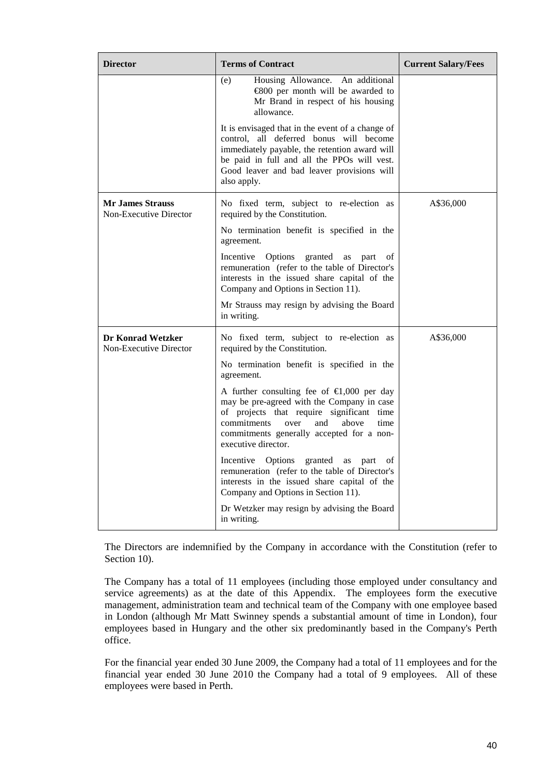| <b>Director</b>                                    | <b>Terms of Contract</b>                                                                                                                                                                                                                                           | <b>Current Salary/Fees</b> |
|----------------------------------------------------|--------------------------------------------------------------------------------------------------------------------------------------------------------------------------------------------------------------------------------------------------------------------|----------------------------|
|                                                    | Housing Allowance.<br>An additional<br>(e)<br>$\epsilon$ 800 per month will be awarded to<br>Mr Brand in respect of his housing<br>allowance.                                                                                                                      |                            |
|                                                    | It is envisaged that in the event of a change of<br>control, all deferred bonus will become<br>immediately payable, the retention award will<br>be paid in full and all the PPOs will vest.<br>Good leaver and bad leaver provisions will<br>also apply.           |                            |
| <b>Mr James Strauss</b><br>Non-Executive Director  | No fixed term, subject to re-election as<br>required by the Constitution.                                                                                                                                                                                          | A\$36,000                  |
|                                                    | No termination benefit is specified in the<br>agreement.                                                                                                                                                                                                           |                            |
|                                                    | granted<br>Incentive Options<br>as<br>part<br>οf<br>remuneration (refer to the table of Director's<br>interests in the issued share capital of the<br>Company and Options in Section 11).                                                                          |                            |
|                                                    | Mr Strauss may resign by advising the Board<br>in writing.                                                                                                                                                                                                         |                            |
| <b>Dr Konrad Wetzker</b><br>Non-Executive Director | No fixed term, subject to re-election as<br>required by the Constitution.                                                                                                                                                                                          | A\$36,000                  |
|                                                    | No termination benefit is specified in the<br>agreement.                                                                                                                                                                                                           |                            |
|                                                    | A further consulting fee of $\epsilon 1,000$ per day<br>may be pre-agreed with the Company in case<br>of projects that require significant time<br>commitments<br>over<br>and<br>above<br>time<br>commitments generally accepted for a non-<br>executive director. |                            |
|                                                    | Incentive Options<br>granted<br>as<br>part<br>of<br>remuneration (refer to the table of Director's<br>interests in the issued share capital of the<br>Company and Options in Section 11).                                                                          |                            |
|                                                    | Dr Wetzker may resign by advising the Board<br>in writing.                                                                                                                                                                                                         |                            |

The Directors are indemnified by the Company in accordance with the Constitution (refer to Section 10).

The Company has a total of 11 employees (including those employed under consultancy and service agreements) as at the date of this Appendix. The employees form the executive management, administration team and technical team of the Company with one employee based in London (although Mr Matt Swinney spends a substantial amount of time in London), four employees based in Hungary and the other six predominantly based in the Company's Perth office.

For the financial year ended 30 June 2009, the Company had a total of 11 employees and for the financial year ended 30 June 2010 the Company had a total of 9 employees. All of these employees were based in Perth.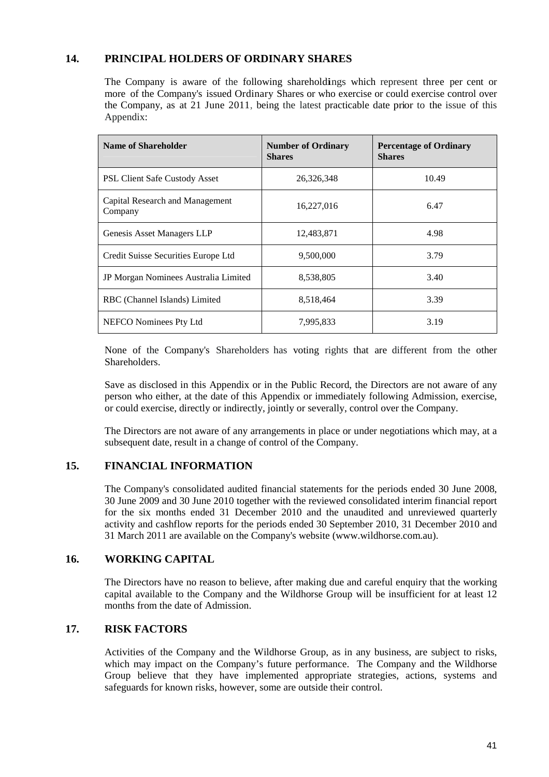# **14. PRINCIPAL HOLDERS OF ORDINARY SHARES**

The Company is aware of the following shareholdings which represent three per cent or more of the Company's issued Ordinary Shares or who exercise or could exercise control over the Company, as at 21 June 2011, being the latest practicable date prior to the issue of this Appendix:

| <b>Name of Shareholder</b>                 | <b>Number of Ordinary</b><br><b>Shares</b> | <b>Percentage of Ordinary</b><br><b>Shares</b> |  |
|--------------------------------------------|--------------------------------------------|------------------------------------------------|--|
| <b>PSL Client Safe Custody Asset</b>       | 26,326,348                                 | 10.49                                          |  |
| Capital Research and Management<br>Company | 16,227,016                                 | 6.47                                           |  |
| Genesis Asset Managers LLP                 | 12,483,871                                 | 4.98                                           |  |
| Credit Suisse Securities Europe Ltd        | 9,500,000                                  | 3.79                                           |  |
| JP Morgan Nominees Australia Limited       | 8,538,805                                  | 3.40                                           |  |
| RBC (Channel Islands) Limited              | 8,518,464                                  | 3.39                                           |  |
| NEFCO Nominees Pty Ltd                     | 7,995,833                                  | 3.19                                           |  |

None of the Company's Shareholders has voting rights that are different from the other Shareholders.

Save as disclosed in this Appendix or in the Public Record, the Directors are not aware of any person who either, at the date of this Appendix or immediately following Admission, exercise, or could exercise, directly or indirectly, jointly or severally, control over the Company.

The Directors are not aware of any arrangements in place or under negotiations which may, at a subsequent date, result in a change of control of the Company.

# **15. FINANCIAL INFORMATION**

The Company's consolidated audited financial statements for the periods ended 30 June 2008, 30 June 2009 and 30 June 2010 together with the reviewed consolidated interim financial report for the six months ended 31 December 2010 and the unaudited and unreviewed quarterly activity and cashflow reports for the periods ended 30 September 2010, 31 December 2010 and 31 March 2011 are available on the Company's website (www.wildhorse.com.au).

## **16. WORKING CAPITAL**

The Directors have no reason to believe, after making due and careful enquiry that the working capital available to the Company and the Wildhorse Group will be insufficient for at least 12 months from the date of Admission.

## **17. RISK FACTORS**

Activities of the Company and the Wildhorse Group, as in any business, are subject to risks, which may impact on the Company's future performance. The Company and the Wildhorse Group believe that they have implemented appropriate strategies, actions, systems and safeguards for known risks, however, some are outside their control.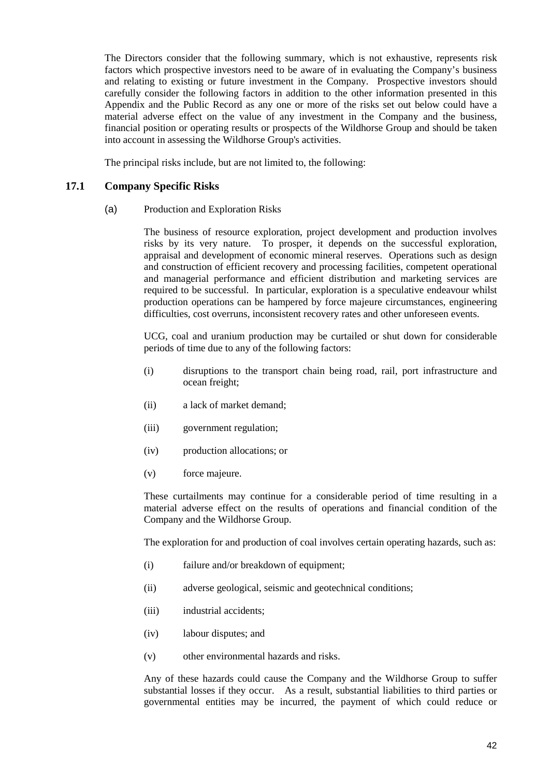The Directors consider that the following summary, which is not exhaustive, represents risk factors which prospective investors need to be aware of in evaluating the Company's business and relating to existing or future investment in the Company. Prospective investors should carefully consider the following factors in addition to the other information presented in this Appendix and the Public Record as any one or more of the risks set out below could have a material adverse effect on the value of any investment in the Company and the business, financial position or operating results or prospects of the Wildhorse Group and should be taken into account in assessing the Wildhorse Group's activities.

The principal risks include, but are not limited to, the following:

#### **17.1 Company Specific Risks**

(a) Production and Exploration Risks

The business of resource exploration, project development and production involves risks by its very nature. To prosper, it depends on the successful exploration, appraisal and development of economic mineral reserves. Operations such as design and construction of efficient recovery and processing facilities, competent operational and managerial performance and efficient distribution and marketing services are required to be successful. In particular, exploration is a speculative endeavour whilst production operations can be hampered by force majeure circumstances, engineering difficulties, cost overruns, inconsistent recovery rates and other unforeseen events.

UCG, coal and uranium production may be curtailed or shut down for considerable periods of time due to any of the following factors:

- (i) disruptions to the transport chain being road, rail, port infrastructure and ocean freight;
- (ii) a lack of market demand;
- (iii) government regulation;
- (iv) production allocations; or
- (v) force majeure.

These curtailments may continue for a considerable period of time resulting in a material adverse effect on the results of operations and financial condition of the Company and the Wildhorse Group.

The exploration for and production of coal involves certain operating hazards, such as:

- (i) failure and/or breakdown of equipment;
- (ii) adverse geological, seismic and geotechnical conditions;
- (iii) industrial accidents;
- (iv) labour disputes; and
- (v) other environmental hazards and risks.

Any of these hazards could cause the Company and the Wildhorse Group to suffer substantial losses if they occur. As a result, substantial liabilities to third parties or governmental entities may be incurred, the payment of which could reduce or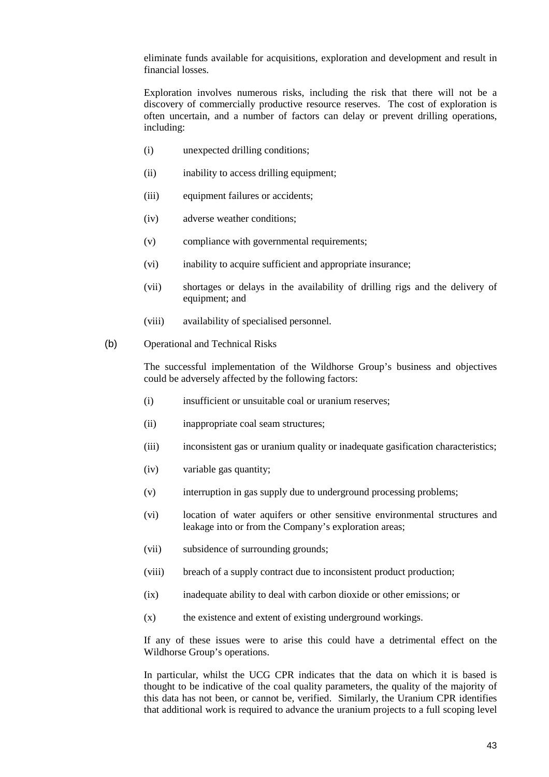eliminate funds available for acquisitions, exploration and development and result in financial losses.

Exploration involves numerous risks, including the risk that there will not be a discovery of commercially productive resource reserves. The cost of exploration is often uncertain, and a number of factors can delay or prevent drilling operations, including:

- (i) unexpected drilling conditions;
- (ii) inability to access drilling equipment;
- (iii) equipment failures or accidents;
- (iv) adverse weather conditions;
- (v) compliance with governmental requirements;
- (vi) inability to acquire sufficient and appropriate insurance;
- (vii) shortages or delays in the availability of drilling rigs and the delivery of equipment; and
- (viii) availability of specialised personnel.
- (b) Operational and Technical Risks

The successful implementation of the Wildhorse Group's business and objectives could be adversely affected by the following factors:

- (i) insufficient or unsuitable coal or uranium reserves;
- (ii) inappropriate coal seam structures;
- (iii) inconsistent gas or uranium quality or inadequate gasification characteristics;
- (iv) variable gas quantity;
- (v) interruption in gas supply due to underground processing problems;
- (vi) location of water aquifers or other sensitive environmental structures and leakage into or from the Company's exploration areas;
- (vii) subsidence of surrounding grounds;
- (viii) breach of a supply contract due to inconsistent product production;
- (ix) inadequate ability to deal with carbon dioxide or other emissions; or
- (x) the existence and extent of existing underground workings.

If any of these issues were to arise this could have a detrimental effect on the Wildhorse Group's operations.

In particular, whilst the UCG CPR indicates that the data on which it is based is thought to be indicative of the coal quality parameters, the quality of the majority of this data has not been, or cannot be, verified. Similarly, the Uranium CPR identifies that additional work is required to advance the uranium projects to a full scoping level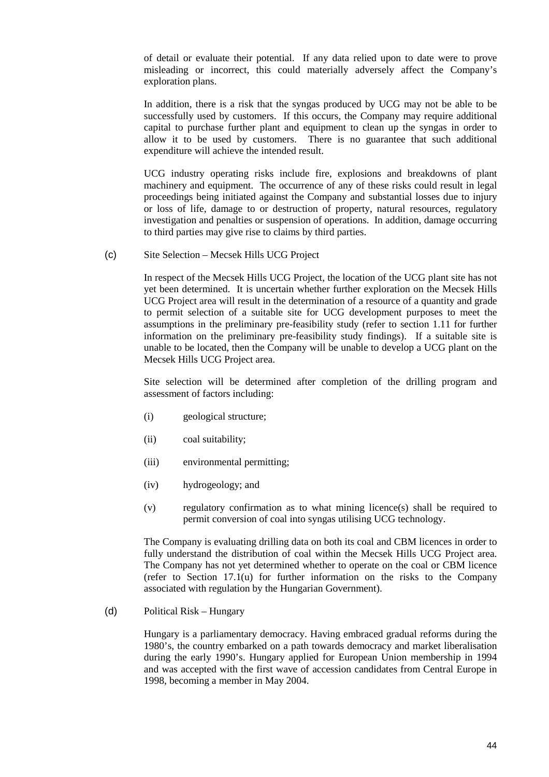of detail or evaluate their potential. If any data relied upon to date were to prove misleading or incorrect, this could materially adversely affect the Company's exploration plans.

In addition, there is a risk that the syngas produced by UCG may not be able to be successfully used by customers. If this occurs, the Company may require additional capital to purchase further plant and equipment to clean up the syngas in order to allow it to be used by customers. There is no guarantee that such additional expenditure will achieve the intended result.

UCG industry operating risks include fire, explosions and breakdowns of plant machinery and equipment. The occurrence of any of these risks could result in legal proceedings being initiated against the Company and substantial losses due to injury or loss of life, damage to or destruction of property, natural resources, regulatory investigation and penalties or suspension of operations. In addition, damage occurring to third parties may give rise to claims by third parties.

(c) Site Selection – Mecsek Hills UCG Project

In respect of the Mecsek Hills UCG Project, the location of the UCG plant site has not yet been determined. It is uncertain whether further exploration on the Mecsek Hills UCG Project area will result in the determination of a resource of a quantity and grade to permit selection of a suitable site for UCG development purposes to meet the assumptions in the preliminary pre-feasibility study (refer to section 1.11 for further information on the preliminary pre-feasibility study findings). If a suitable site is unable to be located, then the Company will be unable to develop a UCG plant on the Mecsek Hills UCG Project area.

Site selection will be determined after completion of the drilling program and assessment of factors including:

- (i) geological structure;
- (ii) coal suitability;
- (iii) environmental permitting;
- (iv) hydrogeology; and
- (v) regulatory confirmation as to what mining licence(s) shall be required to permit conversion of coal into syngas utilising UCG technology.

The Company is evaluating drilling data on both its coal and CBM licences in order to fully understand the distribution of coal within the Mecsek Hills UCG Project area. The Company has not yet determined whether to operate on the coal or CBM licence (refer to Section 17.1(u) for further information on the risks to the Company associated with regulation by the Hungarian Government).

(d) Political Risk – Hungary

Hungary is a parliamentary democracy. Having embraced gradual reforms during the 1980's, the country embarked on a path towards democracy and market liberalisation during the early 1990's. Hungary applied for European Union membership in 1994 and was accepted with the first wave of accession candidates from Central Europe in 1998, becoming a member in May 2004.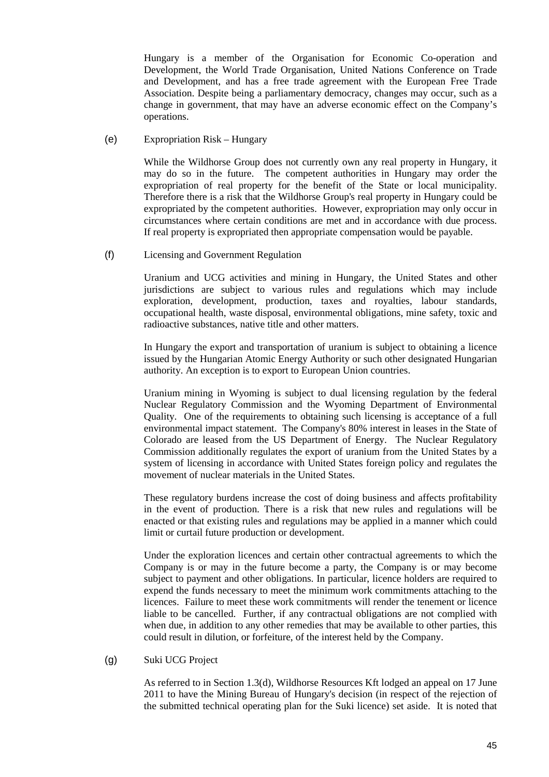Hungary is a member of the Organisation for Economic Co-operation and Development, the World Trade Organisation, United Nations Conference on Trade and Development, and has a free trade agreement with the European Free Trade Association. Despite being a parliamentary democracy, changes may occur, such as a change in government, that may have an adverse economic effect on the Company's operations.

(e) Expropriation Risk – Hungary

While the Wildhorse Group does not currently own any real property in Hungary, it may do so in the future. The competent authorities in Hungary may order the expropriation of real property for the benefit of the State or local municipality. Therefore there is a risk that the Wildhorse Group's real property in Hungary could be expropriated by the competent authorities. However, expropriation may only occur in circumstances where certain conditions are met and in accordance with due process. If real property is expropriated then appropriate compensation would be payable.

(f) Licensing and Government Regulation

Uranium and UCG activities and mining in Hungary, the United States and other jurisdictions are subject to various rules and regulations which may include exploration, development, production, taxes and royalties, labour standards, occupational health, waste disposal, environmental obligations, mine safety, toxic and radioactive substances, native title and other matters.

In Hungary the export and transportation of uranium is subject to obtaining a licence issued by the Hungarian Atomic Energy Authority or such other designated Hungarian authority. An exception is to export to European Union countries.

Uranium mining in Wyoming is subject to dual licensing regulation by the federal Nuclear Regulatory Commission and the Wyoming Department of Environmental Quality. One of the requirements to obtaining such licensing is acceptance of a full environmental impact statement. The Company's 80% interest in leases in the State of Colorado are leased from the US Department of Energy. The Nuclear Regulatory Commission additionally regulates the export of uranium from the United States by a system of licensing in accordance with United States foreign policy and regulates the movement of nuclear materials in the United States.

These regulatory burdens increase the cost of doing business and affects profitability in the event of production. There is a risk that new rules and regulations will be enacted or that existing rules and regulations may be applied in a manner which could limit or curtail future production or development.

Under the exploration licences and certain other contractual agreements to which the Company is or may in the future become a party, the Company is or may become subject to payment and other obligations. In particular, licence holders are required to expend the funds necessary to meet the minimum work commitments attaching to the licences. Failure to meet these work commitments will render the tenement or licence liable to be cancelled. Further, if any contractual obligations are not complied with when due, in addition to any other remedies that may be available to other parties, this could result in dilution, or forfeiture, of the interest held by the Company.

#### (g) Suki UCG Project

As referred to in Section 1.3(d), Wildhorse Resources Kft lodged an appeal on 17 June 2011 to have the Mining Bureau of Hungary's decision (in respect of the rejection of the submitted technical operating plan for the Suki licence) set aside. It is noted that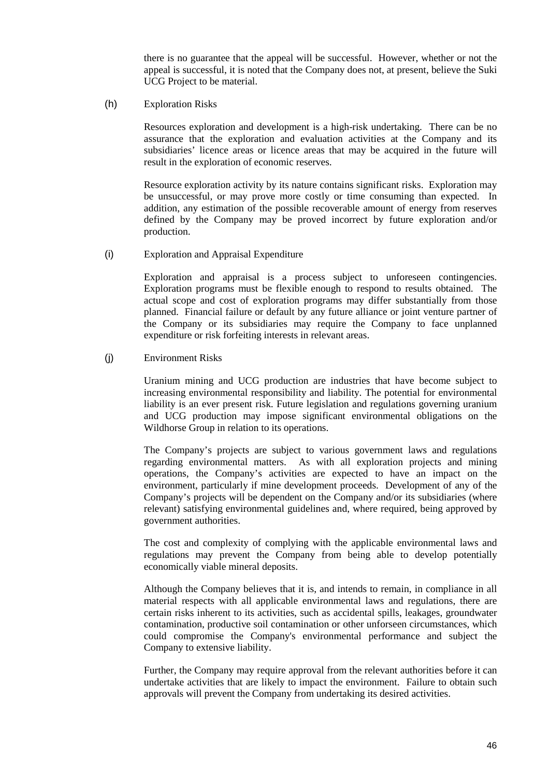there is no guarantee that the appeal will be successful. However, whether or not the appeal is successful, it is noted that the Company does not, at present, believe the Suki UCG Project to be material.

(h) Exploration Risks

Resources exploration and development is a high-risk undertaking. There can be no assurance that the exploration and evaluation activities at the Company and its subsidiaries' licence areas or licence areas that may be acquired in the future will result in the exploration of economic reserves.

Resource exploration activity by its nature contains significant risks. Exploration may be unsuccessful, or may prove more costly or time consuming than expected. In addition, any estimation of the possible recoverable amount of energy from reserves defined by the Company may be proved incorrect by future exploration and/or production.

(i) Exploration and Appraisal Expenditure

Exploration and appraisal is a process subject to unforeseen contingencies. Exploration programs must be flexible enough to respond to results obtained. The actual scope and cost of exploration programs may differ substantially from those planned. Financial failure or default by any future alliance or joint venture partner of the Company or its subsidiaries may require the Company to face unplanned expenditure or risk forfeiting interests in relevant areas.

#### (j) Environment Risks

Uranium mining and UCG production are industries that have become subject to increasing environmental responsibility and liability. The potential for environmental liability is an ever present risk. Future legislation and regulations governing uranium and UCG production may impose significant environmental obligations on the Wildhorse Group in relation to its operations.

The Company's projects are subject to various government laws and regulations regarding environmental matters. As with all exploration projects and mining operations, the Company's activities are expected to have an impact on the environment, particularly if mine development proceeds. Development of any of the Company's projects will be dependent on the Company and/or its subsidiaries (where relevant) satisfying environmental guidelines and, where required, being approved by government authorities.

The cost and complexity of complying with the applicable environmental laws and regulations may prevent the Company from being able to develop potentially economically viable mineral deposits.

Although the Company believes that it is, and intends to remain, in compliance in all material respects with all applicable environmental laws and regulations, there are certain risks inherent to its activities, such as accidental spills, leakages, groundwater contamination, productive soil contamination or other unforseen circumstances, which could compromise the Company's environmental performance and subject the Company to extensive liability.

Further, the Company may require approval from the relevant authorities before it can undertake activities that are likely to impact the environment. Failure to obtain such approvals will prevent the Company from undertaking its desired activities.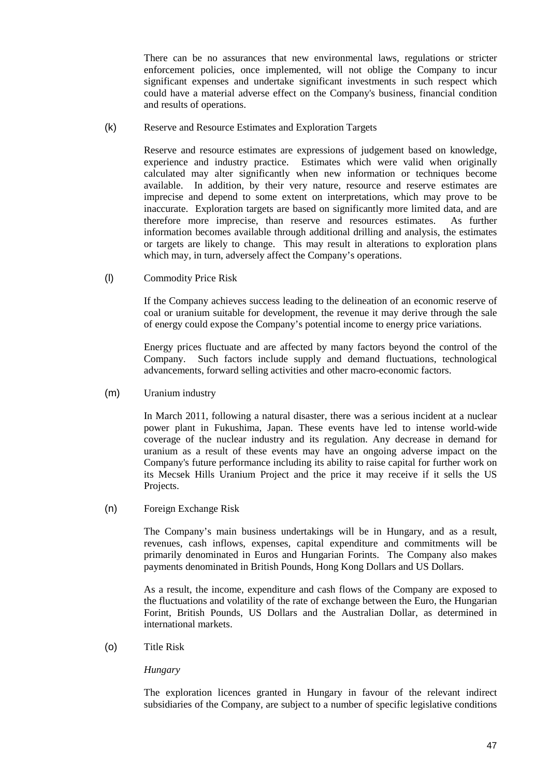There can be no assurances that new environmental laws, regulations or stricter enforcement policies, once implemented, will not oblige the Company to incur significant expenses and undertake significant investments in such respect which could have a material adverse effect on the Company's business, financial condition and results of operations.

(k) Reserve and Resource Estimates and Exploration Targets

Reserve and resource estimates are expressions of judgement based on knowledge, experience and industry practice. Estimates which were valid when originally calculated may alter significantly when new information or techniques become available. In addition, by their very nature, resource and reserve estimates are imprecise and depend to some extent on interpretations, which may prove to be inaccurate. Exploration targets are based on significantly more limited data, and are therefore more imprecise, than reserve and resources estimates. As further information becomes available through additional drilling and analysis, the estimates or targets are likely to change. This may result in alterations to exploration plans which may, in turn, adversely affect the Company's operations.

(l) Commodity Price Risk

If the Company achieves success leading to the delineation of an economic reserve of coal or uranium suitable for development, the revenue it may derive through the sale of energy could expose the Company's potential income to energy price variations.

Energy prices fluctuate and are affected by many factors beyond the control of the Company. Such factors include supply and demand fluctuations, technological advancements, forward selling activities and other macro-economic factors.

(m) Uranium industry

In March 2011, following a natural disaster, there was a serious incident at a nuclear power plant in Fukushima, Japan. These events have led to intense world-wide coverage of the nuclear industry and its regulation. Any decrease in demand for uranium as a result of these events may have an ongoing adverse impact on the Company's future performance including its ability to raise capital for further work on its Mecsek Hills Uranium Project and the price it may receive if it sells the US Projects.

(n) Foreign Exchange Risk

The Company's main business undertakings will be in Hungary, and as a result, revenues, cash inflows, expenses, capital expenditure and commitments will be primarily denominated in Euros and Hungarian Forints. The Company also makes payments denominated in British Pounds, Hong Kong Dollars and US Dollars.

As a result, the income, expenditure and cash flows of the Company are exposed to the fluctuations and volatility of the rate of exchange between the Euro, the Hungarian Forint, British Pounds, US Dollars and the Australian Dollar, as determined in international markets.

(o) Title Risk

#### *Hungary*

The exploration licences granted in Hungary in favour of the relevant indirect subsidiaries of the Company, are subject to a number of specific legislative conditions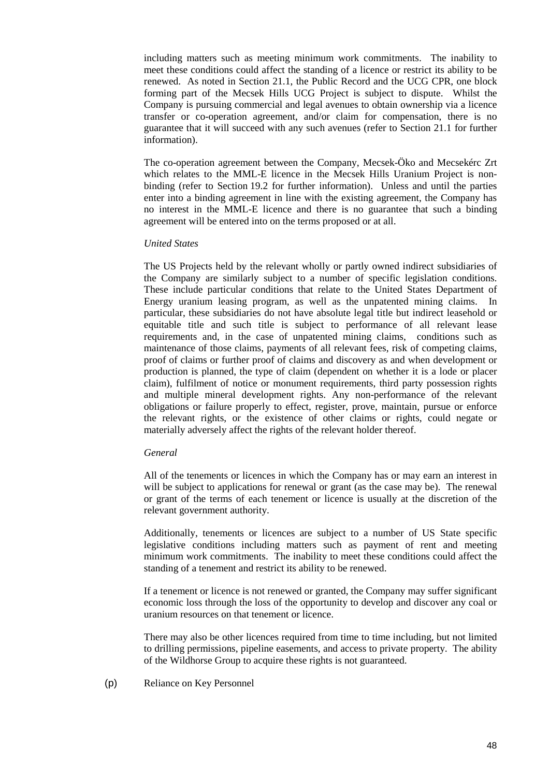including matters such as meeting minimum work commitments. The inability to meet these conditions could affect the standing of a licence or restrict its ability to be renewed. As noted in Section 21.1, the Public Record and the UCG CPR, one block forming part of the Mecsek Hills UCG Project is subject to dispute. Whilst the Company is pursuing commercial and legal avenues to obtain ownership via a licence transfer or co-operation agreement, and/or claim for compensation, there is no guarantee that it will succeed with any such avenues (refer to Section 21.1 for further information).

The co-operation agreement between the Company, Mecsek-Öko and Mecsekérc Zrt which relates to the MML-E licence in the Mecsek Hills Uranium Project is nonbinding (refer to Section 19.2 for further information). Unless and until the parties enter into a binding agreement in line with the existing agreement, the Company has no interest in the MML-E licence and there is no guarantee that such a binding agreement will be entered into on the terms proposed or at all.

#### *United States*

The US Projects held by the relevant wholly or partly owned indirect subsidiaries of the Company are similarly subject to a number of specific legislation conditions. These include particular conditions that relate to the United States Department of Energy uranium leasing program, as well as the unpatented mining claims. In particular, these subsidiaries do not have absolute legal title but indirect leasehold or equitable title and such title is subject to performance of all relevant lease requirements and, in the case of unpatented mining claims, conditions such as maintenance of those claims, payments of all relevant fees, risk of competing claims, proof of claims or further proof of claims and discovery as and when development or production is planned, the type of claim (dependent on whether it is a lode or placer claim), fulfilment of notice or monument requirements, third party possession rights and multiple mineral development rights. Any non-performance of the relevant obligations or failure properly to effect, register, prove, maintain, pursue or enforce the relevant rights, or the existence of other claims or rights, could negate or materially adversely affect the rights of the relevant holder thereof.

#### *General*

All of the tenements or licences in which the Company has or may earn an interest in will be subject to applications for renewal or grant (as the case may be). The renewal or grant of the terms of each tenement or licence is usually at the discretion of the relevant government authority.

Additionally, tenements or licences are subject to a number of US State specific legislative conditions including matters such as payment of rent and meeting minimum work commitments. The inability to meet these conditions could affect the standing of a tenement and restrict its ability to be renewed.

If a tenement or licence is not renewed or granted, the Company may suffer significant economic loss through the loss of the opportunity to develop and discover any coal or uranium resources on that tenement or licence.

There may also be other licences required from time to time including, but not limited to drilling permissions, pipeline easements, and access to private property. The ability of the Wildhorse Group to acquire these rights is not guaranteed.

(p) Reliance on Key Personnel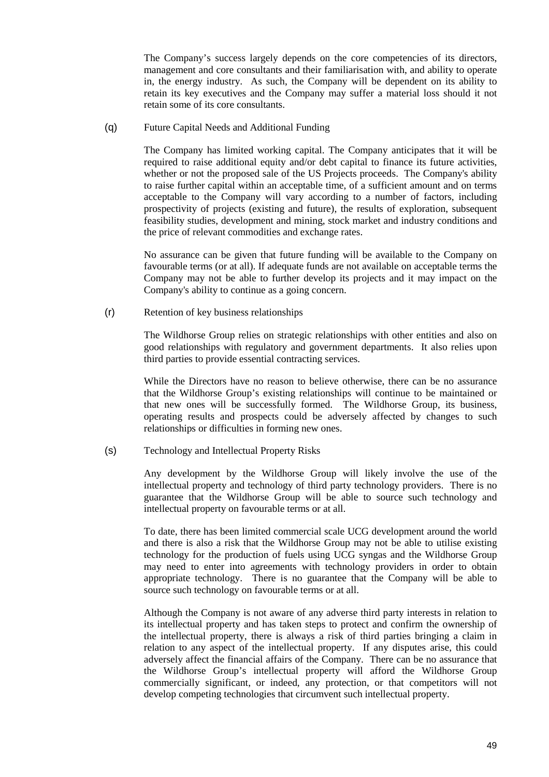The Company's success largely depends on the core competencies of its directors, management and core consultants and their familiarisation with, and ability to operate in, the energy industry. As such, the Company will be dependent on its ability to retain its key executives and the Company may suffer a material loss should it not retain some of its core consultants.

(q) Future Capital Needs and Additional Funding

The Company has limited working capital. The Company anticipates that it will be required to raise additional equity and/or debt capital to finance its future activities, whether or not the proposed sale of the US Projects proceeds. The Company's ability to raise further capital within an acceptable time, of a sufficient amount and on terms acceptable to the Company will vary according to a number of factors, including prospectivity of projects (existing and future), the results of exploration, subsequent feasibility studies, development and mining, stock market and industry conditions and the price of relevant commodities and exchange rates.

No assurance can be given that future funding will be available to the Company on favourable terms (or at all). If adequate funds are not available on acceptable terms the Company may not be able to further develop its projects and it may impact on the Company's ability to continue as a going concern.

(r) Retention of key business relationships

The Wildhorse Group relies on strategic relationships with other entities and also on good relationships with regulatory and government departments. It also relies upon third parties to provide essential contracting services.

While the Directors have no reason to believe otherwise, there can be no assurance that the Wildhorse Group's existing relationships will continue to be maintained or that new ones will be successfully formed. The Wildhorse Group, its business, operating results and prospects could be adversely affected by changes to such relationships or difficulties in forming new ones.

(s) Technology and Intellectual Property Risks

Any development by the Wildhorse Group will likely involve the use of the intellectual property and technology of third party technology providers. There is no guarantee that the Wildhorse Group will be able to source such technology and intellectual property on favourable terms or at all.

To date, there has been limited commercial scale UCG development around the world and there is also a risk that the Wildhorse Group may not be able to utilise existing technology for the production of fuels using UCG syngas and the Wildhorse Group may need to enter into agreements with technology providers in order to obtain appropriate technology. There is no guarantee that the Company will be able to source such technology on favourable terms or at all.

Although the Company is not aware of any adverse third party interests in relation to its intellectual property and has taken steps to protect and confirm the ownership of the intellectual property, there is always a risk of third parties bringing a claim in relation to any aspect of the intellectual property. If any disputes arise, this could adversely affect the financial affairs of the Company. There can be no assurance that the Wildhorse Group's intellectual property will afford the Wildhorse Group commercially significant, or indeed, any protection, or that competitors will not develop competing technologies that circumvent such intellectual property.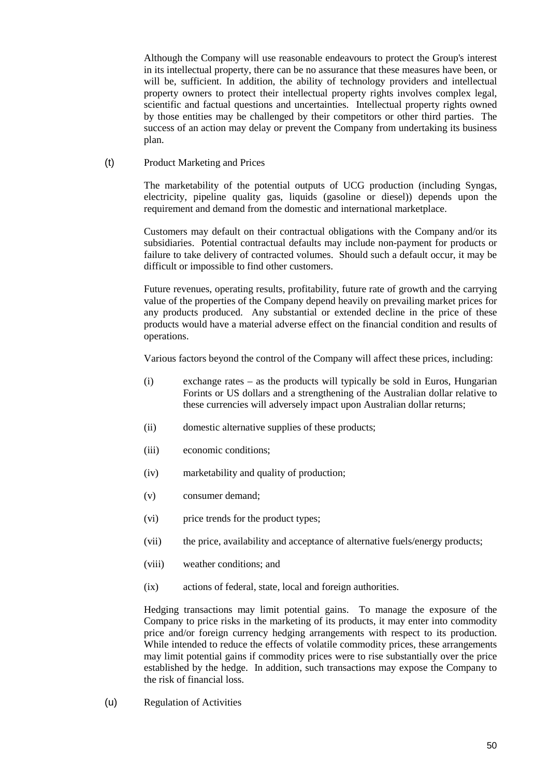Although the Company will use reasonable endeavours to protect the Group's interest in its intellectual property, there can be no assurance that these measures have been, or will be, sufficient. In addition, the ability of technology providers and intellectual property owners to protect their intellectual property rights involves complex legal, scientific and factual questions and uncertainties. Intellectual property rights owned by those entities may be challenged by their competitors or other third parties. The success of an action may delay or prevent the Company from undertaking its business plan.

(t) Product Marketing and Prices

The marketability of the potential outputs of UCG production (including Syngas, electricity, pipeline quality gas, liquids (gasoline or diesel)) depends upon the requirement and demand from the domestic and international marketplace.

Customers may default on their contractual obligations with the Company and/or its subsidiaries. Potential contractual defaults may include non-payment for products or failure to take delivery of contracted volumes. Should such a default occur, it may be difficult or impossible to find other customers.

Future revenues, operating results, profitability, future rate of growth and the carrying value of the properties of the Company depend heavily on prevailing market prices for any products produced. Any substantial or extended decline in the price of these products would have a material adverse effect on the financial condition and results of operations.

Various factors beyond the control of the Company will affect these prices, including:

- (i) exchange rates as the products will typically be sold in Euros, Hungarian Forints or US dollars and a strengthening of the Australian dollar relative to these currencies will adversely impact upon Australian dollar returns;
- (ii) domestic alternative supplies of these products;
- (iii) economic conditions;
- (iv) marketability and quality of production;
- (v) consumer demand;
- (vi) price trends for the product types;
- (vii) the price, availability and acceptance of alternative fuels/energy products;
- (viii) weather conditions; and
- (ix) actions of federal, state, local and foreign authorities.

Hedging transactions may limit potential gains. To manage the exposure of the Company to price risks in the marketing of its products, it may enter into commodity price and/or foreign currency hedging arrangements with respect to its production. While intended to reduce the effects of volatile commodity prices, these arrangements may limit potential gains if commodity prices were to rise substantially over the price established by the hedge. In addition, such transactions may expose the Company to the risk of financial loss.

(u) Regulation of Activities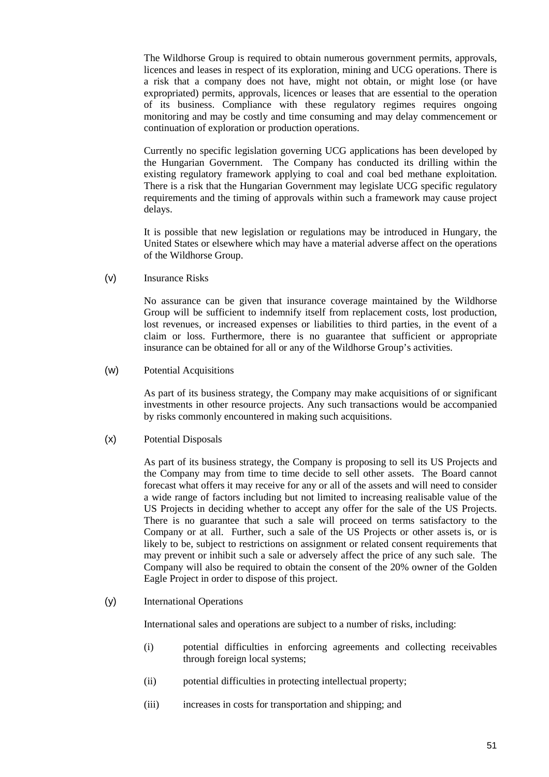The Wildhorse Group is required to obtain numerous government permits, approvals, licences and leases in respect of its exploration, mining and UCG operations. There is a risk that a company does not have, might not obtain, or might lose (or have expropriated) permits, approvals, licences or leases that are essential to the operation of its business. Compliance with these regulatory regimes requires ongoing monitoring and may be costly and time consuming and may delay commencement or continuation of exploration or production operations.

Currently no specific legislation governing UCG applications has been developed by the Hungarian Government. The Company has conducted its drilling within the existing regulatory framework applying to coal and coal bed methane exploitation. There is a risk that the Hungarian Government may legislate UCG specific regulatory requirements and the timing of approvals within such a framework may cause project delays.

It is possible that new legislation or regulations may be introduced in Hungary, the United States or elsewhere which may have a material adverse affect on the operations of the Wildhorse Group.

(v) Insurance Risks

No assurance can be given that insurance coverage maintained by the Wildhorse Group will be sufficient to indemnify itself from replacement costs, lost production, lost revenues, or increased expenses or liabilities to third parties, in the event of a claim or loss. Furthermore, there is no guarantee that sufficient or appropriate insurance can be obtained for all or any of the Wildhorse Group's activities.

(w) Potential Acquisitions

As part of its business strategy, the Company may make acquisitions of or significant investments in other resource projects. Any such transactions would be accompanied by risks commonly encountered in making such acquisitions.

(x) Potential Disposals

As part of its business strategy, the Company is proposing to sell its US Projects and the Company may from time to time decide to sell other assets. The Board cannot forecast what offers it may receive for any or all of the assets and will need to consider a wide range of factors including but not limited to increasing realisable value of the US Projects in deciding whether to accept any offer for the sale of the US Projects. There is no guarantee that such a sale will proceed on terms satisfactory to the Company or at all. Further, such a sale of the US Projects or other assets is, or is likely to be, subject to restrictions on assignment or related consent requirements that may prevent or inhibit such a sale or adversely affect the price of any such sale. The Company will also be required to obtain the consent of the 20% owner of the Golden Eagle Project in order to dispose of this project.

(y) International Operations

International sales and operations are subject to a number of risks, including:

- (i) potential difficulties in enforcing agreements and collecting receivables through foreign local systems;
- (ii) potential difficulties in protecting intellectual property;
- (iii) increases in costs for transportation and shipping; and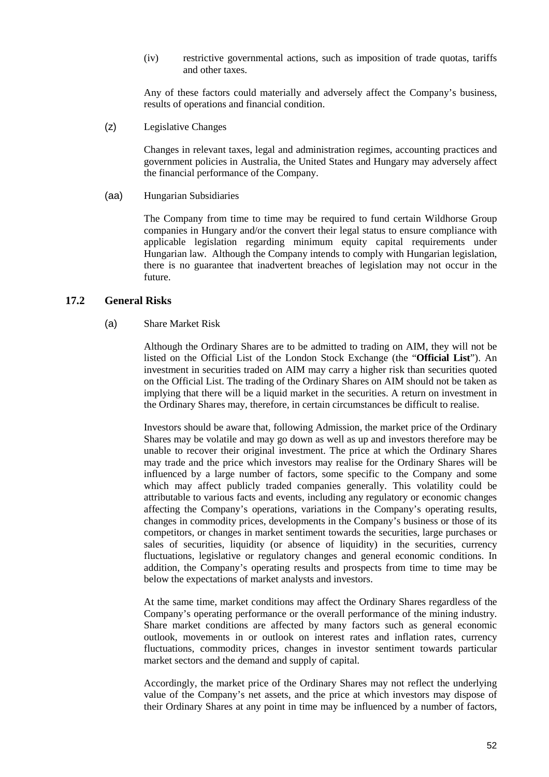(iv) restrictive governmental actions, such as imposition of trade quotas, tariffs and other taxes.

Any of these factors could materially and adversely affect the Company's business, results of operations and financial condition.

(z) Legislative Changes

Changes in relevant taxes, legal and administration regimes, accounting practices and government policies in Australia, the United States and Hungary may adversely affect the financial performance of the Company.

#### (aa) Hungarian Subsidiaries

The Company from time to time may be required to fund certain Wildhorse Group companies in Hungary and/or the convert their legal status to ensure compliance with applicable legislation regarding minimum equity capital requirements under Hungarian law. Although the Company intends to comply with Hungarian legislation, there is no guarantee that inadvertent breaches of legislation may not occur in the future.

# **17.2 General Risks**

#### (a) Share Market Risk

Although the Ordinary Shares are to be admitted to trading on AIM, they will not be listed on the Official List of the London Stock Exchange (the "**Official List**"). An investment in securities traded on AIM may carry a higher risk than securities quoted on the Official List. The trading of the Ordinary Shares on AIM should not be taken as implying that there will be a liquid market in the securities. A return on investment in the Ordinary Shares may, therefore, in certain circumstances be difficult to realise.

Investors should be aware that, following Admission, the market price of the Ordinary Shares may be volatile and may go down as well as up and investors therefore may be unable to recover their original investment. The price at which the Ordinary Shares may trade and the price which investors may realise for the Ordinary Shares will be influenced by a large number of factors, some specific to the Company and some which may affect publicly traded companies generally. This volatility could be attributable to various facts and events, including any regulatory or economic changes affecting the Company's operations, variations in the Company's operating results, changes in commodity prices, developments in the Company's business or those of its competitors, or changes in market sentiment towards the securities, large purchases or sales of securities, liquidity (or absence of liquidity) in the securities, currency fluctuations, legislative or regulatory changes and general economic conditions. In addition, the Company's operating results and prospects from time to time may be below the expectations of market analysts and investors.

At the same time, market conditions may affect the Ordinary Shares regardless of the Company's operating performance or the overall performance of the mining industry. Share market conditions are affected by many factors such as general economic outlook, movements in or outlook on interest rates and inflation rates, currency fluctuations, commodity prices, changes in investor sentiment towards particular market sectors and the demand and supply of capital.

Accordingly, the market price of the Ordinary Shares may not reflect the underlying value of the Company's net assets, and the price at which investors may dispose of their Ordinary Shares at any point in time may be influenced by a number of factors,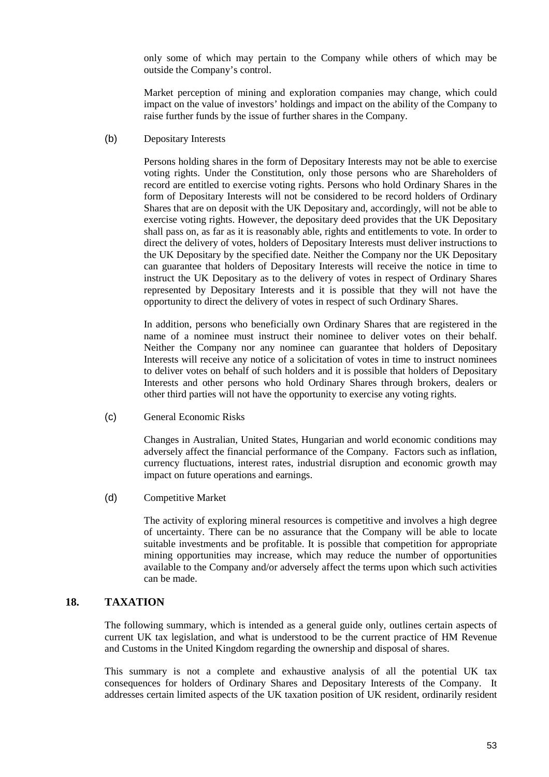only some of which may pertain to the Company while others of which may be outside the Company's control.

Market perception of mining and exploration companies may change, which could impact on the value of investors' holdings and impact on the ability of the Company to raise further funds by the issue of further shares in the Company.

(b) Depositary Interests

Persons holding shares in the form of Depositary Interests may not be able to exercise voting rights. Under the Constitution, only those persons who are Shareholders of record are entitled to exercise voting rights. Persons who hold Ordinary Shares in the form of Depositary Interests will not be considered to be record holders of Ordinary Shares that are on deposit with the UK Depositary and, accordingly, will not be able to exercise voting rights. However, the depositary deed provides that the UK Depositary shall pass on, as far as it is reasonably able, rights and entitlements to vote. In order to direct the delivery of votes, holders of Depositary Interests must deliver instructions to the UK Depositary by the specified date. Neither the Company nor the UK Depositary can guarantee that holders of Depositary Interests will receive the notice in time to instruct the UK Depositary as to the delivery of votes in respect of Ordinary Shares represented by Depositary Interests and it is possible that they will not have the opportunity to direct the delivery of votes in respect of such Ordinary Shares.

In addition, persons who beneficially own Ordinary Shares that are registered in the name of a nominee must instruct their nominee to deliver votes on their behalf. Neither the Company nor any nominee can guarantee that holders of Depositary Interests will receive any notice of a solicitation of votes in time to instruct nominees to deliver votes on behalf of such holders and it is possible that holders of Depositary Interests and other persons who hold Ordinary Shares through brokers, dealers or other third parties will not have the opportunity to exercise any voting rights.

(c) General Economic Risks

Changes in Australian, United States, Hungarian and world economic conditions may adversely affect the financial performance of the Company. Factors such as inflation, currency fluctuations, interest rates, industrial disruption and economic growth may impact on future operations and earnings.

(d) Competitive Market

The activity of exploring mineral resources is competitive and involves a high degree of uncertainty. There can be no assurance that the Company will be able to locate suitable investments and be profitable. It is possible that competition for appropriate mining opportunities may increase, which may reduce the number of opportunities available to the Company and/or adversely affect the terms upon which such activities can be made.

# **18. TAXATION**

The following summary, which is intended as a general guide only, outlines certain aspects of current UK tax legislation, and what is understood to be the current practice of HM Revenue and Customs in the United Kingdom regarding the ownership and disposal of shares.

This summary is not a complete and exhaustive analysis of all the potential UK tax consequences for holders of Ordinary Shares and Depositary Interests of the Company. It addresses certain limited aspects of the UK taxation position of UK resident, ordinarily resident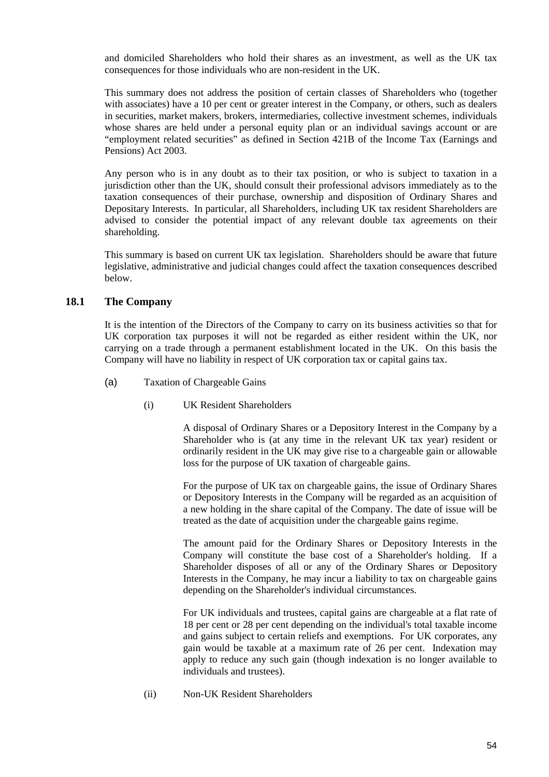and domiciled Shareholders who hold their shares as an investment, as well as the UK tax consequences for those individuals who are non-resident in the UK.

This summary does not address the position of certain classes of Shareholders who (together with associates) have a 10 per cent or greater interest in the Company, or others, such as dealers in securities, market makers, brokers, intermediaries, collective investment schemes, individuals whose shares are held under a personal equity plan or an individual savings account or are "employment related securities" as defined in Section 421B of the Income Tax (Earnings and Pensions) Act 2003.

Any person who is in any doubt as to their tax position, or who is subject to taxation in a jurisdiction other than the UK, should consult their professional advisors immediately as to the taxation consequences of their purchase, ownership and disposition of Ordinary Shares and Depositary Interests. In particular, all Shareholders, including UK tax resident Shareholders are advised to consider the potential impact of any relevant double tax agreements on their shareholding.

This summary is based on current UK tax legislation. Shareholders should be aware that future legislative, administrative and judicial changes could affect the taxation consequences described below.

## **18.1 The Company**

It is the intention of the Directors of the Company to carry on its business activities so that for UK corporation tax purposes it will not be regarded as either resident within the UK, nor carrying on a trade through a permanent establishment located in the UK. On this basis the Company will have no liability in respect of UK corporation tax or capital gains tax.

- (a) Taxation of Chargeable Gains
	- (i) UK Resident Shareholders

A disposal of Ordinary Shares or a Depository Interest in the Company by a Shareholder who is (at any time in the relevant UK tax year) resident or ordinarily resident in the UK may give rise to a chargeable gain or allowable loss for the purpose of UK taxation of chargeable gains.

For the purpose of UK tax on chargeable gains, the issue of Ordinary Shares or Depository Interests in the Company will be regarded as an acquisition of a new holding in the share capital of the Company. The date of issue will be treated as the date of acquisition under the chargeable gains regime.

The amount paid for the Ordinary Shares or Depository Interests in the Company will constitute the base cost of a Shareholder's holding. If a Shareholder disposes of all or any of the Ordinary Shares or Depository Interests in the Company, he may incur a liability to tax on chargeable gains depending on the Shareholder's individual circumstances.

For UK individuals and trustees, capital gains are chargeable at a flat rate of 18 per cent or 28 per cent depending on the individual's total taxable income and gains subject to certain reliefs and exemptions. For UK corporates, any gain would be taxable at a maximum rate of 26 per cent. Indexation may apply to reduce any such gain (though indexation is no longer available to individuals and trustees).

(ii) Non-UK Resident Shareholders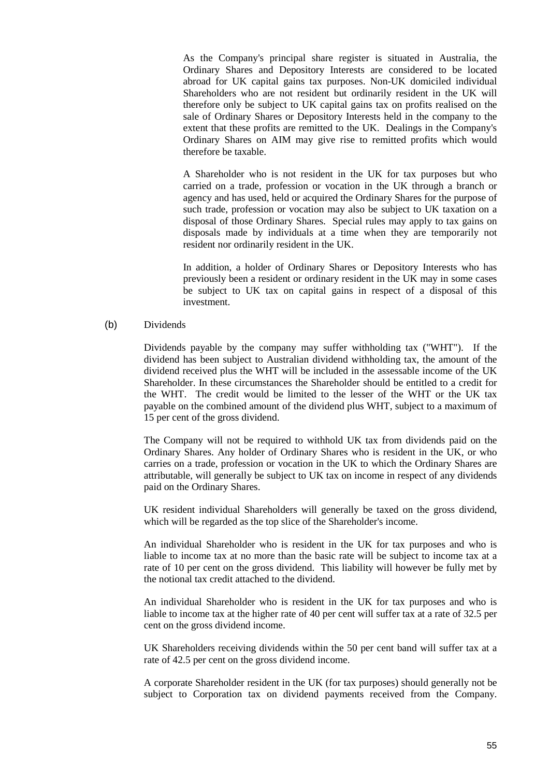As the Company's principal share register is situated in Australia, the Ordinary Shares and Depository Interests are considered to be located abroad for UK capital gains tax purposes. Non-UK domiciled individual Shareholders who are not resident but ordinarily resident in the UK will therefore only be subject to UK capital gains tax on profits realised on the sale of Ordinary Shares or Depository Interests held in the company to the extent that these profits are remitted to the UK. Dealings in the Company's Ordinary Shares on AIM may give rise to remitted profits which would therefore be taxable.

A Shareholder who is not resident in the UK for tax purposes but who carried on a trade, profession or vocation in the UK through a branch or agency and has used, held or acquired the Ordinary Shares for the purpose of such trade, profession or vocation may also be subject to UK taxation on a disposal of those Ordinary Shares. Special rules may apply to tax gains on disposals made by individuals at a time when they are temporarily not resident nor ordinarily resident in the UK.

In addition, a holder of Ordinary Shares or Depository Interests who has previously been a resident or ordinary resident in the UK may in some cases be subject to UK tax on capital gains in respect of a disposal of this investment.

(b) Dividends

Dividends payable by the company may suffer withholding tax ("WHT"). If the dividend has been subject to Australian dividend withholding tax, the amount of the dividend received plus the WHT will be included in the assessable income of the UK Shareholder. In these circumstances the Shareholder should be entitled to a credit for the WHT. The credit would be limited to the lesser of the WHT or the UK tax payable on the combined amount of the dividend plus WHT, subject to a maximum of 15 per cent of the gross dividend.

The Company will not be required to withhold UK tax from dividends paid on the Ordinary Shares. Any holder of Ordinary Shares who is resident in the UK, or who carries on a trade, profession or vocation in the UK to which the Ordinary Shares are attributable, will generally be subject to UK tax on income in respect of any dividends paid on the Ordinary Shares.

UK resident individual Shareholders will generally be taxed on the gross dividend, which will be regarded as the top slice of the Shareholder's income.

An individual Shareholder who is resident in the UK for tax purposes and who is liable to income tax at no more than the basic rate will be subject to income tax at a rate of 10 per cent on the gross dividend. This liability will however be fully met by the notional tax credit attached to the dividend.

An individual Shareholder who is resident in the UK for tax purposes and who is liable to income tax at the higher rate of 40 per cent will suffer tax at a rate of 32.5 per cent on the gross dividend income.

UK Shareholders receiving dividends within the 50 per cent band will suffer tax at a rate of 42.5 per cent on the gross dividend income.

A corporate Shareholder resident in the UK (for tax purposes) should generally not be subject to Corporation tax on dividend payments received from the Company.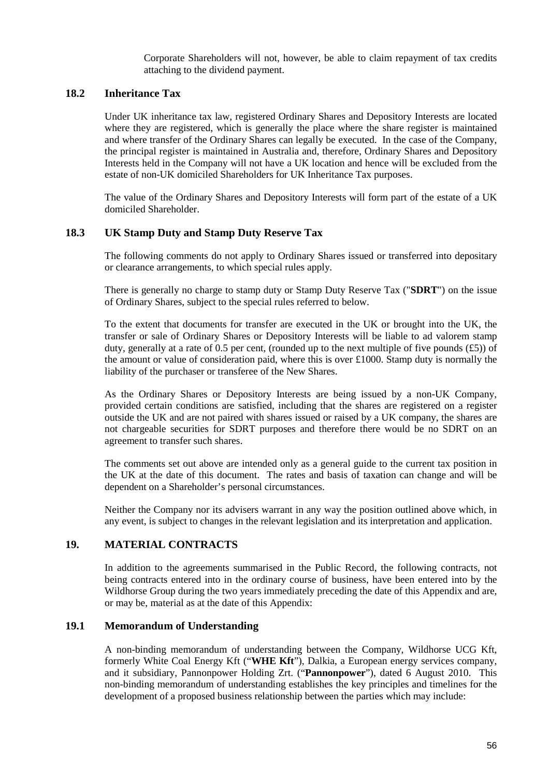Corporate Shareholders will not, however, be able to claim repayment of tax credits attaching to the dividend payment.

## **18.2 Inheritance Tax**

Under UK inheritance tax law, registered Ordinary Shares and Depository Interests are located where they are registered, which is generally the place where the share register is maintained and where transfer of the Ordinary Shares can legally be executed. In the case of the Company, the principal register is maintained in Australia and, therefore, Ordinary Shares and Depository Interests held in the Company will not have a UK location and hence will be excluded from the estate of non-UK domiciled Shareholders for UK Inheritance Tax purposes.

The value of the Ordinary Shares and Depository Interests will form part of the estate of a UK domiciled Shareholder.

## **18.3 UK Stamp Duty and Stamp Duty Reserve Tax**

The following comments do not apply to Ordinary Shares issued or transferred into depositary or clearance arrangements, to which special rules apply.

There is generally no charge to stamp duty or Stamp Duty Reserve Tax ("**SDRT**") on the issue of Ordinary Shares, subject to the special rules referred to below.

To the extent that documents for transfer are executed in the UK or brought into the UK, the transfer or sale of Ordinary Shares or Depository Interests will be liable to ad valorem stamp duty, generally at a rate of 0.5 per cent, (rounded up to the next multiple of five pounds  $(f5)$ ) of the amount or value of consideration paid, where this is over £1000. Stamp duty is normally the liability of the purchaser or transferee of the New Shares.

As the Ordinary Shares or Depository Interests are being issued by a non-UK Company, provided certain conditions are satisfied, including that the shares are registered on a register outside the UK and are not paired with shares issued or raised by a UK company, the shares are not chargeable securities for SDRT purposes and therefore there would be no SDRT on an agreement to transfer such shares.

The comments set out above are intended only as a general guide to the current tax position in the UK at the date of this document. The rates and basis of taxation can change and will be dependent on a Shareholder's personal circumstances.

Neither the Company nor its advisers warrant in any way the position outlined above which, in any event, is subject to changes in the relevant legislation and its interpretation and application.

#### **19. MATERIAL CONTRACTS**

In addition to the agreements summarised in the Public Record, the following contracts, not being contracts entered into in the ordinary course of business, have been entered into by the Wildhorse Group during the two years immediately preceding the date of this Appendix and are, or may be, material as at the date of this Appendix:

## **19.1 Memorandum of Understanding**

A non-binding memorandum of understanding between the Company, Wildhorse UCG Kft, formerly White Coal Energy Kft ("**WHE Kft**"), Dalkia, a European energy services company, and it subsidiary, Pannonpower Holding Zrt. ("**Pannonpower**"), dated 6 August 2010. This non-binding memorandum of understanding establishes the key principles and timelines for the development of a proposed business relationship between the parties which may include: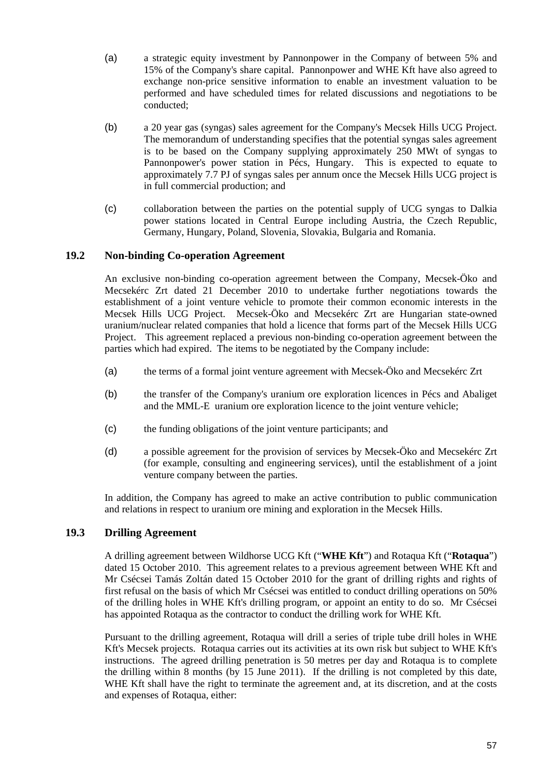- (a) a strategic equity investment by Pannonpower in the Company of between 5% and 15% of the Company's share capital. Pannonpower and WHE Kft have also agreed to exchange non-price sensitive information to enable an investment valuation to be performed and have scheduled times for related discussions and negotiations to be conducted;
- (b) a 20 year gas (syngas) sales agreement for the Company's Mecsek Hills UCG Project. The memorandum of understanding specifies that the potential syngas sales agreement is to be based on the Company supplying approximately 250 MWt of syngas to Pannonpower's power station in Pécs, Hungary. This is expected to equate to approximately 7.7 PJ of syngas sales per annum once the Mecsek Hills UCG project is in full commercial production; and
- (c) collaboration between the parties on the potential supply of UCG syngas to Dalkia power stations located in Central Europe including Austria, the Czech Republic, Germany, Hungary, Poland, Slovenia, Slovakia, Bulgaria and Romania.

## **19.2 Non-binding Co-operation Agreement**

An exclusive non-binding co-operation agreement between the Company, Mecsek-Öko and Mecsekérc Zrt dated 21 December 2010 to undertake further negotiations towards the establishment of a joint venture vehicle to promote their common economic interests in the Mecsek Hills UCG Project. Mecsek-Öko and Mecsekérc Zrt are Hungarian state-owned uranium/nuclear related companies that hold a licence that forms part of the Mecsek Hills UCG Project. This agreement replaced a previous non-binding co-operation agreement between the parties which had expired. The items to be negotiated by the Company include:

- (a) the terms of a formal joint venture agreement with Mecsek-Öko and Mecsekérc Zrt
- (b) the transfer of the Company's uranium ore exploration licences in Pécs and Abaliget and the MML-E uranium ore exploration licence to the joint venture vehicle;
- (c) the funding obligations of the joint venture participants; and
- (d) a possible agreement for the provision of services by Mecsek-Öko and Mecsekérc Zrt (for example, consulting and engineering services), until the establishment of a joint venture company between the parties.

In addition, the Company has agreed to make an active contribution to public communication and relations in respect to uranium ore mining and exploration in the Mecsek Hills.

## **19.3 Drilling Agreement**

A drilling agreement between Wildhorse UCG Kft ("**WHE Kft**") and Rotaqua Kft ("**Rotaqua**") dated 15 October 2010. This agreement relates to a previous agreement between WHE Kft and Mr Csécsei Tamás Zoltán dated 15 October 2010 for the grant of drilling rights and rights of first refusal on the basis of which Mr Csécsei was entitled to conduct drilling operations on 50% of the drilling holes in WHE Kft's drilling program, or appoint an entity to do so. Mr Csécsei has appointed Rotaqua as the contractor to conduct the drilling work for WHE Kft.

Pursuant to the drilling agreement, Rotaqua will drill a series of triple tube drill holes in WHE Kft's Mecsek projects. Rotaqua carries out its activities at its own risk but subject to WHE Kft's instructions. The agreed drilling penetration is 50 metres per day and Rotaqua is to complete the drilling within 8 months (by 15 June 2011). If the drilling is not completed by this date, WHE Kft shall have the right to terminate the agreement and, at its discretion, and at the costs and expenses of Rotaqua, either: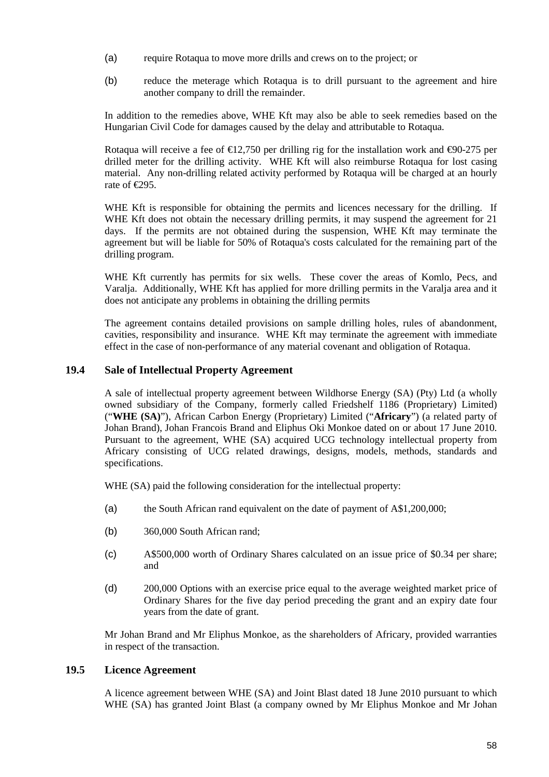- (a) require Rotaqua to move more drills and crews on to the project; or
- (b) reduce the meterage which Rotaqua is to drill pursuant to the agreement and hire another company to drill the remainder.

In addition to the remedies above, WHE Kft may also be able to seek remedies based on the Hungarian Civil Code for damages caused by the delay and attributable to Rotaqua.

Rotaqua will receive a fee of  $\epsilon$ 12,750 per drilling rig for the installation work and  $\epsilon$ 90-275 per drilled meter for the drilling activity. WHE Kft will also reimburse Rotaqua for lost casing material. Any non-drilling related activity performed by Rotaqua will be charged at an hourly rate of  $\in 295$ .

WHE Kft is responsible for obtaining the permits and licences necessary for the drilling. If WHE Kft does not obtain the necessary drilling permits, it may suspend the agreement for 21 days. If the permits are not obtained during the suspension, WHE Kft may terminate the agreement but will be liable for 50% of Rotaqua's costs calculated for the remaining part of the drilling program.

WHE Kft currently has permits for six wells. These cover the areas of Komlo, Pecs, and Varalja. Additionally, WHE Kft has applied for more drilling permits in the Varalja area and it does not anticipate any problems in obtaining the drilling permits

The agreement contains detailed provisions on sample drilling holes, rules of abandonment, cavities, responsibility and insurance. WHE Kft may terminate the agreement with immediate effect in the case of non-performance of any material covenant and obligation of Rotaqua.

## **19.4 Sale of Intellectual Property Agreement**

A sale of intellectual property agreement between Wildhorse Energy (SA) (Pty) Ltd (a wholly owned subsidiary of the Company, formerly called Friedshelf 1186 (Proprietary) Limited) ("**WHE (SA)**"), African Carbon Energy (Proprietary) Limited ("**Africary**") (a related party of Johan Brand), Johan Francois Brand and Eliphus Oki Monkoe dated on or about 17 June 2010. Pursuant to the agreement, WHE (SA) acquired UCG technology intellectual property from Africary consisting of UCG related drawings, designs, models, methods, standards and specifications.

WHE (SA) paid the following consideration for the intellectual property:

- (a) the South African rand equivalent on the date of payment of A\$1,200,000;
- (b) 360,000 South African rand;
- (c) A\$500,000 worth of Ordinary Shares calculated on an issue price of \$0.34 per share; and
- (d) 200,000 Options with an exercise price equal to the average weighted market price of Ordinary Shares for the five day period preceding the grant and an expiry date four years from the date of grant.

Mr Johan Brand and Mr Eliphus Monkoe, as the shareholders of Africary, provided warranties in respect of the transaction.

## **19.5 Licence Agreement**

A licence agreement between WHE (SA) and Joint Blast dated 18 June 2010 pursuant to which WHE (SA) has granted Joint Blast (a company owned by Mr Eliphus Monkoe and Mr Johan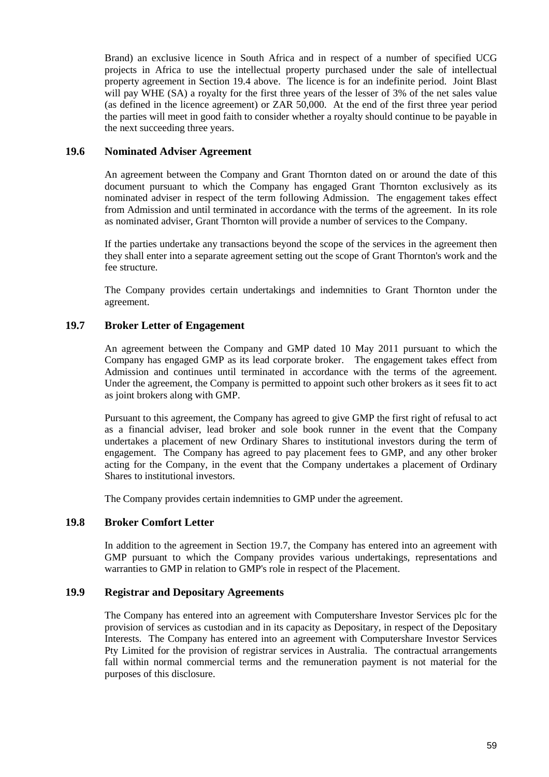Brand) an exclusive licence in South Africa and in respect of a number of specified UCG projects in Africa to use the intellectual property purchased under the sale of intellectual property agreement in Section 19.4 above. The licence is for an indefinite period. Joint Blast will pay WHE (SA) a royalty for the first three years of the lesser of 3% of the net sales value (as defined in the licence agreement) or ZAR 50,000. At the end of the first three year period the parties will meet in good faith to consider whether a royalty should continue to be payable in the next succeeding three years.

#### **19.6 Nominated Adviser Agreement**

An agreement between the Company and Grant Thornton dated on or around the date of this document pursuant to which the Company has engaged Grant Thornton exclusively as its nominated adviser in respect of the term following Admission. The engagement takes effect from Admission and until terminated in accordance with the terms of the agreement. In its role as nominated adviser, Grant Thornton will provide a number of services to the Company.

If the parties undertake any transactions beyond the scope of the services in the agreement then they shall enter into a separate agreement setting out the scope of Grant Thornton's work and the fee structure.

The Company provides certain undertakings and indemnities to Grant Thornton under the agreement.

## **19.7 Broker Letter of Engagement**

An agreement between the Company and GMP dated 10 May 2011 pursuant to which the Company has engaged GMP as its lead corporate broker. The engagement takes effect from Admission and continues until terminated in accordance with the terms of the agreement. Under the agreement, the Company is permitted to appoint such other brokers as it sees fit to act as joint brokers along with GMP.

Pursuant to this agreement, the Company has agreed to give GMP the first right of refusal to act as a financial adviser, lead broker and sole book runner in the event that the Company undertakes a placement of new Ordinary Shares to institutional investors during the term of engagement. The Company has agreed to pay placement fees to GMP, and any other broker acting for the Company, in the event that the Company undertakes a placement of Ordinary Shares to institutional investors.

The Company provides certain indemnities to GMP under the agreement.

# **19.8 Broker Comfort Letter**

In addition to the agreement in Section 19.7, the Company has entered into an agreement with GMP pursuant to which the Company provides various undertakings, representations and warranties to GMP in relation to GMP's role in respect of the Placement.

# **19.9 Registrar and Depositary Agreements**

The Company has entered into an agreement with Computershare Investor Services plc for the provision of services as custodian and in its capacity as Depositary, in respect of the Depositary Interests. The Company has entered into an agreement with Computershare Investor Services Pty Limited for the provision of registrar services in Australia. The contractual arrangements fall within normal commercial terms and the remuneration payment is not material for the purposes of this disclosure.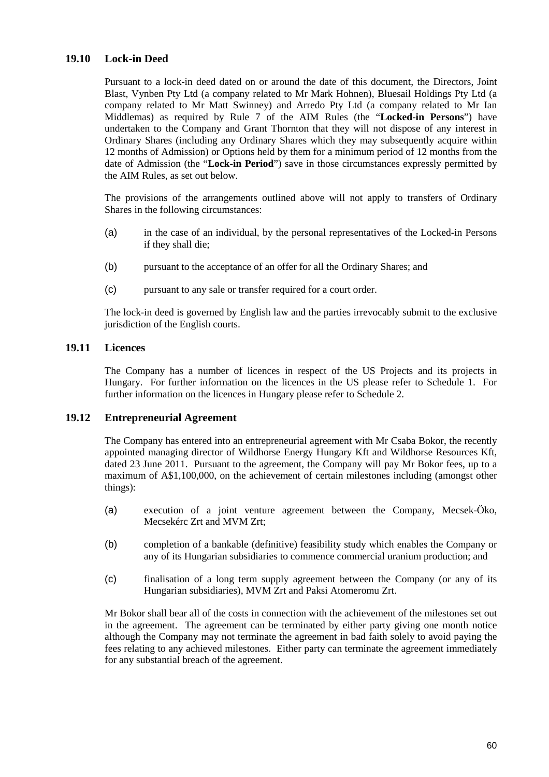# **19.10 Lock-in Deed**

Pursuant to a lock-in deed dated on or around the date of this document, the Directors, Joint Blast, Vynben Pty Ltd (a company related to Mr Mark Hohnen), Bluesail Holdings Pty Ltd (a company related to Mr Matt Swinney) and Arredo Pty Ltd (a company related to Mr Ian Middlemas) as required by Rule 7 of the AIM Rules (the "**Locked-in Persons**") have undertaken to the Company and Grant Thornton that they will not dispose of any interest in Ordinary Shares (including any Ordinary Shares which they may subsequently acquire within 12 months of Admission) or Options held by them for a minimum period of 12 months from the date of Admission (the "**Lock-in Period**") save in those circumstances expressly permitted by the AIM Rules, as set out below.

The provisions of the arrangements outlined above will not apply to transfers of Ordinary Shares in the following circumstances:

- (a) in the case of an individual, by the personal representatives of the Locked-in Persons if they shall die;
- (b) pursuant to the acceptance of an offer for all the Ordinary Shares; and
- (c) pursuant to any sale or transfer required for a court order.

The lock-in deed is governed by English law and the parties irrevocably submit to the exclusive jurisdiction of the English courts.

## **19.11 Licences**

The Company has a number of licences in respect of the US Projects and its projects in Hungary. For further information on the licences in the US please refer to Schedule 1. For further information on the licences in Hungary please refer to Schedule 2.

#### **19.12 Entrepreneurial Agreement**

The Company has entered into an entrepreneurial agreement with Mr Csaba Bokor, the recently appointed managing director of Wildhorse Energy Hungary Kft and Wildhorse Resources Kft, dated 23 June 2011. Pursuant to the agreement, the Company will pay Mr Bokor fees, up to a maximum of A\$1,100,000, on the achievement of certain milestones including (amongst other things):

- (a) execution of a joint venture agreement between the Company, Mecsek-Öko, Mecsekérc Zrt and MVM Zrt;
- (b) completion of a bankable (definitive) feasibility study which enables the Company or any of its Hungarian subsidiaries to commence commercial uranium production; and
- (c) finalisation of a long term supply agreement between the Company (or any of its Hungarian subsidiaries), MVM Zrt and Paksi Atomeromu Zrt.

Mr Bokor shall bear all of the costs in connection with the achievement of the milestones set out in the agreement. The agreement can be terminated by either party giving one month notice although the Company may not terminate the agreement in bad faith solely to avoid paying the fees relating to any achieved milestones. Either party can terminate the agreement immediately for any substantial breach of the agreement.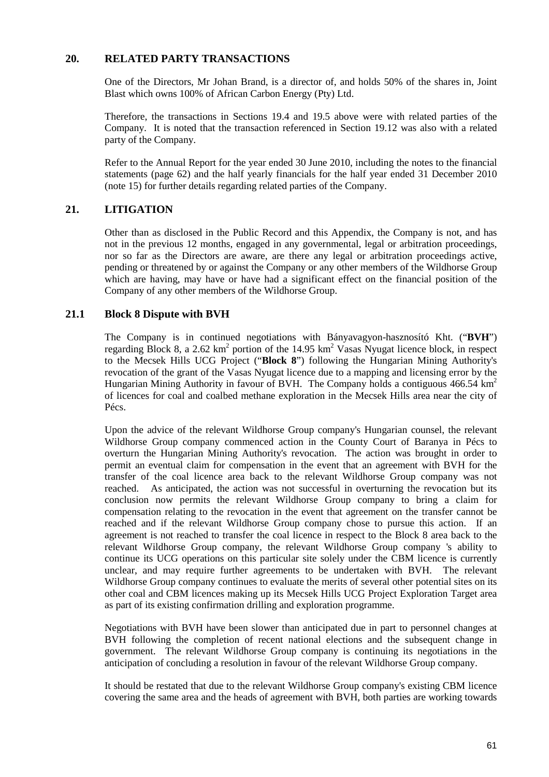# **20. RELATED PARTY TRANSACTIONS**

One of the Directors, Mr Johan Brand, is a director of, and holds 50% of the shares in, Joint Blast which owns 100% of African Carbon Energy (Pty) Ltd.

Therefore, the transactions in Sections 19.4 and 19.5 above were with related parties of the Company. It is noted that the transaction referenced in Section 19.12 was also with a related party of the Company.

Refer to the Annual Report for the year ended 30 June 2010, including the notes to the financial statements (page 62) and the half yearly financials for the half year ended 31 December 2010 (note 15) for further details regarding related parties of the Company.

# **21. LITIGATION**

Other than as disclosed in the Public Record and this Appendix, the Company is not, and has not in the previous 12 months, engaged in any governmental, legal or arbitration proceedings, nor so far as the Directors are aware, are there any legal or arbitration proceedings active, pending or threatened by or against the Company or any other members of the Wildhorse Group which are having, may have or have had a significant effect on the financial position of the Company of any other members of the Wildhorse Group.

## **21.1 Block 8 Dispute with BVH**

The Company is in continued negotiations with Bányavagyon-hasznosító Kht. ("**BVH**") regarding Block 8, a 2.62  $km^2$  portion of the 14.95  $km^2$  Vasas Nyugat licence block, in respect to the Mecsek Hills UCG Project ("**Block 8**") following the Hungarian Mining Authority's revocation of the grant of the Vasas Nyugat licence due to a mapping and licensing error by the Hungarian Mining Authority in favour of BVH. The Company holds a contiguous  $466.54 \text{ km}^2$ of licences for coal and coalbed methane exploration in the Mecsek Hills area near the city of Pécs.

Upon the advice of the relevant Wildhorse Group company's Hungarian counsel, the relevant Wildhorse Group company commenced action in the County Court of Baranya in Pécs to overturn the Hungarian Mining Authority's revocation. The action was brought in order to permit an eventual claim for compensation in the event that an agreement with BVH for the transfer of the coal licence area back to the relevant Wildhorse Group company was not reached. As anticipated, the action was not successful in overturning the revocation but its conclusion now permits the relevant Wildhorse Group company to bring a claim for compensation relating to the revocation in the event that agreement on the transfer cannot be reached and if the relevant Wildhorse Group company chose to pursue this action. If an agreement is not reached to transfer the coal licence in respect to the Block 8 area back to the relevant Wildhorse Group company, the relevant Wildhorse Group company 's ability to continue its UCG operations on this particular site solely under the CBM licence is currently unclear, and may require further agreements to be undertaken with BVH. The relevant Wildhorse Group company continues to evaluate the merits of several other potential sites on its other coal and CBM licences making up its Mecsek Hills UCG Project Exploration Target area as part of its existing confirmation drilling and exploration programme.

Negotiations with BVH have been slower than anticipated due in part to personnel changes at BVH following the completion of recent national elections and the subsequent change in government. The relevant Wildhorse Group company is continuing its negotiations in the anticipation of concluding a resolution in favour of the relevant Wildhorse Group company.

It should be restated that due to the relevant Wildhorse Group company's existing CBM licence covering the same area and the heads of agreement with BVH, both parties are working towards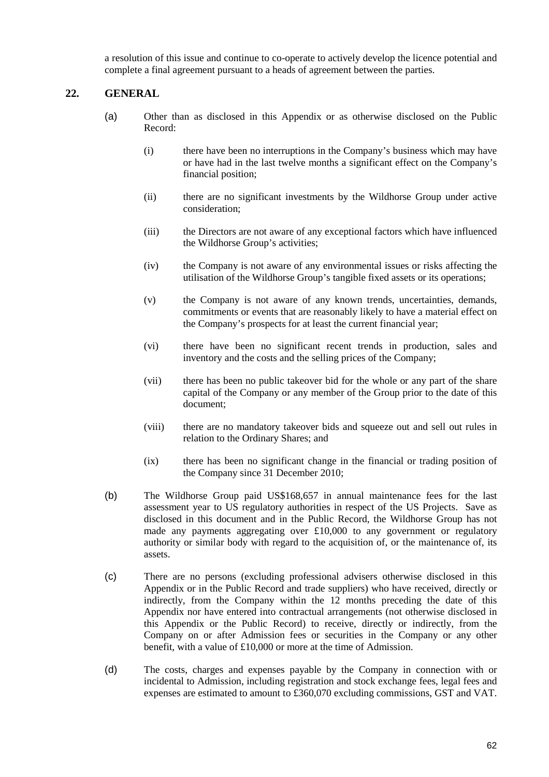a resolution of this issue and continue to co-operate to actively develop the licence potential and complete a final agreement pursuant to a heads of agreement between the parties.

# **22. GENERAL**

- (a) Other than as disclosed in this Appendix or as otherwise disclosed on the Public Record:
	- (i) there have been no interruptions in the Company's business which may have or have had in the last twelve months a significant effect on the Company's financial position;
	- (ii) there are no significant investments by the Wildhorse Group under active consideration;
	- (iii) the Directors are not aware of any exceptional factors which have influenced the Wildhorse Group's activities;
	- (iv) the Company is not aware of any environmental issues or risks affecting the utilisation of the Wildhorse Group's tangible fixed assets or its operations;
	- (v) the Company is not aware of any known trends, uncertainties, demands, commitments or events that are reasonably likely to have a material effect on the Company's prospects for at least the current financial year;
	- (vi) there have been no significant recent trends in production, sales and inventory and the costs and the selling prices of the Company;
	- (vii) there has been no public takeover bid for the whole or any part of the share capital of the Company or any member of the Group prior to the date of this document;
	- (viii) there are no mandatory takeover bids and squeeze out and sell out rules in relation to the Ordinary Shares; and
	- (ix) there has been no significant change in the financial or trading position of the Company since 31 December 2010;
- (b) The Wildhorse Group paid US\$168,657 in annual maintenance fees for the last assessment year to US regulatory authorities in respect of the US Projects. Save as disclosed in this document and in the Public Record, the Wildhorse Group has not made any payments aggregating over £10,000 to any government or regulatory authority or similar body with regard to the acquisition of, or the maintenance of, its assets.
- (c) There are no persons (excluding professional advisers otherwise disclosed in this Appendix or in the Public Record and trade suppliers) who have received, directly or indirectly, from the Company within the 12 months preceding the date of this Appendix nor have entered into contractual arrangements (not otherwise disclosed in this Appendix or the Public Record) to receive, directly or indirectly, from the Company on or after Admission fees or securities in the Company or any other benefit, with a value of £10,000 or more at the time of Admission.
- (d) The costs, charges and expenses payable by the Company in connection with or incidental to Admission, including registration and stock exchange fees, legal fees and expenses are estimated to amount to £360,070 excluding commissions, GST and VAT.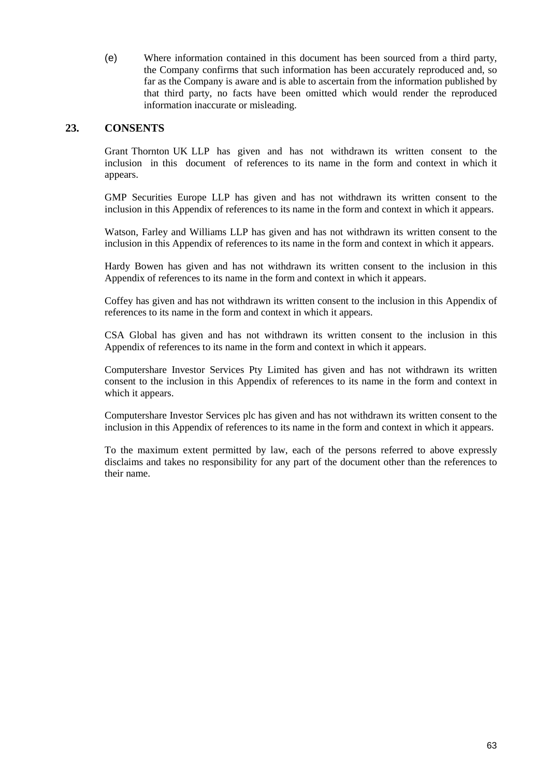(e) Where information contained in this document has been sourced from a third party, the Company confirms that such information has been accurately reproduced and, so far as the Company is aware and is able to ascertain from the information published by that third party, no facts have been omitted which would render the reproduced information inaccurate or misleading.

## **23. CONSENTS**

Grant Thornton UK LLP has given and has not withdrawn its written consent to the inclusion in this document of references to its name in the form and context in which it appears.

GMP Securities Europe LLP has given and has not withdrawn its written consent to the inclusion in this Appendix of references to its name in the form and context in which it appears.

Watson, Farley and Williams LLP has given and has not withdrawn its written consent to the inclusion in this Appendix of references to its name in the form and context in which it appears.

Hardy Bowen has given and has not withdrawn its written consent to the inclusion in this Appendix of references to its name in the form and context in which it appears.

Coffey has given and has not withdrawn its written consent to the inclusion in this Appendix of references to its name in the form and context in which it appears.

CSA Global has given and has not withdrawn its written consent to the inclusion in this Appendix of references to its name in the form and context in which it appears.

Computershare Investor Services Pty Limited has given and has not withdrawn its written consent to the inclusion in this Appendix of references to its name in the form and context in which it appears.

Computershare Investor Services plc has given and has not withdrawn its written consent to the inclusion in this Appendix of references to its name in the form and context in which it appears.

To the maximum extent permitted by law, each of the persons referred to above expressly disclaims and takes no responsibility for any part of the document other than the references to their name.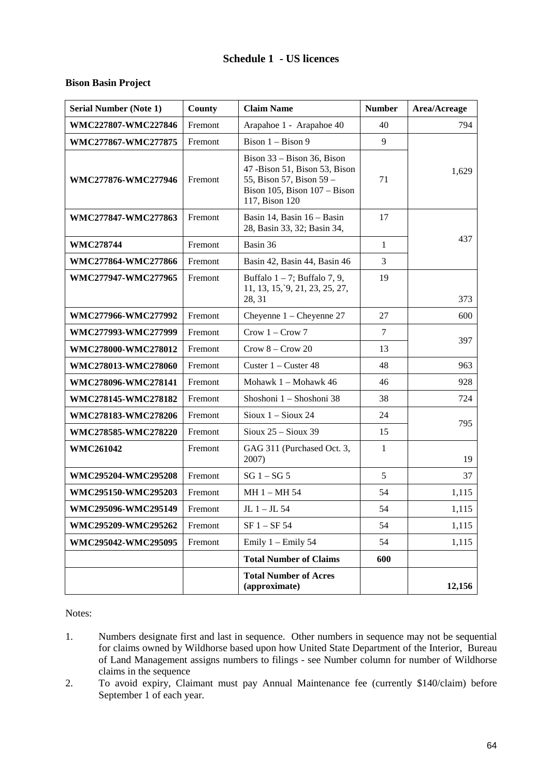# **Schedule 1 - US licences**

#### **Bison Basin Project**

| <b>Serial Number (Note 1)</b> | County  | <b>Claim Name</b>                                                                                                                             | <b>Number</b> | Area/Acreage |
|-------------------------------|---------|-----------------------------------------------------------------------------------------------------------------------------------------------|---------------|--------------|
| WMC227807-WMC227846           | Fremont | Arapahoe 1 - Arapahoe 40                                                                                                                      | 40            | 794          |
| WMC277867-WMC277875           | Fremont | Bison 1 - Bison 9                                                                                                                             | 9             |              |
| WMC277876-WMC277946           | Fremont | Bison $33 -$ Bison 36, Bison<br>47 -Bison 51, Bison 53, Bison<br>55, Bison 57, Bison 59 –<br>Bison 105, Bison $107 -$ Bison<br>117, Bison 120 | 71            | 1,629        |
| WMC277847-WMC277863           | Fremont | Basin 14, Basin 16 - Basin<br>28, Basin 33, 32; Basin 34,                                                                                     | 17            |              |
| <b>WMC278744</b>              | Fremont | Basin 36                                                                                                                                      | $\mathbf{1}$  | 437          |
| WMC277864-WMC277866           | Fremont | Basin 42, Basin 44, Basin 46                                                                                                                  | 3             |              |
| WMC277947-WMC277965           | Fremont | Buffalo $1 - 7$ ; Buffalo 7, 9,<br>11, 13, 15, 9, 21, 23, 25, 27,<br>28, 31                                                                   | 19            | 373          |
| WMC277966-WMC277992           | Fremont | Cheyenne $1 -$ Cheyenne 27                                                                                                                    | 27            | 600          |
| WMC277993-WMC277999           | Fremont | Crow $1 -$ Crow $7$                                                                                                                           | 7             |              |
| WMC278000-WMC278012           | Fremont | $Crow 8 - Crow 20$                                                                                                                            | 13            | 397          |
| WMC278013-WMC278060           | Fremont | Custer $1 -$ Custer 48                                                                                                                        | 48            |              |
| WMC278096-WMC278141           | Fremont | Mohawk 1 - Mohawk 46                                                                                                                          | 46            | 928          |
| WMC278145-WMC278182           | Fremont | Shoshoni 1 - Shoshoni 38                                                                                                                      | 38            | 724          |
| WMC278183-WMC278206           | Fremont | Sioux $1 -$ Sioux 24                                                                                                                          | 24            | 795          |
| WMC278585-WMC278220           | Fremont | Sioux $25 -$ Sioux 39                                                                                                                         | 15            |              |
| <b>WMC261042</b>              | Fremont | GAG 311 (Purchased Oct. 3,<br>2007)                                                                                                           | 1             | 19           |
| WMC295204-WMC295208           | Fremont | $SG 1 - SG 5$                                                                                                                                 | 5             | 37           |
| WMC295150-WMC295203           | Fremont | MH 1 - MH 54                                                                                                                                  | 54            | 1,115        |
| WMC295096-WMC295149           | Fremont | $JL$ 1 – JL 54                                                                                                                                | 54            | 1,115        |
| WMC295209-WMC295262           | Fremont | $SF 1 - SF 54$                                                                                                                                | 54            | 1,115        |
| WMC295042-WMC295095           | Fremont | Emily 1 - Emily 54                                                                                                                            | 54            |              |
|                               |         | <b>Total Number of Claims</b>                                                                                                                 | 600           |              |
|                               |         | <b>Total Number of Acres</b><br>(approximate)                                                                                                 |               | 12,156       |

Notes:

- 1. Numbers designate first and last in sequence. Other numbers in sequence may not be sequential for claims owned by Wildhorse based upon how United State Department of the Interior, Bureau of Land Management assigns numbers to filings - see Number column for number of Wildhorse claims in the sequence
- 2. To avoid expiry, Claimant must pay Annual Maintenance fee (currently \$140/claim) before September 1 of each year.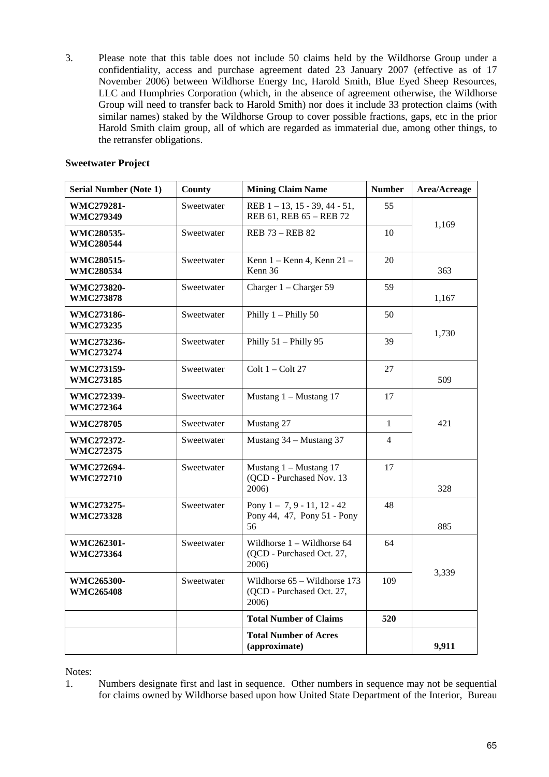3. Please note that this table does not include 50 claims held by the Wildhorse Group under a confidentiality, access and purchase agreement dated 23 January 2007 (effective as of 17 November 2006) between Wildhorse Energy Inc, Harold Smith, Blue Eyed Sheep Resources, LLC and Humphries Corporation (which, in the absence of agreement otherwise, the Wildhorse Group will need to transfer back to Harold Smith) nor does it include 33 protection claims (with similar names) staked by the Wildhorse Group to cover possible fractions, gaps, etc in the prior Harold Smith claim group, all of which are regarded as immaterial due, among other things, to the retransfer obligations.

#### **Sweetwater Project**

| <b>Serial Number (Note 1)</b>         | County     | <b>Mining Claim Name</b>                                           | <b>Number</b>  | Area/Acreage |
|---------------------------------------|------------|--------------------------------------------------------------------|----------------|--------------|
| WMC279281-<br><b>WMC279349</b>        | Sweetwater | REB $1 - 13$ , $15 - 39$ , $44 - 51$ ,<br>REB 61, REB 65 - REB 72  | 55             | 1,169        |
| <b>WMC280535-</b><br><b>WMC280544</b> | Sweetwater | <b>REB 73 - REB 82</b>                                             | 10             |              |
| WMC280515-<br><b>WMC280534</b>        | Sweetwater | Kenn 1 - Kenn 4, Kenn 21 -<br>20<br>Kenn 36                        |                | 363          |
| <b>WMC273820-</b><br><b>WMC273878</b> | Sweetwater | Charger 1 - Charger 59                                             | 59             | 1,167        |
| <b>WMC273186-</b><br><b>WMC273235</b> | Sweetwater | Philly $1$ – Philly $50$                                           | 50             |              |
| <b>WMC273236-</b><br><b>WMC273274</b> | Sweetwater | Philly 51 - Philly 95                                              | 39             | 1,730        |
| <b>WMC273159-</b><br><b>WMC273185</b> | Sweetwater | Colt $1 -$ Colt 27                                                 | 27             | 509          |
| WMC272339-<br><b>WMC272364</b>        | Sweetwater | Mustang $1 -$ Mustang 17                                           | 17             |              |
| <b>WMC278705</b>                      | Sweetwater | Mustang 27                                                         | $\mathbf{1}$   | 421          |
| <b>WMC272372-</b><br><b>WMC272375</b> | Sweetwater | Mustang 34 - Mustang 37                                            | $\overline{4}$ |              |
| <b>WMC272694-</b><br><b>WMC272710</b> | Sweetwater | Mustang $1 -$ Mustang 17<br>(QCD - Purchased Nov. 13<br>2006)      | 17             | 328          |
| WMC273275-<br><b>WMC273328</b>        | Sweetwater | Pony $1 - 7, 9 - 11, 12 - 42$<br>Pony 44, 47, Pony 51 - Pony<br>56 | 48             | 885          |
| WMC262301-<br><b>WMC273364</b>        | Sweetwater | Wildhorse 1 - Wildhorse 64<br>(QCD - Purchased Oct. 27,<br>2006)   | 64             |              |
| WMC265300-<br><b>WMC265408</b>        | Sweetwater | Wildhorse 65 - Wildhorse 173<br>(QCD - Purchased Oct. 27,<br>2006) | 109            | 3,339        |
|                                       |            | <b>Total Number of Claims</b>                                      | 520            |              |
|                                       |            | <b>Total Number of Acres</b><br>(approximate)                      |                | 9,911        |

Notes:

1. Numbers designate first and last in sequence. Other numbers in sequence may not be sequential for claims owned by Wildhorse based upon how United State Department of the Interior, Bureau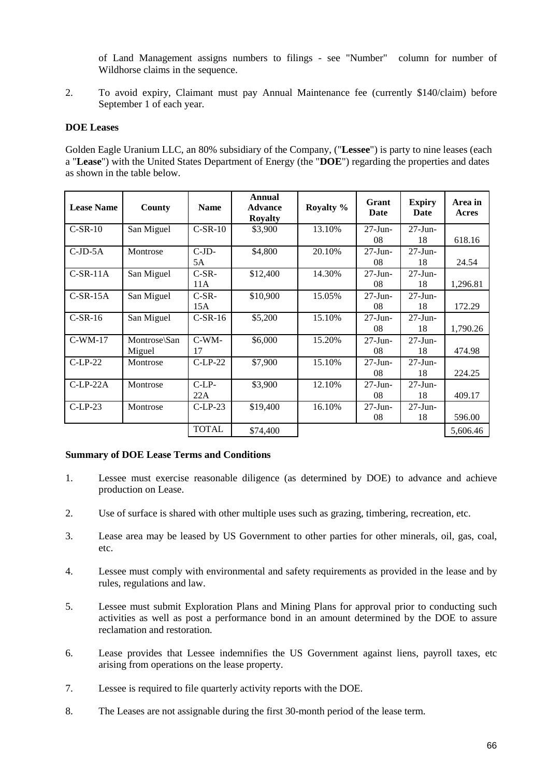of Land Management assigns numbers to filings - see "Number" column for number of Wildhorse claims in the sequence.

2. To avoid expiry, Claimant must pay Annual Maintenance fee (currently \$140/claim) before September 1 of each year.

#### **DOE Leases**

Golden Eagle Uranium LLC, an 80% subsidiary of the Company, ("**Lessee**") is party to nine leases (each a "**Lease**") with the United States Department of Energy (the "**DOE**") regarding the properties and dates as shown in the table below.

| <b>Lease Name</b> | County       | <b>Name</b>  | Annual<br><b>Advance</b><br><b>Royalty</b> | Royalty % | <b>Grant</b><br>Date | <b>Expiry</b><br>Date | Area in<br>Acres |
|-------------------|--------------|--------------|--------------------------------------------|-----------|----------------------|-----------------------|------------------|
| $C-SR-10$         | San Miguel   | $C-SR-10$    | \$3,900                                    | 13.10%    | $27 - Jun -$         | $27 - Jun -$          |                  |
|                   |              |              |                                            |           | 08                   | 18                    | 618.16           |
| $C-JD-5A$         | Montrose     | $C-JD-$      | \$4,800                                    | 20.10%    | $27 - Jun -$         | $27 - Jun -$          |                  |
|                   |              | 5A           |                                            |           | 08                   | 18                    | 24.54            |
| $C-SR-11A$        | San Miguel   | $C-SR-$      | \$12,400                                   | 14.30%    | $27 - Jun -$         | $27$ -Jun-            |                  |
|                   |              | 11A          |                                            |           | 08                   | 18                    | 1,296.81         |
| $C-SR-15A$        | San Miguel   | $C-SR$ -     | \$10,900                                   | 15.05%    | $27 - Jun -$         | $27 - Jun -$          |                  |
|                   |              | 15A          |                                            |           | 08                   | 18                    | 172.29           |
| $C-SR-16$         | San Miguel   | $C-SR-16$    | \$5,200                                    | 15.10%    | $27 - Jun -$         | $27 - Jun -$          |                  |
|                   |              |              |                                            |           | 08                   | 18                    | 1,790.26         |
| $C-WM-17$         | Montrose\San | C-WM-        | \$6,000                                    | 15.20%    | $27 - Jun -$         | $27 - Jun -$          |                  |
|                   | Miguel       | 17           |                                            |           | 08                   | 18                    | 474.98           |
| $C-LP-22$         | Montrose     | $C-LP-22$    | \$7,900                                    | 15.10%    | $27 - Jun -$         | $27 - Jun -$          |                  |
|                   |              |              |                                            |           | 08                   | 18                    | 224.25           |
| $C-LP-22A$        | Montrose     | $C-LP-$      | \$3,900                                    | 12.10%    | $27 - Jun -$         | $27 - Jun -$          |                  |
|                   |              | 22A          |                                            |           | 08                   | 18                    | 409.17           |
| $C-LP-23$         | Montrose     | $C-LP-23$    | \$19,400                                   | 16.10%    | $27 - Jun -$         | $27 - Jun -$          |                  |
|                   |              |              |                                            |           | 08                   | 18                    | 596.00           |
|                   |              | <b>TOTAL</b> | \$74,400                                   |           |                      |                       | 5,606.46         |

#### **Summary of DOE Lease Terms and Conditions**

- 1. Lessee must exercise reasonable diligence (as determined by DOE) to advance and achieve production on Lease.
- 2. Use of surface is shared with other multiple uses such as grazing, timbering, recreation, etc.
- 3. Lease area may be leased by US Government to other parties for other minerals, oil, gas, coal, etc.
- 4. Lessee must comply with environmental and safety requirements as provided in the lease and by rules, regulations and law.
- 5. Lessee must submit Exploration Plans and Mining Plans for approval prior to conducting such activities as well as post a performance bond in an amount determined by the DOE to assure reclamation and restoration.
- 6. Lease provides that Lessee indemnifies the US Government against liens, payroll taxes, etc arising from operations on the lease property.
- 7. Lessee is required to file quarterly activity reports with the DOE.
- 8. The Leases are not assignable during the first 30-month period of the lease term.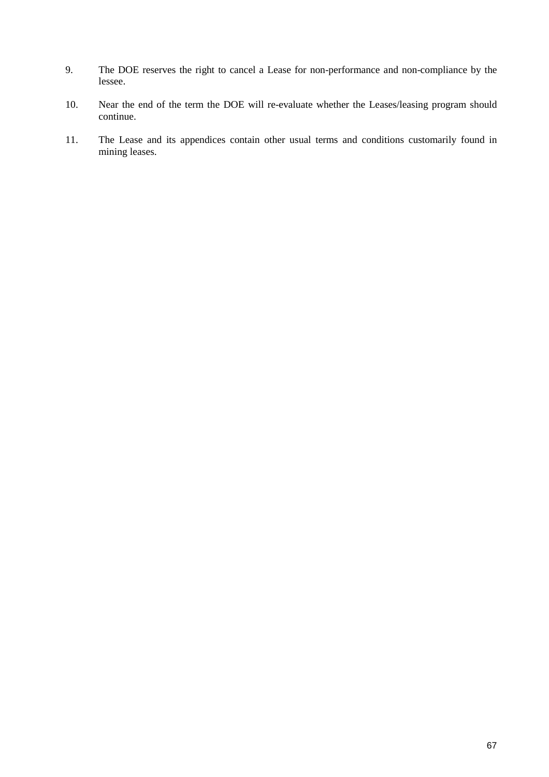- 9. The DOE reserves the right to cancel a Lease for non-performance and non-compliance by the lessee.
- 10. Near the end of the term the DOE will re-evaluate whether the Leases/leasing program should continue.
- 11. The Lease and its appendices contain other usual terms and conditions customarily found in mining leases.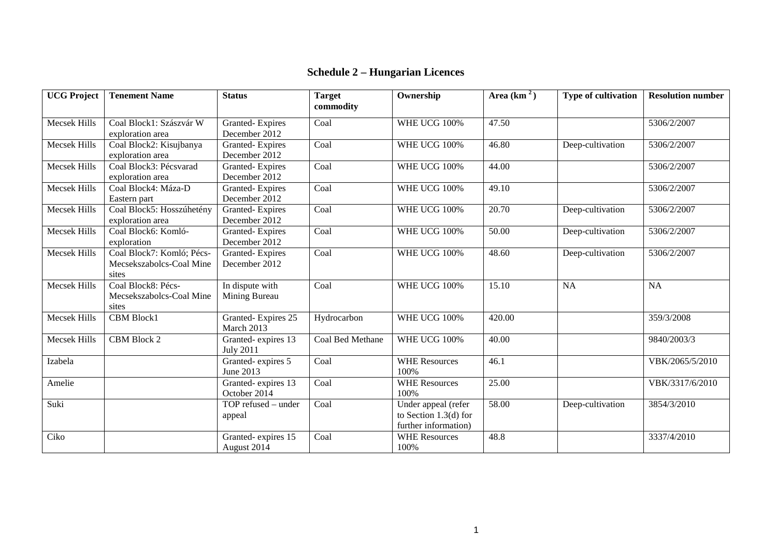# **Schedule 2 – Hungarian Licences**

| <b>UCG Project</b>  | <b>Tenement Name</b>      | <b>Status</b>       | <b>Target</b>    | Ownership               | Area $(km2)$ | <b>Type of cultivation</b> | <b>Resolution number</b> |
|---------------------|---------------------------|---------------------|------------------|-------------------------|--------------|----------------------------|--------------------------|
|                     |                           |                     | commodity        |                         |              |                            |                          |
| <b>Mecsek Hills</b> | Coal Block1: Szászvár W   | Granted-Expires     | Coal             | <b>WHE UCG 100%</b>     | 47.50        |                            | 5306/2/2007              |
|                     | exploration area          | December 2012       |                  |                         |              |                            |                          |
| <b>Mecsek Hills</b> | Coal Block2: Kisujbanya   | Granted-Expires     | Coal             | <b>WHE UCG 100%</b>     | 46.80        | Deep-cultivation           | 5306/2/2007              |
|                     | exploration area          | December 2012       |                  |                         |              |                            |                          |
| Mecsek Hills        | Coal Block3: Pécsvarad    | Granted-Expires     | Coal             | <b>WHE UCG 100%</b>     | 44.00        |                            | 5306/2/2007              |
|                     | exploration area          | December 2012       |                  |                         |              |                            |                          |
| Mecsek Hills        | Coal Block4: Máza-D       | Granted-Expires     | Coal             | <b>WHE UCG 100%</b>     | 49.10        |                            | 5306/2/2007              |
|                     | Eastern part              | December 2012       |                  |                         |              |                            |                          |
| <b>Mecsek Hills</b> | Coal Block5: Hosszúhetény | Granted-Expires     | Coal             | <b>WHE UCG 100%</b>     | 20.70        | Deep-cultivation           | 5306/2/2007              |
|                     | exploration area          | December 2012       |                  |                         |              |                            |                          |
| <b>Mecsek Hills</b> | Coal Block6: Komló-       | Granted-Expires     | Coal             | <b>WHE UCG 100%</b>     | 50.00        | Deep-cultivation           | 5306/2/2007              |
|                     | exploration               | December 2012       |                  |                         |              |                            |                          |
| <b>Mecsek Hills</b> | Coal Block7: Komló; Pécs- | Granted-Expires     | Coal             | <b>WHE UCG 100%</b>     | 48.60        | Deep-cultivation           | 5306/2/2007              |
|                     | Mecsekszabolcs-Coal Mine  | December 2012       |                  |                         |              |                            |                          |
|                     | sites                     |                     |                  |                         |              |                            |                          |
| <b>Mecsek Hills</b> | Coal Block8: Pécs-        | In dispute with     | Coal             | <b>WHE UCG 100%</b>     | 15.10        | <b>NA</b>                  | <b>NA</b>                |
|                     | Mecsekszabolcs-Coal Mine  | Mining Bureau       |                  |                         |              |                            |                          |
|                     | sites                     |                     |                  |                         |              |                            |                          |
| <b>Mecsek Hills</b> | <b>CBM Block1</b>         | Granted-Expires 25  | Hydrocarbon      | WHE UCG 100%            | 420.00       |                            | 359/3/2008               |
|                     |                           | March 2013          |                  |                         |              |                            |                          |
| <b>Mecsek Hills</b> | CBM Block 2               | Granted-expires 13  | Coal Bed Methane | <b>WHE UCG 100%</b>     | 40.00        |                            | 9840/2003/3              |
|                     |                           | <b>July 2011</b>    |                  |                         |              |                            |                          |
| Izabela             |                           | Granted-expires 5   | Coal             | <b>WHE Resources</b>    | 46.1         |                            | VBK/2065/5/2010          |
|                     |                           | June 2013           |                  | 100%                    |              |                            |                          |
| Amelie              |                           | Granted-expires 13  | Coal             | <b>WHE Resources</b>    | 25.00        |                            | VBK/3317/6/2010          |
|                     |                           | October 2014        |                  | 100%                    |              |                            |                          |
| Suki                |                           | TOP refused - under | Coal             | Under appeal (refer     | 58.00        | Deep-cultivation           | 3854/3/2010              |
|                     |                           | appeal              |                  | to Section $1.3(d)$ for |              |                            |                          |
|                     |                           |                     |                  | further information)    |              |                            |                          |
| Ciko                |                           | Granted-expires 15  | Coal             | <b>WHE Resources</b>    | 48.8         |                            | 3337/4/2010              |
|                     |                           | August 2014         |                  | 100%                    |              |                            |                          |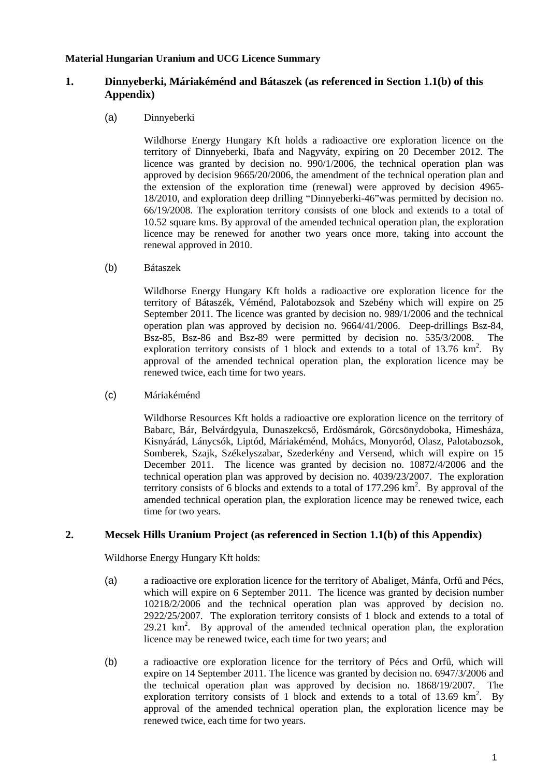## **Material Hungarian Uranium and UCG Licence Summary**

# **1. Dinnyeberki, Máriakéménd and Bátaszek (as referenced in Section 1.1(b) of this Appendix)**

(a) Dinnyeberki

Wildhorse Energy Hungary Kft holds a radioactive ore exploration licence on the territory of Dinnyeberki, Ibafa and Nagyváty, expiring on 20 December 2012. The licence was granted by decision no. 990/1/2006, the technical operation plan was approved by decision 9665/20/2006, the amendment of the technical operation plan and the extension of the exploration time (renewal) were approved by decision 4965- 18/2010, and exploration deep drilling "Dinnyeberki-46"was permitted by decision no. 66/19/2008. The exploration territory consists of one block and extends to a total of 10.52 square kms. By approval of the amended technical operation plan, the exploration licence may be renewed for another two years once more, taking into account the renewal approved in 2010.

(b) Bátaszek

Wildhorse Energy Hungary Kft holds a radioactive ore exploration licence for the territory of Bátaszék, Véménd, Palotabozsok and Szebény which will expire on 25 September 2011. The licence was granted by decision no. 989/1/2006 and the technical operation plan was approved by decision no. 9664/41/2006. Deep-drillings Bsz-84, Bsz-85, Bsz-86 and Bsz-89 were permitted by decision no. 535/3/2008. The exploration territory consists of 1 block and extends to a total of 13.76  $\text{km}^2$ . By approval of the amended technical operation plan, the exploration licence may be renewed twice, each time for two years.

(c) Máriakéménd

Wildhorse Resources Kft holds a radioactive ore exploration licence on the territory of Babarc, Bár, Belvárdgyula, Dunaszekcső, Erdősmárok, Görcsönydoboka, Himesháza, Kisnyárád, Lánycsók, Liptód, Máriakéménd, Mohács, Monyoród, Olasz, Palotabozsok, Somberek, Szajk, Székelyszabar, Szederkény and Versend, which will expire on 15 December 2011. The licence was granted by decision no. 10872/4/2006 and the technical operation plan was approved by decision no. 4039/23/2007. The exploration territory consists of 6 blocks and extends to a total of  $177.296 \text{ km}^2$ . By approval of the amended technical operation plan, the exploration licence may be renewed twice, each time for two years.

## **2. Mecsek Hills Uranium Project (as referenced in Section 1.1(b) of this Appendix)**

Wildhorse Energy Hungary Kft holds:

- (a) a radioactive ore exploration licence for the territory of Abaliget, Mánfa, Orfő and Pécs, which will expire on 6 September 2011. The licence was granted by decision number 10218/2/2006 and the technical operation plan was approved by decision no. 2922/25/2007. The exploration territory consists of 1 block and extends to a total of 29.21  $\text{km}^2$ . By approval of the amended technical operation plan, the exploration licence may be renewed twice, each time for two years; and
- (b) a radioactive ore exploration licence for the territory of Pécs and Orfő, which will expire on 14 September 2011. The licence was granted by decision no. 6947/3/2006 and the technical operation plan was approved by decision no. 1868/19/2007. The exploration territory consists of 1 block and extends to a total of 13.69  $\text{km}^2$ . By approval of the amended technical operation plan, the exploration licence may be renewed twice, each time for two years.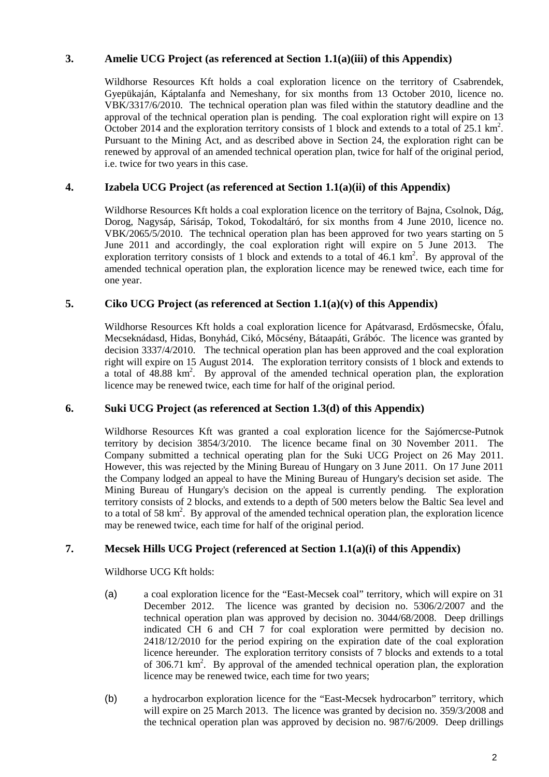# **3. Amelie UCG Project (as referenced at Section 1.1(a)(iii) of this Appendix)**

Wildhorse Resources Kft holds a coal exploration licence on the territory of Csabrendek, Gyepükaján, Káptalanfa and Nemeshany, for six months from 13 October 2010, licence no. VBK/3317/6/2010. The technical operation plan was filed within the statutory deadline and the approval of the technical operation plan is pending. The coal exploration right will expire on 13 October 2014 and the exploration territory consists of 1 block and extends to a total of 25.1 km<sup>2</sup>. Pursuant to the Mining Act, and as described above in Section 24, the exploration right can be renewed by approval of an amended technical operation plan, twice for half of the original period, i.e. twice for two years in this case.

# **4. Izabela UCG Project (as referenced at Section 1.1(a)(ii) of this Appendix)**

Wildhorse Resources Kft holds a coal exploration licence on the territory of Bajna, Csolnok, Dág, Dorog, Nagysáp, Sárisáp, Tokod, Tokodaltáró, for six months from 4 June 2010, licence no. VBK/2065/5/2010. The technical operation plan has been approved for two years starting on 5 June 2011 and accordingly, the coal exploration right will expire on 5 June 2013. The exploration territory consists of 1 block and extends to a total of  $46.1 \text{ km}^2$ . By approval of the amended technical operation plan, the exploration licence may be renewed twice, each time for one year.

### **5. Ciko UCG Project (as referenced at Section 1.1(a)(v) of this Appendix)**

Wildhorse Resources Kft holds a coal exploration licence for Apátvarasd, Erdősmecske, Ófalu, Mecseknádasd, Hidas, Bonyhád, Cikó, Mőcsény, Bátaapáti, Grábóc. The licence was granted by decision 3337/4/2010. The technical operation plan has been approved and the coal exploration right will expire on 15 August 2014. The exploration territory consists of 1 block and extends to a total of 48.88 km<sup>2</sup>. By approval of the amended technical operation plan, the exploration licence may be renewed twice, each time for half of the original period.

### **6. Suki UCG Project (as referenced at Section 1.3(d) of this Appendix)**

Wildhorse Resources Kft was granted a coal exploration licence for the Sajómercse-Putnok territory by decision 3854/3/2010. The licence became final on 30 November 2011. The Company submitted a technical operating plan for the Suki UCG Project on 26 May 2011. However, this was rejected by the Mining Bureau of Hungary on 3 June 2011. On 17 June 2011 the Company lodged an appeal to have the Mining Bureau of Hungary's decision set aside. The Mining Bureau of Hungary's decision on the appeal is currently pending. The exploration territory consists of 2 blocks, and extends to a depth of 500 meters below the Baltic Sea level and to a total of 58  $\text{km}^2$ . By approval of the amended technical operation plan, the exploration licence may be renewed twice, each time for half of the original period.

### **7. Mecsek Hills UCG Project (referenced at Section 1.1(a)(i) of this Appendix)**

Wildhorse UCG Kft holds:

- (a) a coal exploration licence for the "East-Mecsek coal" territory, which will expire on 31 December 2012. The licence was granted by decision no. 5306/2/2007 and the technical operation plan was approved by decision no. 3044/68/2008. Deep drillings indicated CH 6 and CH 7 for coal exploration were permitted by decision no. 2418/12/2010 for the period expiring on the expiration date of the coal exploration licence hereunder. The exploration territory consists of 7 blocks and extends to a total of 306.71 km<sup>2</sup>. By approval of the amended technical operation plan, the exploration licence may be renewed twice, each time for two years;
- (b) a hydrocarbon exploration licence for the "East-Mecsek hydrocarbon" territory, which will expire on 25 March 2013. The licence was granted by decision no. 359/3/2008 and the technical operation plan was approved by decision no. 987/6/2009. Deep drillings